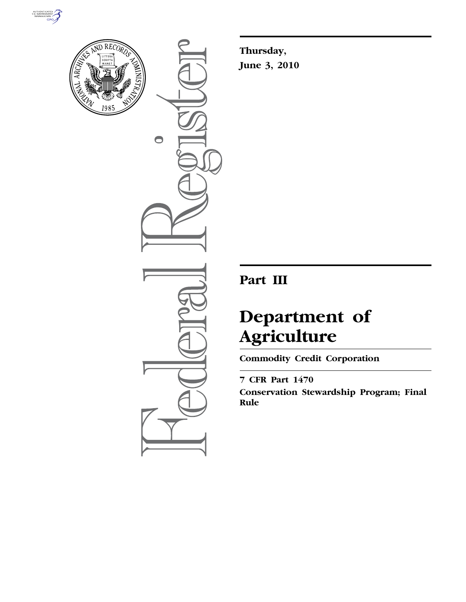



 $\bullet$ 

**Thursday, June 3, 2010** 

# **Part III**

# **Department of Agriculture**

**Commodity Credit Corporation** 

# **7 CFR Part 1470**

**Conservation Stewardship Program; Final Rule**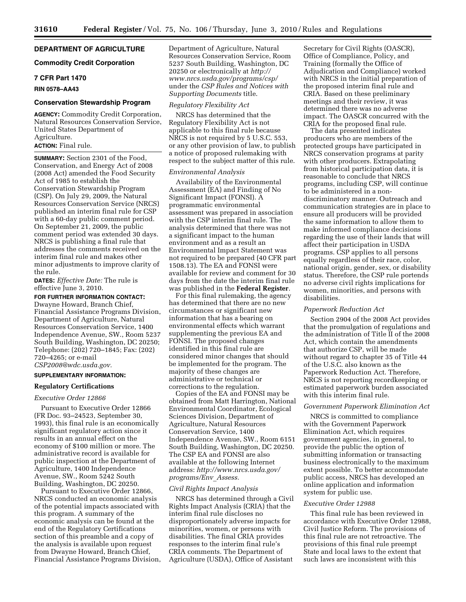# **DEPARTMENT OF AGRICULTURE**

# **Commodity Credit Corporation**

# **7 CFR Part 1470**

# **RIN 0578–AA43**

# **Conservation Stewardship Program**

**AGENCY:** Commodity Credit Corporation, Natural Resources Conservation Service, United States Department of Agriculture.

# **ACTION:** Final rule.

**SUMMARY:** Section 2301 of the Food, Conservation, and Energy Act of 2008 (2008 Act) amended the Food Security Act of 1985 to establish the Conservation Stewardship Program (CSP). On July 29, 2009, the Natural Resources Conservation Service (NRCS) published an interim final rule for CSP with a 60-day public comment period. On September 21, 2009, the public comment period was extended 30 days. NRCS is publishing a final rule that addresses the comments received on the interim final rule and makes other minor adjustments to improve clarity of the rule.

**DATES:** *Effective Date:* The rule is effective June 3, 2010.

**FOR FURTHER INFORMATION CONTACT:**  Dwayne Howard, Branch Chief, Financial Assistance Programs Division, Department of Agriculture, Natural

Resources Conservation Service, 1400 Independence Avenue, SW., Room 5237 South Building, Washington, DC 20250; Telephone: (202) 720–1845; Fax: (202) 720–4265; or e-mail *CSP2008@wdc.usda.gov.* 

# **SUPPLEMENTARY INFORMATION:**

# **Regulatory Certifications**

#### *Executive Order 12866*

Pursuant to Executive Order 12866 (FR Doc. 93–24523, September 30, 1993), this final rule is an economically significant regulatory action since it results in an annual effect on the economy of \$100 million or more. The administrative record is available for public inspection at the Department of Agriculture, 1400 Independence Avenue, SW., Room 5242 South Building, Washington, DC 20250.

Pursuant to Executive Order 12866, NRCS conducted an economic analysis of the potential impacts associated with this program. A summary of the economic analysis can be found at the end of the Regulatory Certifications section of this preamble and a copy of the analysis is available upon request from Dwayne Howard, Branch Chief, Financial Assistance Programs Division, Department of Agriculture, Natural Resources Conservation Service, Room 5237 South Building, Washington, DC 20250 or electronically at *http:// www.nrcs.usda.gov/programs/csp/*  under the *CSP Rules and Notices with Supporting Documents* title.

#### *Regulatory Flexibility Act*

NRCS has determined that the Regulatory Flexibility Act is not applicable to this final rule because NRCS is not required by 5 U.S.C. 553, or any other provision of law, to publish a notice of proposed rulemaking with respect to the subject matter of this rule.

## *Environmental Analysis*

Availability of the Environmental Assessment (EA) and Finding of No Significant Impact (FONSI). A programmatic environmental assessment was prepared in association with the CSP interim final rule. The analysis determined that there was not a significant impact to the human environment and as a result an Environmental Impact Statement was not required to be prepared (40 CFR part 1508.13). The EA and FONSI were available for review and comment for 30 days from the date the interim final rule was published in the **Federal Register**.

For this final rulemaking, the agency has determined that there are no new circumstances or significant new information that has a bearing on environmental effects which warrant supplementing the previous EA and FONSI. The proposed changes identified in this final rule are considered minor changes that should be implemented for the program. The majority of these changes are administrative or technical or corrections to the regulation.

Copies of the EA and FONSI may be obtained from Matt Harrington, National Environmental Coordinator, Ecological Sciences Division, Department of Agriculture, Natural Resources Conservation Service, 1400 Independence Avenue, SW., Room 6151 South Building, Washington, DC 20250. The CSP EA and FONSI are also available at the following Internet address: *http://www.nrcs.usda.gov/ programs/Env*\_*Assess.* 

## *Civil Rights Impact Analysis*

NRCS has determined through a Civil Rights Impact Analysis (CRIA) that the interim final rule discloses no disproportionately adverse impacts for minorities, women, or persons with disabilities. The final CRIA provides responses to the interim final rule's CRIA comments. The Department of Agriculture (USDA), Office of Assistant

Secretary for Civil Rights (OASCR), Office of Compliance, Policy, and Training (formally the Office of Adjudication and Compliance) worked with NRCS in the initial preparation of the proposed interim final rule and CRIA. Based on these preliminary meetings and their review, it was determined there was no adverse impact. The OASCR concurred with the CRIA for the proposed final rule.

The data presented indicates producers who are members of the protected groups have participated in NRCS conservation programs at parity with other producers. Extrapolating from historical participation data, it is reasonable to conclude that NRCS programs, including CSP, will continue to be administered in a nondiscriminatory manner. Outreach and communication strategies are in place to ensure all producers will be provided the same information to allow them to make informed compliance decisions regarding the use of their lands that will affect their participation in USDA programs. CSP applies to all persons equally regardless of their race, color, national origin, gender, sex, or disability status. Therefore, the CSP rule portends no adverse civil rights implications for women, minorities, and persons with disabilities.

## *Paperwork Reduction Act*

Section 2904 of the 2008 Act provides that the promulgation of regulations and the administration of Title II of the 2008 Act, which contain the amendments that authorize CSP, will be made without regard to chapter 35 of Title 44 of the U.S.C. also known as the Paperwork Reduction Act. Therefore, NRCS is not reporting recordkeeping or estimated paperwork burden associated with this interim final rule.

#### *Government Paperwork Elimination Act*

NRCS is committed to compliance with the Government Paperwork Elimination Act, which requires government agencies, in general, to provide the public the option of submitting information or transacting business electronically to the maximum extent possible. To better accommodate public access, NRCS has developed an online application and information system for public use.

## *Executive Order 12988*

This final rule has been reviewed in accordance with Executive Order 12988, Civil Justice Reform. The provisions of this final rule are not retroactive. The provisions of this final rule preempt State and local laws to the extent that such laws are inconsistent with this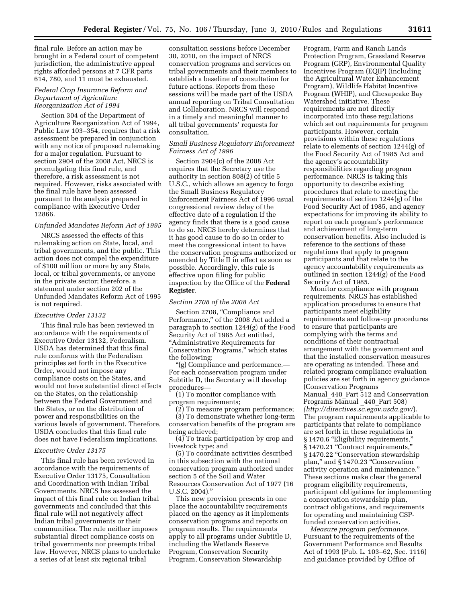final rule. Before an action may be brought in a Federal court of competent jurisdiction, the administrative appeal rights afforded persons at 7 CFR parts 614, 780, and 11 must be exhausted.

# *Federal Crop Insurance Reform and Department of Agriculture Reorganization Act of 1994*

Section 304 of the Department of Agriculture Reorganization Act of 1994, Public Law 103–354, requires that a risk assessment be prepared in conjunction with any notice of proposed rulemaking for a major regulation. Pursuant to section 2904 of the 2008 Act, NRCS is promulgating this final rule, and therefore, a risk assessment is not required. However, risks associated with the final rule have been assessed pursuant to the analysis prepared in compliance with Executive Order 12866.

# *Unfunded Mandates Reform Act of 1995*

NRCS assessed the effects of this rulemaking action on State, local, and tribal governments, and the public. This action does not compel the expenditure of \$100 million or more by any State, local, or tribal governments, or anyone in the private sector; therefore, a statement under section 202 of the Unfunded Mandates Reform Act of 1995 is not required.

#### *Executive Order 13132*

This final rule has been reviewed in accordance with the requirements of Executive Order 13132, Federalism. USDA has determined that this final rule conforms with the Federalism principles set forth in the Executive Order, would not impose any compliance costs on the States, and would not have substantial direct effects on the States, on the relationship between the Federal Government and the States, or on the distribution of power and responsibilities on the various levels of government. Therefore, USDA concludes that this final rule does not have Federalism implications.

#### *Executive Order 13175*

This final rule has been reviewed in accordance with the requirements of Executive Order 13175, Consultation and Coordination with Indian Tribal Governments. NRCS has assessed the impact of this final rule on Indian tribal governments and concluded that this final rule will not negatively affect Indian tribal governments or their communities. The rule neither imposes substantial direct compliance costs on tribal governments nor preempts tribal law. However, NRCS plans to undertake a series of at least six regional tribal

consultation sessions before December 30, 2010, on the impact of NRCS conservation programs and services on tribal governments and their members to establish a baseline of consultation for future actions. Reports from these sessions will be made part of the USDA annual reporting on Tribal Consultation and Collaboration. NRCS will respond in a timely and meaningful manner to all tribal governments' requests for consultation.

# *Small Business Regulatory Enforcement Fairness Act of 1996*

Section 2904(c) of the 2008 Act requires that the Secretary use the authority in section 808(2) of title 5 U.S.C., which allows an agency to forgo the Small Business Regulatory Enforcement Fairness Act of 1996 usual congressional review delay of the effective date of a regulation if the agency finds that there is a good cause to do so. NRCS hereby determines that it has good cause to do so in order to meet the congressional intent to have the conservation programs authorized or amended by Title II in effect as soon as possible. Accordingly, this rule is effective upon filing for public inspection by the Office of the **Federal Register**.

#### *Section 2708 of the 2008 Act*

Section 2708, "Compliance and Performance,'' of the 2008 Act added a paragraph to section 1244(g) of the Food Security Act of 1985 Act entitled, ''Administrative Requirements for Conservation Programs,'' which states the following:

''(g) Compliance and performance.— For each conservation program under Subtitle D, the Secretary will develop procedures—

(1) To monitor compliance with program requirements;

(2) To measure program performance; (3) To demonstrate whether long-term conservation benefits of the program are being achieved;

(4) To track participation by crop and livestock type; and

(5) To coordinate activities described in this subsection with the national conservation program authorized under section 5 of the Soil and Water Resources Conservation Act of 1977 (16 U.S.C. 2004).''

This new provision presents in one place the accountability requirements placed on the agency as it implements conservation programs and reports on program results. The requirements apply to all programs under Subtitle D, including the Wetlands Reserve Program, Conservation Security Program, Conservation Stewardship

Program, Farm and Ranch Lands Protection Program, Grassland Reserve Program (GRP), Environmental Quality Incentives Program (EQIP) (including the Agricultural Water Enhancement Program), Wildlife Habitat Incentive Program (WHIP), and Chesapeake Bay Watershed initiative. These requirements are not directly incorporated into these regulations which set out requirements for program participants. However, certain provisions within these regulations relate to elements of section 1244(g) of the Food Security Act of 1985 Act and the agency's accountability responsibilities regarding program performance. NRCS is taking this opportunity to describe existing procedures that relate to meeting the requirements of section 1244(g) of the Food Security Act of 1985, and agency expectations for improving its ability to report on each program's performance and achievement of long-term conservation benefits. Also included is reference to the sections of these regulations that apply to program participants and that relate to the agency accountability requirements as outlined in section 1244(g) of the Food Security Act of 1985.

Monitor compliance with program requirements. NRCS has established application procedures to ensure that participants meet eligibility requirements and follow-up procedures to ensure that participants are complying with the terms and conditions of their contractual arrangement with the government and that the installed conservation measures are operating as intended. These and related program compliance evaluation policies are set forth in agency guidance (Conservation Programs Manual\_440\_Part 512 and Conservation Programs Manual 440 Part 508) *(http://directives.sc.egov.usda.gov/*). The program requirements applicable to participants that relate to compliance are set forth in these regulations in § 1470.6 "Eligibility requirements," § 1470.21 "Contract requirements," § 1470.22 "Conservation stewardship plan,'' and § 1470.23 ''Conservation activity operation and maintenance.'' These sections make clear the general program eligibility requirements, participant obligations for implementing a conservation stewardship plan, contract obligations, and requirements for operating and maintaining CSPfunded conservation activities.

*Measure program performance.*  Pursuant to the requirements of the Government Performance and Results Act of 1993 (Pub. L. 103–62, Sec. 1116) and guidance provided by Office of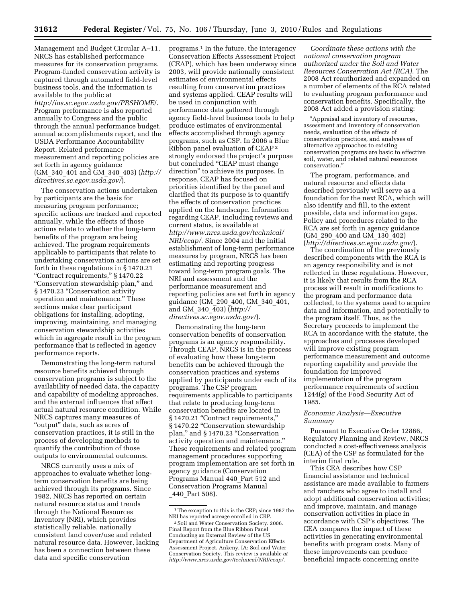Management and Budget Circular A–11, NRCS has established performance measures for its conservation programs. Program-funded conservation activity is captured through automated field-level business tools, and the information is available to the public at *http://ias.sc.egov.usda.gov/PRSHOME*/. Program performance is also reported annually to Congress and the public through the annual performance budget, annual accomplishments report, and the USDA Performance Accountability Report. Related performance measurement and reporting policies are set forth in agency guidance (GM\_340\_401 and GM\_340\_403) (*http:// directives.sc.egov.usda.gov/*).

The conservation actions undertaken by participants are the basis for measuring program performance; specific actions are tracked and reported annually, while the effects of those actions relate to whether the long-term benefits of the program are being achieved. The program requirements applicable to participants that relate to undertaking conservation actions are set forth in these regulations in § 1470.21 ''Contract requirements,'' § 1470.22 ''Conservation stewardship plan,'' and § 1470.23 "Conservation activity operation and maintenance.'' These sections make clear participant obligations for installing, adopting, improving, maintaining, and managing conservation stewardship activities which in aggregate result in the program performance that is reflected in agency performance reports.

Demonstrating the long-term natural resource benefits achieved through conservation programs is subject to the availability of needed data, the capacity and capability of modeling approaches, and the external influences that affect actual natural resource condition. While NRCS captures many measures of ''output'' data, such as acres of conservation practices, it is still in the process of developing methods to quantify the contribution of those outputs to environmental outcomes.

NRCS currently uses a mix of approaches to evaluate whether longterm conservation benefits are being achieved through its programs. Since 1982, NRCS has reported on certain natural resource status and trends through the National Resources Inventory (NRI), which provides statistically reliable, nationally consistent land cover/use and related natural resource data. However, lacking has been a connection between these data and specific conservation

programs.1 In the future, the interagency Conservation Effects Assessment Project (CEAP), which has been underway since 2003, will provide nationally consistent estimates of environmental effects resulting from conservation practices and systems applied. CEAP results will be used in conjunction with performance data gathered through agency field-level business tools to help produce estimates of environmental effects accomplished through agency programs, such as CSP. In 2006 a Blue Ribbon panel evaluation of CEAP 2 strongly endorsed the project's purpose but concluded ''CEAP must change direction'' to achieve its purposes. In response, CEAP has focused on priorities identified by the panel and clarified that its purpose is to quantify the effects of conservation practices applied on the landscape. Information regarding CEAP, including reviews and current status, is available at *http://www.nrcs.usda.gov/technical/ NRI/ceap/.* Since 2004 and the initial establishment of long-term performance measures by program, NRCS has been estimating and reporting progress toward long-term program goals. The NRI and assessment and the performance measurement and reporting policies are set forth in agency guidance (GM\_290\_400, GM\_340\_401, and GM\_340\_403) (*http:// directives.sc.egov.usda.gov/*).

Demonstrating the long-term conservation benefits of conservation programs is an agency responsibility. Through CEAP, NRCS is in the process of evaluating how these long-term benefits can be achieved through the conservation practices and systems applied by participants under each of its programs. The CSP program requirements applicable to participants that relate to producing long-term conservation benefits are located in § 1470.21 "Contract requirements," § 1470.22 "Conservation stewardship plan," and § 1470.23 "Conservation activity operation and maintenance.'' These requirements and related program management procedures supporting program implementation are set forth in agency guidance (Conservation Programs Manual 440\_Part 512 and Conservation Programs Manual \_440\_Part 508).

*Coordinate these actions with the national conservation program authorized under the Soil and Water Resources Conservation Act (RCA).* The 2008 Act reauthorized and expanded on a number of elements of the RCA related to evaluating program performance and conservation benefits. Specifically, the 2008 Act added a provision stating:

''Appraisal and inventory of resources, assessment and inventory of conservation needs, evaluation of the effects of conservation practices, and analyses of alternative approaches to existing conservation programs are basic to effective soil, water, and related natural resources conservation.''

The program, performance, and natural resource and effects data described previously will serve as a foundation for the next RCA, which will also identify and fill, to the extent possible, data and information gaps. Policy and procedures related to the RCA are set forth in agency guidance (GM\_290\_400 and GM\_130\_402) (*http://directives.sc.egov.usda.gov/*).

The coordination of the previously described components with the RCA is an agency responsibility and is not reflected in these regulations. However, it is likely that results from the RCA process will result in modifications to the program and performance data collected, to the systems used to acquire data and information, and potentially to the program itself. Thus, as the Secretary proceeds to implement the RCA in accordance with the statute, the approaches and processes developed will improve existing program performance measurement and outcome reporting capability and provide the foundation for improved implementation of the program performance requirements of section 1244(g) of the Food Security Act of 1985.

# *Economic Analysis—Executive Summary*

Pursuant to Executive Order 12866, Regulatory Planning and Review, NRCS conducted a cost-effectiveness analysis (CEA) of the CSP as formulated for the interim final rule.

This CEA describes how CSP financial assistance and technical assistance are made available to farmers and ranchers who agree to install and adopt additional conservation activities; and improve, maintain, and manage conservation activities in place in accordance with CSP's objectives. The CEA compares the impact of these activities in generating environmental benefits with program costs. Many of these improvements can produce beneficial impacts concerning onsite

<sup>1</sup>The exception to this is the CRP; since 1987 the NRI has reported acreage enrolled in CRP.

<sup>2</sup>Soil and Water Conservation Society. 2006. Final Report from the Blue Ribbon Panel Conducting an External Review of the US Department of Agriculture Conservation Effects Assessment Project. Ankeny, IA: Soil and Water Conservation Society. This review is available *at http://www.nrcs.usda.gov/technical/NRI/ceap/.*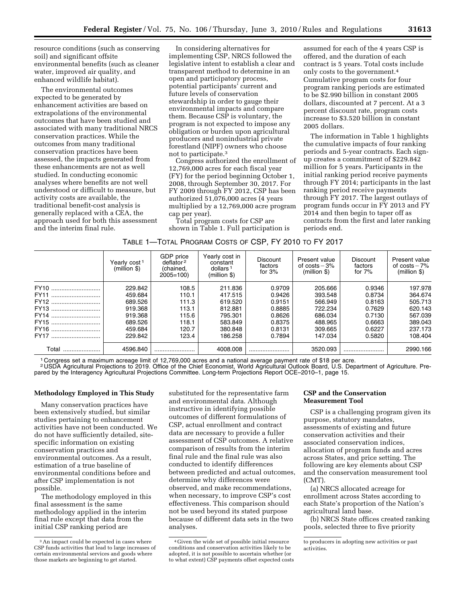resource conditions (such as conserving soil) and significant offsite environmental benefits (such as cleaner water, improved air quality, and enhanced wildlife habitat).

The environmental outcomes expected to be generated by enhancement activities are based on extrapolations of the environmental outcomes that have been studied and associated with many traditional NRCS conservation practices. While the outcomes from many traditional conservation practices have been assessed, the impacts generated from these enhancements are not as well studied. In conducting economic analyses where benefits are not well understood or difficult to measure, but activity costs are available, the traditional benefit-cost analysis is generally replaced with a CEA, the approach used for both this assessment and the interim final rule.

In considering alternatives for implementing CSP, NRCS followed the legislative intent to establish a clear and transparent method to determine in an open and participatory process, potential participants' current and future levels of conservation stewardship in order to gauge their environmental impacts and compare them. Because CSP is voluntary, the program is not expected to impose any obligation or burden upon agricultural producers and nonindustrial private forestland (NIPF) owners who choose not to participate.3

Congress authorized the enrollment of 12,769,000 acres for each fiscal year (FY) for the period beginning October 1, 2008, through September 30, 2017. For FY 2009 through FY 2012, CSP has been authorized 51,076,000 acres (4 years multiplied by a 12,769,000 acre program cap per year).

Total program costs for CSP are shown in Table 1. Full participation is

assumed for each of the 4 years CSP is offered, and the duration of each contract is 5 years. Total costs include only costs to the government.4 Cumulative program costs for four program ranking periods are estimated to be \$2.990 billion in constant 2005 dollars, discounted at 7 percent. At a 3 percent discount rate, program costs increase to \$3.520 billion in constant 2005 dollars.

The information in Table 1 highlights the cumulative impacts of four ranking periods and 5-year contracts. Each signup creates a commitment of \$229.842 million for 5 years. Participants in the initial ranking period receive payments through FY 2014; participants in the last ranking period receive payments through FY 2017. The largest outlays of program funds occur in FY 2013 and FY 2014 and then begin to taper off as contracts from the first and later ranking periods end.

|                 | Yearlv cost 1<br>(million <sub>s</sub> ) | GDP price<br>deflator <sup>2</sup><br>(chained,<br>$2005 = 100$ | Yearly cost in<br>constant<br>dollars <sup>1</sup><br>$(million \$ | <b>Discount</b><br>factors<br>for $3%$ | Present value<br>of $costs - 3%$<br>$(million \$ | <b>Discount</b><br>factors<br>for $7%$ | Present value<br>of $costs - 7%$<br>$(million \$ |
|-----------------|------------------------------------------|-----------------------------------------------------------------|--------------------------------------------------------------------|----------------------------------------|--------------------------------------------------|----------------------------------------|--------------------------------------------------|
| FY10            | 229.842                                  | 108.5                                                           | 211.836                                                            | 0.9709                                 | 205.666                                          | 0.9346                                 | 197.978                                          |
| <b>FY11</b><br> | 459.684                                  | 110.1                                                           | 417.515                                                            | 0.9426                                 | 393.548                                          | 0.8734                                 | 364.674                                          |
| FY12            | 689.526                                  | 111.3                                                           | 619.520                                                            | 0.9151                                 | 566.949                                          | 0.8163                                 | 505.713                                          |
| FY13            | 919.368                                  | 113.1                                                           | 812.881                                                            | 0.8885                                 | 722.234                                          | 0.7629                                 | 620.143                                          |
| FY14            | 919.368                                  | 115.6                                                           | 795.301                                                            | 0.8626                                 | 686.034                                          | 0.7130                                 | 567.039                                          |
| FY15            | 689.526                                  | 118.1                                                           | 583.849                                                            | 0.8375                                 | 488.965                                          | 0.6663                                 | 389.043                                          |
| FY16            | 459.684                                  | 120.7                                                           | 380.848                                                            | 0.8131                                 | 309.665                                          | 0.6227                                 | 237.173                                          |
| <b>FY17</b>     | 229.842                                  | 123.4                                                           | 186.258                                                            | 0.7894                                 | 147.034                                          | 0.5820                                 | 108.404                                          |
| Total           | 4596.840                                 |                                                                 | 4008.008                                                           |                                        | 3520.093                                         |                                        | 2990.166                                         |

1 Congress set a maximum acreage limit of 12,769,000 acres and a national average payment rate of \$18 per acre.

2 USDA Agricultural Projections to 2019. Office of the Chief Economist, World Agricultural Outlook Board, U.S. Department of Agriculture. Prepared by the Interagency Agricultural Projections Committee. Long-term Projections Report OCE–2010–1, page 15.

# **Methodology Employed in This Study**

Many conservation practices have been extensively studied, but similar studies pertaining to enhancement activities have not been conducted. We do not have sufficiently detailed, sitespecific information on existing conservation practices and environmental outcomes. As a result, estimation of a true baseline of environmental conditions before and after CSP implementation is not possible.

The methodology employed in this final assessment is the same methodology applied in the interim final rule except that data from the initial CSP ranking period are

substituted for the representative farm and environmental data. Although instructive in identifying possible outcomes of different formulations of CSP, actual enrollment and contract data are necessary to provide a fuller assessment of CSP outcomes. A relative comparison of results from the interim final rule and the final rule was also conducted to identify differences between predicted and actual outcomes, determine why differences were observed, and make recommendations, when necessary, to improve CSP's cost effectiveness. This comparison should not be used beyond its stated purpose because of different data sets in the two analyses.

# **CSP and the Conservation Measurement Tool**

CSP is a challenging program given its purpose, statutory mandates, assessments of existing and future conservation activities and their associated conservation indices, allocation of program funds and acres across States, and price setting. The following are key elements about CSP and the conservation measurement tool (CMT).

(a) NRCS allocated acreage for enrollment across States according to each State's proportion of the Nation's agricultural land base.

(b) NRCS State offices created ranking pools, selected three to five priority

<sup>3</sup>An impact could be expected in cases where CSP funds activities that lead to large increases of certain environmental services and goods where those markets are beginning to get started.

<sup>4</sup> Given the wide set of possible initial resource conditions and conservation activities likely to be adopted, it is not possible to ascertain whether (or to what extent) CSP payments offset expected costs

to producers in adopting new activities or past activities.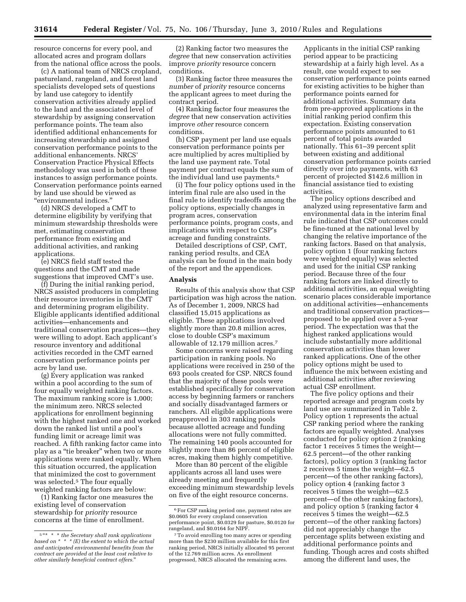resource concerns for every pool, and allocated acres and program dollars from the national office across the pools.

(c) A national team of NRCS cropland, pastureland, rangeland, and forest land specialists developed sets of questions by land use category to identify conservation activities already applied to the land and the associated level of stewardship by assigning conservation performance points. The team also identified additional enhancements for increasing stewardship and assigned conservation performance points to the additional enhancements. NRCS' Conservation Practice Physical Effects methodology was used in both of these instances to assign performance points. Conservation performance points earned by land use should be viewed as ''environmental indices.''

(d) NRCS developed a CMT to determine eligibility by verifying that minimum stewardship thresholds were met, estimating conservation performance from existing and additional activities, and ranking applications.

(e) NRCS field staff tested the questions and the CMT and made suggestions that improved CMT's use.

(f) During the initial ranking period, NRCS assisted producers in completing their resource inventories in the CMT and determining program eligibility. Eligible applicants identified additional activities—enhancements and traditional conservation practices—they were willing to adopt. Each applicant's resource inventory and additional activities recorded in the CMT earned conservation performance points per acre by land use.

(g) Every application was ranked within a pool according to the sum of four equally weighted ranking factors. The maximum ranking score is 1,000; the minimum zero. NRCS selected applications for enrollment beginning with the highest ranked one and worked down the ranked list until a pool's funding limit or acreage limit was reached. A fifth ranking factor came into play as a "tie breaker" when two or more applications were ranked equally. When this situation occurred, the application that minimized the cost to government was selected.<sup>5</sup> The four equally weighted ranking factors are below:

(1) Ranking factor one measures the existing level of conservation stewardship for *priority* resource concerns at the time of enrollment.

(2) Ranking factor two measures the *degree* that new conservation activities improve *priority* resource concern conditions.

(3) Ranking factor three measures the *number* of *priority* resource concerns the applicant agrees to meet during the contract period.

(4) Ranking factor four measures the *degree* that new conservation activities improve *other* resource concern conditions.

(h) CSP payment per land use equals conservation performance points per acre multiplied by acres multiplied by the land use payment rate. Total payment per contract equals the sum of the individual land use payments.6

(i) The four policy options used in the interim final rule are also used in the final rule to identify tradeoffs among the policy options, especially changes in program acres, conservation performance points, program costs, and implications with respect to CSP's acreage and funding constraints.

Detailed descriptions of CSP, CMT, ranking period results, and CEA analysis can be found in the main body of the report and the appendices.

#### **Analysis**

Results of this analysis show that CSP participation was high across the nation. As of December 1, 2009, NRCS had classified 15,015 applications as eligible. These applications involved slightly more than 20.8 million acres, close to double CSP's maximum allowable of 12.179 million acres.7

Some concerns were raised regarding participation in ranking pools. No applications were received in 250 of the 693 pools created for CSP. NRCS found that the majority of these pools were established specifically for conservation access by beginning farmers or ranchers and socially disadvantaged farmers or ranchers. All eligible applications were preapproved in 303 ranking pools because allotted acreage and funding allocations were not fully committed. The remaining 140 pools accounted for slightly more than 86 percent of eligible acres, making them highly competitive.

More than 80 percent of the eligible applicants across all land uses were already meeting and frequently exceeding minimum stewardship levels on five of the eight resource concerns.

Applicants in the initial CSP ranking period appear to be practicing stewardship at a fairly high level. As a result, one would expect to see conservation performance points earned for existing activities to be higher than performance points earned for additional activities. Summary data from pre-approved applications in the initial ranking period confirm this expectation. Existing conservation performance points amounted to 61 percent of total points awarded nationally. This 61–39 percent split between existing and additional conservation performance points carried directly over into payments, with 63 percent of projected \$142.6 million in financial assistance tied to existing activities.

The policy options described and analyzed using representative farm and environmental data in the interim final rule indicated that CSP outcomes could be fine-tuned at the national level by changing the relative importance of the ranking factors. Based on that analysis, policy option 1 (four ranking factors were weighted equally) was selected and used for the initial CSP ranking period. Because three of the four ranking factors are linked directly to additional activities, an equal weighting scenario places considerable importance on additional activities—enhancements and traditional conservation practices proposed to be applied over a 5-year period. The expectation was that the highest ranked applications would include substantially more additional conservation activities than lower ranked applications. One of the other policy options might be used to influence the mix between existing and additional activities after reviewing actual CSP enrollment.

The five policy options and their reported acreage and program costs by land use are summarized in Table 2. Policy option 1 represents the actual CSP ranking period where the ranking factors are equally weighted. Analyses conducted for policy option 2 (ranking factor 1 receives 5 times the weight— 62.5 percent—of the other ranking factors), policy option 3 (ranking factor 2 receives 5 times the weight—62.5 percent—of the other ranking factors), policy option 4 (ranking factor 3 receives 5 times the weight—62.5 percent—of the other ranking factors), and policy option 5 (ranking factor 4 receives 5 times the weight—62.5 percent—of the other ranking factors) did not appreciably change the percentage splits between existing and additional performance points and funding. Though acres and costs shifted among the different land uses, the

<sup>5</sup> ''\* \* \* *the Secretary shall rank applications based on \* \* \* (E) the extent to which the actual and anticipated environmental benefits from the contract are provided at the least cost relative to other similarly beneficial contract offers.*''

 $^{\rm 6}$  For CSP ranking period one, payment rates are \$0.0605 for every cropland conservation performance point, \$0.0329 for pasture, \$0.0120 for rangeland, and \$0.0164 for NIPF.

<sup>7</sup>To avoid enrolling too many acres or spending more than the \$230 million available for this first ranking period, NRCS initially allocated 95 percent of the 12.769 million acres. As enrollment progressed, NRCS allocated the remaining acres.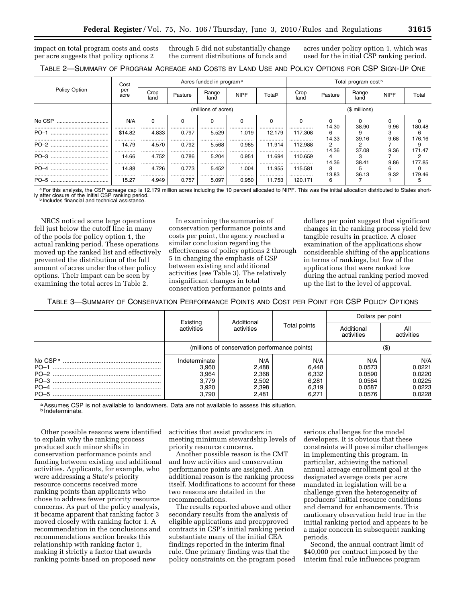impact on total program costs and costs per acre suggests that policy options 2 through 5 did not substantially change the current distributions of funds and

acres under policy option 1, which was used for the initial CSP ranking period.

| TABLE 2—SUMMARY OF PROGRAM ACREAGE AND COSTS BY LAND USE AND POLICY OPTIONS FOR CSP SIGN-UP ONE |  |  |  |
|-------------------------------------------------------------------------------------------------|--|--|--|
|-------------------------------------------------------------------------------------------------|--|--|--|

|               | Cost<br>per<br>acre | Acres funded in program <sup>a</sup> |               |               |               | Total program cost <sup>b</sup> |                 |            |               |             |             |
|---------------|---------------------|--------------------------------------|---------------|---------------|---------------|---------------------------------|-----------------|------------|---------------|-------------|-------------|
| Policy Option |                     | Crop<br>land                         | Pasture       | Range<br>land | <b>NIPF</b>   | Total <sup>2</sup>              | Crop<br>land    | Pasture    | Range<br>land | <b>NIPF</b> | Total       |
|               |                     | (millions of acres)                  |               |               |               |                                 | (\$ millions)   |            |               |             |             |
| No CSP        | N/A                 |                                      |               | 0             |               |                                 | $\Omega$        | 14.30      | 38.90         | 9.96        | 180.48      |
| $PO-1$        | <br>\$14.82<br>     | <br>4.833<br>                        | <br>0.797<br> | <br>5.529<br> | <br>1.019<br> | <br>12.179<br>                  | <br>117.308<br> | 6<br>14.33 | 39.16         | 9.68        | 6<br>176.16 |
| $PO-2$        | 14.79<br>           | 4.570<br>                            | 0.792<br>     | 5.568<br>     | 0.985<br>     | 11.914<br>                      | 112.988<br>     | 2<br>14.36 | 37.08         | 9.36        | 171.47      |
| $PO-3$        | 14.66<br>           | 4.752<br>                            | 0.786<br>     | 5.204<br>     | 0.951<br>     | 11.694<br>                      | 110.659<br>     | 4<br>14.36 | 38.41         | 9.86        | 177.85      |
| $PO-4$        | 14.88<br>           | 4.726<br>                            | 0.773<br>     | 5.452<br>     | 1.004<br>     | 11.955<br>                      | 115.581<br>     | 8<br>13.83 | 36.13         | հ<br>9.32   | 179.46      |
| $PO-5$        | 15.27               | 4.949                                | 0.757         | 5.097         | 0.950         | 11.753                          | 120.171         | 6          |               |             | 5           |

a For this analysis, the CSP acreage cap is 12.179 million acres including the 10 percent allocated to NIPF. This was the initial allocation distributed to States short-<br>Iy after closure of the initial CSP ranking period.<br>

NRCS noticed some large operations fell just below the cutoff line in many of the pools for policy option 1, the actual ranking period. These operations moved up the ranked list and effectively prevented the distribution of the full amount of acres under the other policy options. Their impact can be seen by examining the total acres in Table 2.

In examining the summaries of conservation performance points and costs per point, the agency reached a similar conclusion regarding the effectiveness of policy options 2 through 5 in changing the emphasis of CSP between existing and additional activities (*see* Table 3). The relatively insignificant changes in total conservation performance points and

dollars per point suggest that significant changes in the ranking process yield few tangible results in practice. A closer examination of the applications show considerable shifting of the applications in terms of rankings, but few of the applications that were ranked low during the actual ranking period moved up the list to the level of approval.

TABLE 3—SUMMARY OF CONSERVATION PERFORMANCE POINTS AND COST PER POINT FOR CSP POLICY OPTIONS

|        |                                                            | Additional                                       |                                                  | Dollars per point                                     |                                                       |  |
|--------|------------------------------------------------------------|--------------------------------------------------|--------------------------------------------------|-------------------------------------------------------|-------------------------------------------------------|--|
|        | Existing<br>activities                                     | activities                                       | Total points                                     | Additional<br>activities                              | All<br>activities                                     |  |
|        |                                                            | (millions of conservation performance points)    | (\$)                                             |                                                       |                                                       |  |
| $PO-5$ | Indeterminate<br>3.960<br>3.964<br>3.779<br>3.920<br>3.790 | N/A<br>2,488<br>2,368<br>2,502<br>2,398<br>2,481 | N/A<br>6,448<br>6,332<br>6,281<br>6,319<br>6,271 | N/A<br>0.0573<br>0.0590<br>0.0564<br>0.0587<br>0.0576 | N/A<br>0.0221<br>0.0220<br>0.0225<br>0.0223<br>0.0228 |  |

a Assumes CSP is not available to landowners. Data are not available to assess this situation. b Indeterminate.

Other possible reasons were identified to explain why the ranking process produced such minor shifts in conservation performance points and funding between existing and additional activities. Applicants, for example, who were addressing a State's priority resource concerns received more ranking points than applicants who chose to address fewer priority resource concerns. As part of the policy analysis, it became apparent that ranking factor 3 moved closely with ranking factor 1. A recommendation in the conclusions and recommendations section breaks this relationship with ranking factor 1, making it strictly a factor that awards ranking points based on proposed new

activities that assist producers in meeting minimum stewardship levels of priority resource concerns.

Another possible reason is the CMT and how activities and conservation performance points are assigned. An additional reason is the ranking process itself. Modifications to account for these two reasons are detailed in the recommendations.

The results reported above and other secondary results from the analysis of eligible applications and preapproved contracts in CSP's initial ranking period substantiate many of the initial CEA findings reported in the interim final rule. One primary finding was that the policy constraints on the program posed

serious challenges for the model developers. It is obvious that these constraints will pose similar challenges in implementing this program. In particular, achieving the national annual acreage enrollment goal at the designated average costs per acre mandated in legislation will be a challenge given the heterogeneity of producers' initial resource conditions and demand for enhancements. This cautionary observation held true in the initial ranking period and appears to be a major concern in subsequent ranking periods.

Second, the annual contract limit of \$40,000 per contract imposed by the interim final rule influences program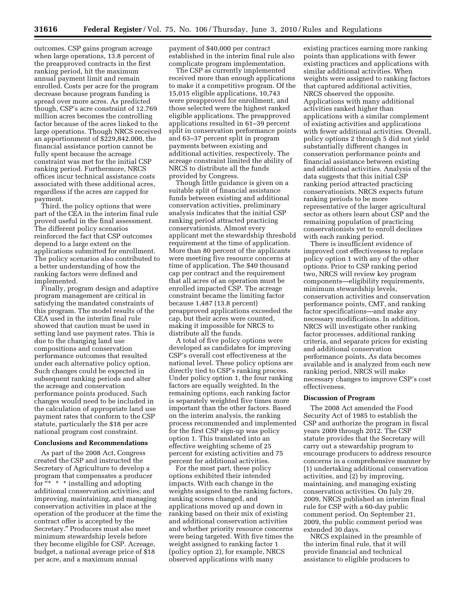outcomes. CSP gains program acreage when large operations, 13.8 percent of the preapproved contracts in the first ranking period, hit the maximum annual payment limit and remain enrolled. Costs per acre for the program decrease because program funding is spread over more acres. As predicted though, CSP's acre constraint of 12.769 million acres becomes the controlling factor because of the acres linked to the large operations. Though NRCS received an apportionment of \$229,842,000, the financial assistance portion cannot be fully spent because the acreage constraint was met for the initial CSP ranking period. Furthermore, NRCS offices incur technical assistance costs associated with these additional acres, regardless if the acres are capped for payment.

Third, the policy options that were part of the CEA in the interim final rule proved useful in the final assessment. The different policy scenarios reinforced the fact that CSP outcomes depend to a large extent on the applications submitted for enrollment. The policy scenarios also contributed to a better understanding of how the ranking factors were defined and implemented.

Finally, program design and adaptive program management are critical in satisfying the mandated constraints of this program. The model results of the CEA used in the interim final rule showed that caution must be used in setting land use payment rates. This is due to the changing land use compositions and conservation performance outcomes that resulted under each alternative policy option. Such changes could be expected in subsequent ranking periods and alter the acreage and conservation performance points produced. Such changes would need to be included in the calculation of appropriate land use payment rates that conform to the CSP statute, particularly the \$18 per acre national program cost constraint.

# **Conclusions and Recommendations**

As part of the 2008 Act, Congress created the CSP and instructed the Secretary of Agriculture to develop a program that compensates a producer for " $*$   $*$  installing and adopting additional conservation activities; and improving, maintaining, and managing conservation activities in place at the operation of the producer at the time the contract offer is accepted by the Secretary.'' Producers must also meet minimum stewardship levels before they become eligible for CSP. Acreage, budget, a national average price of \$18 per acre, and a maximum annual

payment of \$40,000 per contract established in the interim final rule also complicate program implementation.

The CSP as currently implemented received more than enough applications to make it a competitive program. Of the 15,015 eligible applications, 10,743 were preapproved for enrollment, and those selected were the highest ranked eligible applications. The preapproved applications resulted in 61–39 percent split in conservation performance points and 63–37 percent split in program payments between existing and additional activities, respectively. The acreage constraint limited the ability of NRCS to distribute all the funds provided by Congress.

Though little guidance is given on a suitable split of financial assistance funds between existing and additional conservation activities, preliminary analysis indicates that the initial CSP ranking period attracted practicing conservationists. Almost every applicant met the stewardship threshold requirement at the time of application. More than 80 percent of the applicants were meeting five resource concerns at time of application. The \$40 thousand cap per contract and the requirement that all acres of an operation must be enrolled impacted CSP. The acreage constraint became the limiting factor because 1,487 (13.8 percent) preapproved applications exceeded the cap, but their acres were counted, making it impossible for NRCS to distribute all the funds.

A total of five policy options were developed as candidates for improving CSP's overall cost effectiveness at the national level. These policy options are directly tied to CSP's ranking process. Under policy option 1, the four ranking factors are equally weighted. In the remaining options, each ranking factor is separately weighted five times more important than the other factors. Based on the interim analysis, the ranking process recommended and implemented for the first CSP sign-up was policy option 1. This translated into an effective weighting scheme of 25 percent for existing activities and 75 percent for additional activities.

For the most part, these policy options exhibited their intended impacts. With each change in the weights assigned to the ranking factors, ranking scores changed, and applications moved up and down in ranking based on their mix of existing and additional conservation activities and whether priority resource concerns were being targeted. With five times the weight assigned to ranking factor 1 (policy option 2), for example, NRCS observed applications with many

existing practices earning more ranking points than applications with fewer existing practices and applications with similar additional activities. When weights were assigned to ranking factors that captured additional activities, NRCS observed the opposite. Applications with many additional activities ranked higher than applications with a similar complement of existing activities and applications with fewer additional activities. Overall, policy options 2 through 5 did not yield substantially different changes in conservation performance points and financial assistance between existing and additional activities. Analysis of the data suggests that this initial CSP ranking period attracted practicing conservationists. NRCS expects future ranking periods to be more representative of the larger agricultural sector as others learn about CSP and the remaining population of practicing conservationists yet to enroll declines with each ranking period.

There is insufficient evidence of improved cost effectiveness to replace policy option 1 with any of the other options. Prior to CSP ranking period two, NRCS will review key program components—eligibility requirements, minimum stewardship levels, conservation activities and conservation performance points, CMT, and ranking factor specifications—and make any necessary modifications. In addition, NRCS will investigate other ranking factor processes, additional ranking criteria, and separate prices for existing and additional conservation performance points. As data becomes available and is analyzed from each new ranking period, NRCS will make necessary changes to improve CSP's cost effectiveness.

#### **Discussion of Program**

The 2008 Act amended the Food Security Act of 1985 to establish the CSP and authorize the program in fiscal years 2009 through 2012. The CSP statute provides that the Secretary will carry out a stewardship program to encourage producers to address resource concerns in a comprehensive manner by (1) undertaking additional conservation activities, and (2) by improving, maintaining, and managing existing conservation activities. On July 29, 2009, NRCS published an interim final rule for CSP with a 60-day public comment period. On September 21, 2009, the public comment period was extended 30 days.

NRCS explained in the preamble of the interim final rule, that it will provide financial and technical assistance to eligible producers to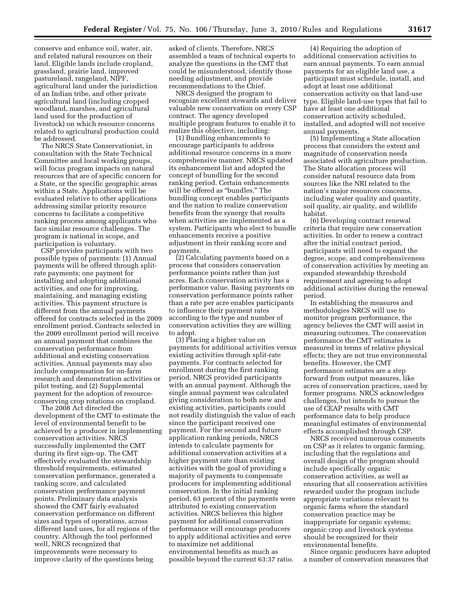conserve and enhance soil, water, air, and related natural resources on their land. Eligible lands include cropland, grassland, prairie land, improved pastureland, rangeland, NIPF, agricultural land under the jurisdiction of an Indian tribe, and other private agricultural land (including cropped woodland, marshes, and agricultural land used for the production of livestock) on which resource concerns related to agricultural production could be addressed.

The NRCS State Conservationist, in consultation with the State Technical Committee and local working groups, will focus program impacts on natural resources that are of specific concern for a State, or the specific geographic areas within a State. Applications will be evaluated relative to other applications addressing similar priority resource concerns to facilitate a competitive ranking process among applicants who face similar resource challenges. The program is national in scope, and participation is voluntary.

CSP provides participants with two possible types of payments: (1) Annual payments will be offered through splitrate payments; one payment for installing and adopting additional activities, and one for improving, maintaining, and managing existing activities. This payment structure is different from the annual payments offered for contracts selected in the 2009 enrollment period. Contracts selected in the 2009 enrollment period will receive an annual payment that combines the conservation performance from additional and existing conservation activities. Annual payments may also include compensation for on-farm research and demonstration activities or pilot testing, and (2) Supplemental payment for the adoption of resourceconserving crop rotations on cropland.

The 2008 Act directed the development of the CMT to estimate the level of environmental benefit to be achieved by a producer in implementing conservation activities. NRCS successfully implemented the CMT during its first sign-up. The CMT effectively evaluated the stewardship threshold requirements, estimated conservation performance, generated a ranking score, and calculated conservation performance payment points. Preliminary data analysis showed the CMT fairly evaluated conservation performance on different sizes and types of operations, across different land uses, for all regions of the country. Although the tool performed well, NRCS recognized that improvements were necessary to improve clarity of the questions being

asked of clients. Therefore, NRCS assembled a team of technical experts to analyze the questions in the CMT that could be misunderstood, identify those needing adjustment, and provide recommendations to the Chief.

NRCS designed the program to recognize excellent stewards and deliver valuable new conservation on every CSP contract. The agency developed multiple program features to enable it to realize this objective, including:

(1) Bundling enhancements to encourage participants to address additional resource concerns in a more comprehensive manner. NRCS updated its enhancement list and adopted the concept of bundling for the second ranking period. Certain enhancements will be offered as "bundles." The bundling concept enables participants and the nation to realize conservation benefits from the synergy that results when activities are implemented as a system. Participants who elect to bundle enhancements receive a positive adjustment in their ranking score and payments.

(2) Calculating payments based on a process that considers conservation performance points rather than just acres. Each conservation activity has a performance value. Basing payments on conservation performance points rather than a rate per acre enables participants to influence their payment rates according to the type and number of conservation activities they are willing to adopt.

(3) Placing a higher value on payments for additional activities versus existing activities through split-rate payments. For contracts selected for enrollment during the first ranking period, NRCS provided participants with an annual payment. Although the single annual payment was calculated giving consideration to both new and existing activities, participants could not readily distinguish the value of each since the participant received one payment. For the second and future application ranking periods, NRCS intends to calculate payments for additional conservation activities at a higher payment rate than existing activities with the goal of providing a majority of payments to compensate producers for implementing additional conservation. In the initial ranking period, 63 percent of the payments were attributed to existing conservation activities. NRCS believes this higher payment for additional conservation performance will encourage producers to apply additional activities and serve to maximize net additional environmental benefits as much as possible beyond the current 63:37 ratio.

(4) Requiring the adoption of additional conservation activities to earn annual payments. To earn annual payments for an eligible land use, a participant must schedule, install, and adopt at least one additional conservation activity on that land-use type. Eligible land-use types that fail to have at least one additional conservation activity scheduled, installed, and adopted will not receive annual payments.

(5) Implementing a State allocation process that considers the extent and magnitude of conservation needs associated with agriculture production. The State allocation process will consider natural resource data from sources like the NRI related to the nation's major resources concerns, including water quality and quantity, soil quality, air quality, and wildlife habitat.

(6) Developing contract renewal criteria that require new conservation activities. In order to renew a contract after the initial contract period, participants will need to expand the degree, scope, and comprehensiveness of conservation activities by meeting an expanded stewardship threshold requirement and agreeing to adopt additional activities during the renewal period.

In establishing the measures and methodologies NRCS will use to monitor program performance, the agency believes the CMT will assist in measuring outcomes. The conservation performance the CMT estimates is measured in terms of relative physical effects; they are not true environmental benefits. However, the CMT performance estimates are a step forward from output measures, like acres of conservation practices, used by former programs. NRCS acknowledges challenges, but intends to pursue the use of CEAP results with CMT performance data to help produce meaningful estimates of environmental effects accomplished through CSP.

NRCS received numerous comments on CSP as it relates to organic farming, including that the regulations and overall design of the program should include specifically organic conservation activities, as well as ensuring that all conservation activities rewarded under the program include appropriate variations relevant to organic farms where the standard conservation practice may be inappropriate for organic systems; organic crop and livestock systems should be recognized for their environmental benefits.

Since organic producers have adopted a number of conservation measures that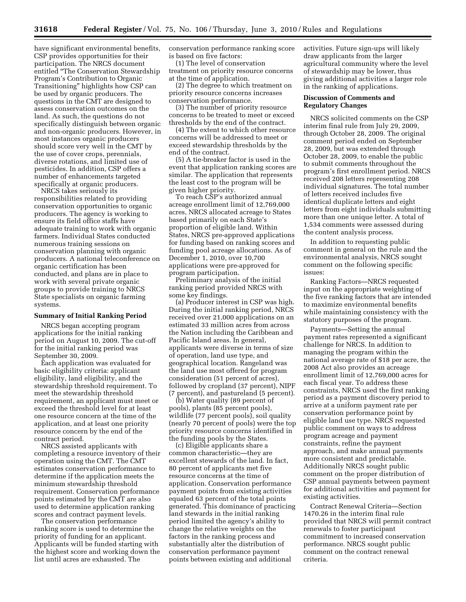have significant environmental benefits, CSP provides opportunities for their participation. The NRCS document entitled ''The Conservation Stewardship Program's Contribution to Organic Transitioning'' highlights how CSP can be used by organic producers. The questions in the CMT are designed to assess conservation outcomes on the land. As such, the questions do not specifically distinguish between organic and non-organic producers. However, in most instances organic producers should score very well in the CMT by the use of cover crops, perennials, diverse rotations, and limited use of pesticides. In addition, CSP offers a number of enhancements targeted specifically at organic producers.

NRCS takes seriously its responsibilities related to providing conservation opportunities to organic producers. The agency is working to ensure its field office staffs have adequate training to work with organic farmers. Individual States conducted numerous training sessions on conservation planning with organic producers. A national teleconference on organic certification has been conducted, and plans are in place to work with several private organic groups to provide training to NRCS State specialists on organic farming systems.

#### **Summary of Initial Ranking Period**

NRCS began accepting program applications for the initial ranking period on August 10, 2009. The cut-off for the initial ranking period was September 30, 2009.

Each application was evaluated for basic eligibility criteria: applicant eligibility, land eligibility, and the stewardship threshold requirement. To meet the stewardship threshold requirement, an applicant must meet or exceed the threshold level for at least one resource concern at the time of the application, and at least one priority resource concern by the end of the contract period.

NRCS assisted applicants with completing a resource inventory of their operation using the CMT. The CMT estimates conservation performance to determine if the application meets the minimum stewardship threshold requirement. Conservation performance points estimated by the CMT are also used to determine application ranking scores and contract payment levels.

The conservation performance ranking score is used to determine the priority of funding for an applicant. Applicants will be funded starting with the highest score and working down the list until acres are exhausted. The

conservation performance ranking score is based on five factors:

(1) The level of conservation treatment on priority resource concerns at the time of application.

(2) The degree to which treatment on priority resource concerns increases conservation performance.

(3) The number of priority resource concerns to be treated to meet or exceed thresholds by the end of the contract.

(4) The extent to which other resource concerns will be addressed to meet or exceed stewardship thresholds by the end of the contract.

(5) A tie-breaker factor is used in the event that application ranking scores are similar. The application that represents the least cost to the program will be given higher priority.

To reach CSP's authorized annual acreage enrollment limit of 12,769,000 acres, NRCS allocated acreage to States based primarily on each State's proportion of eligible land. Within States, NRCS pre-approved applications for funding based on ranking scores and funding pool acreage allocations. As of December 1, 2010, over 10,700 applications were pre-approved for program participation.

Preliminary analysis of the initial ranking period provided NRCS with some key findings.

(a) Producer interest in CSP was high. During the initial ranking period, NRCS received over 21,000 applications on an estimated 33 million acres from across the Nation including the Caribbean and Pacific Island areas. In general, applicants were diverse in terms of size of operation, land use type, and geographical location. Rangeland was the land use most offered for program consideration (51 percent of acres), followed by cropland (37 percent), NIPF (7 percent), and pastureland (5 percent).

(b) Water quality (89 percent of pools), plants (85 percent pools), wildlife (77 percent pools), soil quality (nearly 70 percent of pools) were the top priority resource concerns identified in the funding pools by the States.

(c) Eligible applicants share a common characteristic—they are excellent stewards of the land. In fact, 80 percent of applicants met five resource concerns at the time of application. Conservation performance payment points from existing activities equaled 63 percent of the total points generated. This dominance of practicing land stewards in the initial ranking period limited the agency's ability to change the relative weights on the factors in the ranking process and substantially alter the distribution of conservation performance payment points between existing and additional

activities. Future sign-ups will likely draw applicants from the larger agricultural community where the level of stewardship may be lower, thus giving additional activities a larger role in the ranking of applications.

# **Discussion of Comments and Regulatory Changes**

NRCS solicited comments on the CSP interim final rule from July 29, 2009, through October 28, 2009. The original comment period ended on September 28, 2009, but was extended through October 28, 2009, to enable the public to submit comments throughout the program's first enrollment period. NRCS received 208 letters representing 208 individual signatures. The total number of letters received includes five identical duplicate letters and eight letters from eight individuals submitting more than one unique letter. A total of 1,534 comments were assessed during the content analysis process.

In addition to requesting public comment in general on the rule and the environmental analysis, NRCS sought comment on the following specific issues:

Ranking Factors—NRCS requested input on the appropriate weighting of the five ranking factors that are intended to maximize environmental benefits while maintaining consistency with the statutory purposes of the program.

Payments—Setting the annual payment rates represented a significant challenge for NRCS. In addition to managing the program within the national average rate of \$18 per acre, the 2008 Act also provides an acreage enrollment limit of 12,769,000 acres for each fiscal year. To address these constraints, NRCS used the first ranking period as a payment discovery period to arrive at a uniform payment rate per conservation performance point by eligible land use type. NRCS requested public comment on ways to address program acreage and payment constraints, refine the payment approach, and make annual payments more consistent and predictable. Additionally NRCS sought public comment on the proper distribution of CSP annual payments between payment for additional activities and payment for existing activities.

Contract Renewal Criteria—Section 1470.26 in the interim final rule provided that NRCS will permit contract renewals to foster participant commitment to increased conservation performance. NRCS sought public comment on the contract renewal criteria.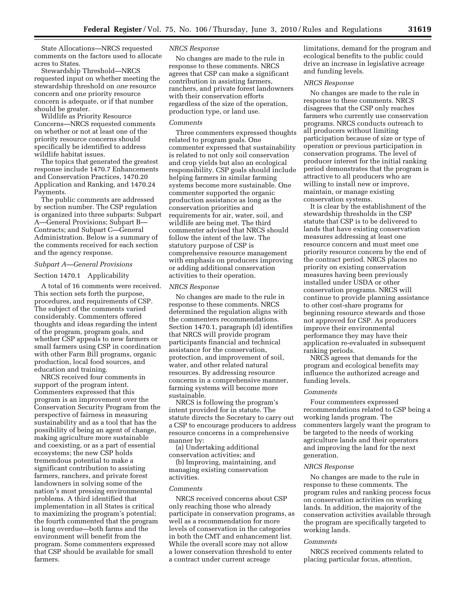State Allocations—NRCS requested comments on the factors used to allocate acres to States.

Stewardship Threshold—NRCS requested input on whether meeting the stewardship threshold on *one* resource concern and one priority resource concern is adequate, or if that number should be greater.

Wildlife as Priority Resource Concerns—NRCS requested comments on whether or not at least one of the priority resource concerns should specifically be identified to address wildlife habitat issues.

The topics that generated the greatest response include 1470.7 Enhancements and Conservation Practices, 1470.20 Application and Ranking, and 1470.24 Payments.

The public comments are addressed by section number. The CSP regulation is organized into three subparts: Subpart A—General Provisions; Subpart B— Contracts; and Subpart C—General Administration. Below is a summary of the comments received for each section and the agency response.

# *Subpart A—General Provisions*

# Section 1470.1 Applicability

A total of 16 comments were received. This section sets forth the purpose, procedures, and requirements of CSP. The subject of the comments varied considerably. Commenters offered thoughts and ideas regarding the intent of the program, program goals, and whether CSP appeals to new farmers or small farmers using CSP in coordination with other Farm Bill programs, organic production, local food sources, and education and training.

NRCS received four comments in support of the program intent. Commenters expressed that this program is an improvement over the Conservation Security Program from the perspective of fairness in measuring sustainability and as a tool that has the possibility of being an agent of change, making agriculture more sustainable and coexisting, or as a part of essential ecosystems; the new CSP holds tremendous potential to make a significant contribution to assisting farmers, ranchers, and private forest landowners in solving some of the nation's most pressing environmental problems. A third identified that implementation in all States is critical to maximizing the program's potential; the fourth commented that the program is long overdue—both farms and the environment will benefit from the program. Some commenters expressed that CSP should be available for small farmers.

# *NRCS Response*

No changes are made to the rule in response to these comments. NRCS agrees that CSP can make a significant contribution in assisting farmers, ranchers, and private forest landowners with their conservation efforts regardless of the size of the operation, production type, or land use.

# *Comments*

Three commenters expressed thoughts related to program goals. One commenter expressed that sustainability is related to not only soil conservation and crop yields but also an ecological responsibility. CSP goals should include helping farmers in similar farming systems become more sustainable. One commenter supported the organic production assistance as long as the conservation priorities and requirements for air, water, soil, and wildlife are being met. The third commenter advised that NRCS should follow the intent of the law. The statutory purpose of CSP is comprehensive resource management with emphasis on producers improving or adding additional conservation activities to their operation.

# *NRCS Response*

No changes are made to the rule in response to these comments. NRCS determined the regulation aligns with the commenters recommendations. Section 1470.1, paragraph (d) identifies that NRCS will provide program participants financial and technical assistance for the conservation, protection, and improvement of soil, water, and other related natural resources. By addressing resource concerns in a comprehensive manner, farming systems will become more sustainable.

NRCS is following the program's intent provided for in statute. The statute directs the Secretary to carry out a CSP to encourage producers to address resource concerns in a comprehensive manner by:

(a) Undertaking additional conservation activities; and

(b) Improving, maintaining, and managing existing conservation activities.

# *Comments*

NRCS received concerns about CSP only reaching those who already participate in conservation programs, as well as a recommendation for more levels of conservation in the categories in both the CMT and enhancement list. While the overall score may not allow a lower conservation threshold to enter a contract under current acreage

limitations, demand for the program and ecological benefits to the public could drive an increase in legislative acreage and funding levels.

# *NRCS Response*

No changes are made to the rule in response to these comments. NRCS disagrees that the CSP only reaches farmers who currently use conservation programs. NRCS conducts outreach to all producers without limiting participation because of size or type of operation or previous participation in conservation programs. The level of producer interest for the initial ranking period demonstrates that the program is attractive to all producers who are willing to install new or improve, maintain, or manage existing conservation systems.

It is clear by the establishment of the stewardship thresholds in the CSP statute that CSP is to be delivered to lands that have existing conservation measures addressing at least one resource concern and must meet one priority resource concern by the end of the contract period. NRCS places no priority on existing conservation measures having been previously installed under USDA or other conservation programs. NRCS will continue to provide planning assistance to other cost-share programs for beginning resource stewards and those not approved for CSP. As producers improve their environmental performance they may have their application re-evaluated in subsequent ranking periods.

NRCS agrees that demands for the program and ecological benefits may influence the authorized acreage and funding levels.

#### *Comments*

Four commenters expressed recommendations related to CSP being a working lands program. The commenters largely want the program to be targeted to the needs of working agriculture lands and their operators and improving the land for the next generation.

# *NRCS Response*

No changes are made to the rule in response to these comments. The program rules and ranking process focus on conservation activities on working lands. In addition, the majority of the conservation activities available through the program are specifically targeted to working lands.

## *Comments*

NRCS received comments related to placing particular focus, attention,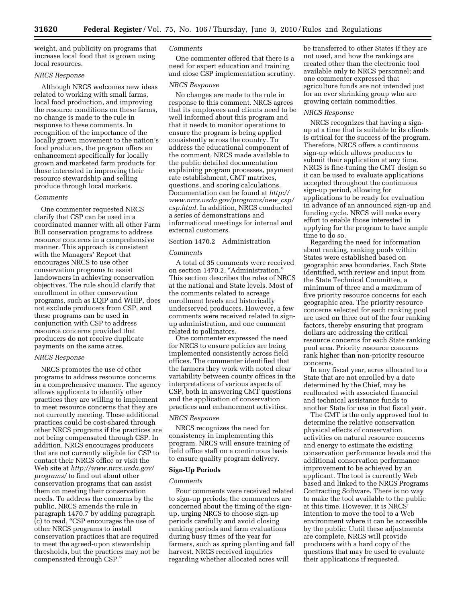weight, and publicity on programs that increase local food that is grown using local resources.

# *NRCS Response*

Although NRCS welcomes new ideas related to working with small farms, local food production, and improving the resource conditions on these farms, no change is made to the rule in response to these comments. In recognition of the importance of the locally grown movement to the nation's food producers, the program offers an enhancement specifically for locally grown and marketed farm products for those interested in improving their resource stewardship and selling produce through local markets.

#### *Comments*

One commenter requested NRCS clarify that CSP can be used in a coordinated manner with all other Farm Bill conservation programs to address resource concerns in a comprehensive manner. This approach is consistent with the Managers' Report that encourages NRCS to use other conservation programs to assist landowners in achieving conservation objectives. The rule should clarify that enrollment in other conservation programs, such as EQIP and WHIP, does not exclude producers from CSP, and these programs can be used in conjunction with CSP to address resource concerns provided that producers do not receive duplicate payments on the same acres.

#### *NRCS Response*

NRCS promotes the use of other programs to address resource concerns in a comprehensive manner. The agency allows applicants to identify other practices they are willing to implement to meet resource concerns that they are not currently meeting. These additional practices could be cost-shared through other NRCS programs if the practices are not being compensated through CSP. In addition, NRCS encourages producers that are not currently eligible for CSP to contact their NRCS office or visit the Web site at *http://www.nrcs.usda.gov/ programs/* to find out about other conservation programs that can assist them on meeting their conservation needs. To address the concerns by the public, NRCS amends the rule in paragraph 1470.7 by adding paragraph (c) to read, ''CSP encourages the use of other NRCS programs to install conservation practices that are required to meet the agreed-upon stewardship thresholds, but the practices may not be compensated through CSP.''

# *Comments*

One commenter offered that there is a need for expert education and training and close CSP implementation scrutiny.

#### *NRCS Response*

No changes are made to the rule in response to this comment. NRCS agrees that its employees and clients need to be well informed about this program and that it needs to monitor operations to ensure the program is being applied consistently across the country. To address the educational component of the comment, NRCS made available to the public detailed documentation explaining program processes, payment rate establishment, CMT matrixes, questions, and scoring calculations. Documentation can be found at *http:// www.nrcs.usda.gov/programs/new*\_*csp/ csp.html.* In addition, NRCS conducted a series of demonstrations and informational meetings for internal and external customers.

# Section 1470.2 Administration

# *Comments*

A total of 35 comments were received on section 1470.2, "Administration." This section describes the roles of NRCS at the national and State levels. Most of the comments related to acreage enrollment levels and historically underserved producers. However, a few comments were received related to signup administration, and one comment related to pollinators.

One commenter expressed the need for NRCS to ensure policies are being implemented consistently across field offices. The commenter identified that the farmers they work with noted clear variability between county offices in the interpretations of various aspects of CSP, both in answering CMT questions and the application of conservation practices and enhancement activities.

# *NRCS Response*

NRCS recognizes the need for consistency in implementing this program. NRCS will ensure training of field office staff on a continuous basis to ensure quality program delivery.

# **Sign-Up Periods**

#### *Comments*

Four comments were received related to sign-up periods; the commenters are concerned about the timing of the signup, urging NRCS to choose sign-up periods carefully and avoid closing ranking periods and farm evaluations during busy times of the year for farmers, such as spring planting and fall harvest. NRCS received inquiries regarding whether allocated acres will

be transferred to other States if they are not used, and how the rankings are created other than the electronic tool available only to NRCS personnel; and one commenter expressed that agriculture funds are not intended just for an ever shrinking group who are growing certain commodities.

# *NRCS Response*

NRCS recognizes that having a signup at a time that is suitable to its clients is critical for the success of the program. Therefore, NRCS offers a continuous sign-up which allows producers to submit their application at any time. NRCS is fine-tuning the CMT design so it can be used to evaluate applications accepted throughout the continuous sign-up period, allowing for applications to be ready for evaluation in advance of an announced sign-up and funding cycle. NRCS will make every effort to enable those interested in applying for the program to have ample time to do so.

Regarding the need for information about ranking, ranking pools within States were established based on geographic area boundaries. Each State identified, with review and input from the State Technical Committee, a minimum of three and a maximum of five priority resource concerns for each geographic area. The priority resource concerns selected for each ranking pool are used on three out of the four ranking factors, thereby ensuring that program dollars are addressing the critical resource concerns for each State ranking pool area. Priority resource concerns rank higher than non-priority resource concerns.

In any fiscal year, acres allocated to a State that are not enrolled by a date determined by the Chief, may be reallocated with associated financial and technical assistance funds to another State for use in that fiscal year.

The CMT is the only approved tool to determine the relative conservation physical effects of conservation activities on natural resource concerns and energy to estimate the existing conservation performance levels and the additional conservation performance improvement to be achieved by an applicant. The tool is currently Web based and linked to the NRCS Programs Contracting Software. There is no way to make the tool available to the public at this time. However, it is NRCS' intention to move the tool to a Web environment where it can be accessible by the public. Until these adjustments are complete, NRCS will provide producers with a hard copy of the questions that may be used to evaluate their applications if requested.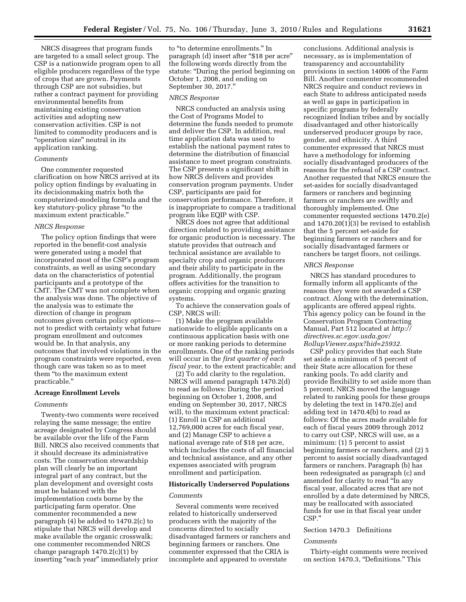NRCS disagrees that program funds are targeted to a small select group. The CSP is a nationwide program open to all eligible producers regardless of the type of crops that are grown. Payments through CSP are not subsidies, but rather a contract payment for providing environmental benefits from maintaining existing conservation activities and adopting new conservation activities. CSP is not limited to commodity producers and is "operation size" neutral in its application ranking.

# *Comments*

One commenter requested clarification on how NRCS arrived at its policy option findings by evaluating in its decisionmaking matrix both the computerized-modeling formula and the key statutory-policy phrase ''to the maximum extent practicable.''

#### *NRCS Response*

The policy option findings that were reported in the benefit-cost analysis were generated using a model that incorporated most of the CSP's program constraints, as well as using secondary data on the characteristics of potential participants and a prototype of the CMT. The CMT was not complete when the analysis was done. The objective of the analysis was to estimate the direction of change in program outcomes given certain policy options not to predict with certainty what future program enrollment and outcomes would be. In that analysis, any outcomes that involved violations in the program constraints were reported, even though care was taken so as to meet them ''to the maximum extent practicable.''

# **Acreage Enrollment Levels**

# *Comments*

Twenty-two comments were received relaying the same message; the entire acreage designated by Congress should be available over the life of the Farm Bill. NRCS also received comments that it should decrease its administrative costs. The conservation stewardship plan will clearly be an important integral part of any contract, but the plan development and oversight costs must be balanced with the implementation costs borne by the participating farm operator. One commenter recommended a new paragraph (4) be added to 1470.2(c) to stipulate that NRCS will develop and make available the organic crosswalk; one commenter recommended NRCS change paragraph  $1470.2(c)(1)$  by inserting "each year" immediately prior

to ''to determine enrollments.'' In paragraph (d) insert after ''\$18 per acre'' the following words directly from the statute: ''During the period beginning on October 1, 2008, and ending on September 30, 2017.''

#### *NRCS Response*

NRCS conducted an analysis using the Cost of Programs Model to determine the funds needed to promote and deliver the CSP. In addition, real time application data was used to establish the national payment rates to determine the distribution of financial assistance to meet program constraints. The CSP presents a significant shift in how NRCS delivers and provides conservation program payments. Under CSP, participants are paid for conservation performance. Therefore, it is inappropriate to compare a traditional program like EQIP with CSP.

NRCS does not agree that additional direction related to providing assistance for organic production is necessary. The statute provides that outreach and technical assistance are available to specialty crop and organic producers and their ability to participate in the program. Additionally, the program offers activities for the transition to organic cropping and organic grazing systems.

To achieve the conservation goals of CSP, NRCS will:

(1) Make the program available nationwide to eligible applicants on a continuous application basis with one or more ranking periods to determine enrollments. One of the ranking periods will occur in the *first quarter of each fiscal year,* to the extent practicable; and

(2) To add clarity to the regulation, NRCS will amend paragraph 1470.2(d) to read as follows: During the period beginning on October 1, 2008, and ending on September 30, 2017, NRCS will, to the maximum extent practical: (1) Enroll in CSP an additional 12,769,000 acres for each fiscal year, and (2) Manage CSP to achieve a national average rate of \$18 per acre, which includes the costs of all financial and technical assistance, and any other expenses associated with program enrollment and participation.

## **Historically Underserved Populations**

#### *Comments*

Several comments were received related to historically underserved producers with the majority of the concerns directed to socially disadvantaged farmers or ranchers and beginning farmers or ranchers. One commenter expressed that the CRIA is incomplete and appeared to overstate

conclusions. Additional analysis is necessary, as is implementation of transparency and accountability provisions in section 14006 of the Farm Bill. Another commenter recommended NRCS require and conduct reviews in each State to address anticipated needs as well as gaps in participation in specific programs by federally recognized Indian tribes and by socially disadvantaged and other historically underserved producer groups by race, gender, and ethnicity. A third commenter expressed that NRCS must have a methodology for informing socially disadvantaged producers of the reasons for the refusal of a CSP contract. Another requested that NRCS ensure the set-asides for socially disadvantaged farmers or ranchers and beginning farmers or ranchers are swiftly and thoroughly implemented. One commenter requested sections 1470.2(e) and 1470.20(1)(3) be revised to establish that the 5 percent set-aside for beginning farmers or ranchers and for socially disadvantaged farmers or ranchers be target floors, not ceilings.

# *NRCS Response*

NRCS has standard procedures to formally inform all applicants of the reasons they were not awarded a CSP contract. Along with the determination, applicants are offered appeal rights. This agency policy can be found in the Conservation Program Contracting Manual, Part 512 located at *http:// directives.sc.egov.usda.gov/ RollupViewer.aspx?hid=25932.* 

CSP policy provides that each State set aside a minimum of 5 percent of their State acre allocation for these ranking pools. To add clarity and provide flexibility to set aside more than 5 percent, NRCS moved the language related to ranking pools for these groups by deleting the text in 1470.2(e) and adding text in 1470.4(b) to read as follows: Of the acres made available for each of fiscal years 2009 through 2012 to carry out CSP, NRCS will use, as a minimum: (1) 5 percent to assist beginning farmers or ranchers, and (2) 5 percent to assist socially disadvantaged farmers or ranchers. Paragraph (b) has been redesignated as paragraph (c) and amended for clarity to read ''In any fiscal year, allocated acres that are not enrolled by a date determined by NRCS, may be reallocated with associated funds for use in that fiscal year under CSP.''

# Section 1470.3 Definitions

## *Comments*

Thirty-eight comments were received on section 1470.3, "Definitions." This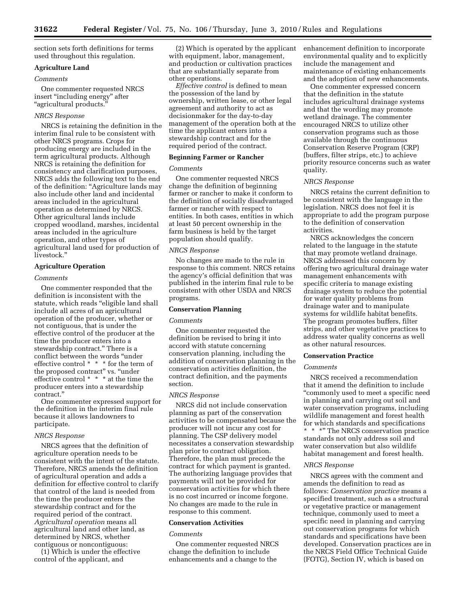section sets forth definitions for terms used throughout this regulation.

# **Agriculture Land**

#### *Comments*

One commenter requested NRCS insert ''including energy'' after ''agricultural products.''

# *NRCS Response*

NRCS is retaining the definition in the interim final rule to be consistent with other NRCS programs. Crops for producing energy are included in the term agricultural products. Although NRCS is retaining the definition for consistency and clarification purposes, NRCS adds the following text to the end of the definition: ''Agriculture lands may also include other land and incidental areas included in the agricultural operation as determined by NRCS. Other agricultural lands include cropped woodland, marshes, incidental areas included in the agriculture operation, and other types of agricultural land used for production of livestock.''

# **Agriculture Operation**

# *Comments*

One commenter responded that the definition is inconsistent with the statute, which reads ''eligible land shall include all acres of an agricultural operation of the producer, whether or not contiguous, that is under the effective control of the producer at the time the producer enters into a stewardship contract.'' There is a conflict between the words ''under effective control \* \* \* for the term of the proposed contract" vs. "under effective control \* \* \* at the time the producer enters into a stewardship contract.''

One commenter expressed support for the definition in the interim final rule because it allows landowners to participate.

# *NRCS Response*

NRCS agrees that the definition of agriculture operation needs to be consistent with the intent of the statute. Therefore, NRCS amends the definition of agricultural operation and adds a definition for effective control to clarify that control of the land is needed from the time the producer enters the stewardship contract and for the required period of the contract. *Agricultural operation* means all agricultural land and other land, as determined by NRCS, whether contiguous or noncontiguous:

(1) Which is under the effective control of the applicant, and

(2) Which is operated by the applicant with equipment, labor, management, and production or cultivation practices that are substantially separate from other operations.

*Effective control* is defined to mean the possession of the land by ownership, written lease, or other legal agreement and authority to act as decisionmaker for the day-to-day management of the operation both at the time the applicant enters into a stewardship contract and for the required period of the contract.

## **Beginning Farmer or Rancher**

#### *Comments*

One commenter requested NRCS change the definition of beginning farmer or rancher to make it conform to the definition of socially disadvantaged farmer or rancher with respect to entities. In both cases, entities in which at least 50 percent ownership in the farm business is held by the target population should qualify.

## *NRCS Response*

No changes are made to the rule in response to this comment. NRCS retains the agency's official definition that was published in the interim final rule to be consistent with other USDA and NRCS programs.

# **Conservation Planning**

# *Comments*

One commenter requested the definition be revised to bring it into accord with statute concerning conservation planning, including the addition of conservation planning in the conservation activities definition, the contract definition, and the payments section.

#### *NRCS Response*

NRCS did not include conservation planning as part of the conservation activities to be compensated because the producer will not incur any cost for planning. The CSP delivery model necessitates a conservation stewardship plan prior to contract obligation. Therefore, the plan must precede the contract for which payment is granted. The authorizing language provides that payments will not be provided for conservation activities for which there is no cost incurred or income forgone. No changes are made to the rule in response to this comment.

#### **Conservation Activities**

# *Comments*

One commenter requested NRCS change the definition to include enhancements and a change to the

enhancement definition to incorporate environmental quality and to explicitly include the management and maintenance of existing enhancements and the adoption of new enhancements.

One commenter expressed concern that the definition in the statute includes agricultural drainage systems and that the wording may promote wetland drainage. The commenter encouraged NRCS to utilize other conservation programs such as those available through the continuous Conservation Reserve Program (CRP) (buffers, filter strips, etc.) to achieve priority resource concerns such as water quality.

#### *NRCS Response*

NRCS retains the current definition to be consistent with the language in the legislation. NRCS does not feel it is appropriate to add the program purpose to the definition of conservation activities.

NRCS acknowledges the concern related to the language in the statute that may promote wetland drainage. NRCS addressed this concern by offering two agricultural drainage water management enhancements with specific criteria to manage existing drainage system to reduce the potential for water quality problems from drainage water and to manipulate systems for wildlife habitat benefits. The program promotes buffers, filter strips, and other vegetative practices to address water quality concerns as well as other natural resources.

## **Conservation Practice**

# *Comments*

NRCS received a recommendation that it amend the definition to include ''commonly used to meet a specific need in planning and carrying out soil and water conservation programs, including wildlife management and forest health for which standards and specifications \*\*\*'' The NRCS conservation practice standards not only address soil and water conservation but also wildlife habitat management and forest health.

#### *NRCS Response*

NRCS agrees with the comment and amends the definition to read as follows: *Conservation practice* means a specified treatment, such as a structural or vegetative practice or management technique, commonly used to meet a specific need in planning and carrying out conservation programs for which standards and specifications have been developed. Conservation practices are in the NRCS Field Office Technical Guide (FOTG), Section IV, which is based on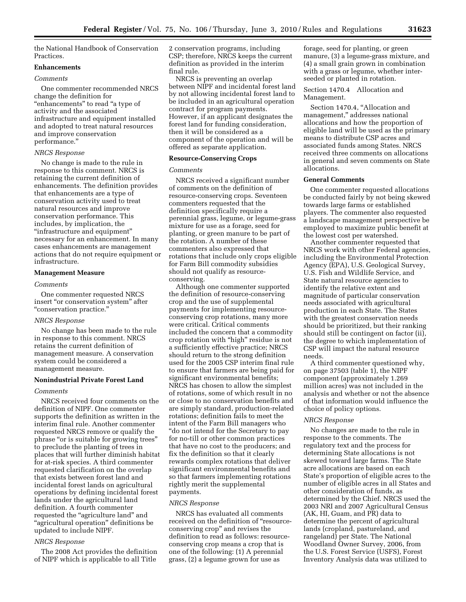the National Handbook of Conservation Practices.

# **Enhancements**

# *Comments*

One commenter recommended NRCS change the definition for "enhancements" to read "a type of activity and the associated infrastructure and equipment installed and adopted to treat natural resources and improve conservation performance.''

# *NRCS Response*

No change is made to the rule in response to this comment. NRCS is retaining the current definition of enhancements. The definition provides that enhancements are a type of conservation activity used to treat natural resources and improve conservation performance. This includes, by implication, the ''infrastructure and equipment'' necessary for an enhancement. In many cases enhancements are management actions that do not require equipment or infrastructure.

# **Management Measure**

# *Comments*

One commenter requested NRCS insert "or conservation system" after ''conservation practice.''

# *NRCS Response*

No change has been made to the rule in response to this comment. NRCS retains the current definition of management measure. A conservation system could be considered a management measure.

# **Nonindustrial Private Forest Land**

# *Comments*

NRCS received four comments on the definition of NIPF. One commenter supports the definition as written in the interim final rule. Another commenter requested NRCS remove or qualify the phrase "or is suitable for growing trees" to preclude the planting of trees in places that will further diminish habitat for at-risk species. A third commenter requested clarification on the overlap that exists between forest land and incidental forest lands on agricultural operations by defining incidental forest lands under the agricultural land definition. A fourth commenter requested the "agriculture land" and ''agricultural operation'' definitions be updated to include NIPF.

## *NRCS Response*

The 2008 Act provides the definition of NIPF which is applicable to all Title

2 conservation programs, including CSP; therefore, NRCS keeps the current definition as provided in the interim final rule.

NRCS is preventing an overlap between NIPF and incidental forest land by not allowing incidental forest land to be included in an agricultural operation contract for program payments. However, if an applicant designates the forest land for funding consideration, then it will be considered as a component of the operation and will be offered as separate application.

# **Resource-Conserving Crops**

# *Comments*

NRCS received a significant number of comments on the definition of resource-conserving crops. Seventeen commenters requested that the definition specifically require a perennial grass, legume, or legume-grass mixture for use as a forage, seed for planting, or green manure to be part of the rotation. A number of these commenters also expressed that rotations that include only crops eligible for Farm Bill commodity subsidies should not qualify as resourceconserving.

Although one commenter supported the definition of resource-conserving crop and the use of supplemental payments for implementing resourceconserving crop rotations, many more were critical. Critical comments included the concern that a commodity crop rotation with "high" residue is not a sufficiently effective practice; NRCS should return to the strong definition used for the 2005 CSP interim final rule to ensure that farmers are being paid for significant environmental benefits; NRCS has chosen to allow the simplest of rotations, some of which result in no or close to no conservation benefits and are simply standard, production-related rotations; definition fails to meet the intent of the Farm Bill managers who ''do not intend for the Secretary to pay for no-till or other common practices that have no cost to the producers; and fix the definition so that it clearly rewards complex rotations that deliver significant environmental benefits and so that farmers implementing rotations rightly merit the supplemental payments.

#### *NRCS Response*

NRCS has evaluated all comments received on the definition of ''resourceconserving crop'' and revises the definition to read as follows: resourceconserving crop means a crop that is one of the following: (1) A perennial grass, (2) a legume grown for use as

forage, seed for planting, or green manure, (3) a legume-grass mixture, and (4) a small grain grown in combination with a grass or legume, whether interseeded or planted in rotation.

# Section 1470.4 Allocation and Management.

Section 1470.4, "Allocation and management,'' addresses national allocations and how the proportion of eligible land will be used as the primary means to distribute CSP acres and associated funds among States. NRCS received three comments on allocations in general and seven comments on State allocations.

# **General Comments**

One commenter requested allocations be conducted fairly by not being skewed towards large farms or established players. The commenter also requested a landscape management perspective be employed to maximize public benefit at the lowest cost per watershed.

Another commenter requested that NRCS work with other Federal agencies, including the Environmental Protection Agency (EPA), U.S. Geological Survey, U.S. Fish and Wildlife Service, and State natural resource agencies to identify the relative extent and magnitude of particular conservation needs associated with agricultural production in each State. The States with the greatest conservation needs should be prioritized, but their ranking should still be contingent on factor (ii), the degree to which implementation of CSP will impact the natural resource needs.

A third commenter questioned why, on page 37503 (table 1), the NIPF component (approximately 1.269 million acres) was not included in the analysis and whether or not the absence of that information would influence the choice of policy options.

#### *NRCS Response*

No changes are made to the rule in response to the comments. The regulatory text and the process for determining State allocations is not skewed toward large farms. The State acre allocations are based on each State's proportion of eligible acres to the number of eligible acres in all States and other consideration of funds, as determined by the Chief. NRCS used the 2003 NRI and 2007 Agricultural Census (AK, HI, Guam, and PR) data to determine the percent of agricultural lands (cropland, pastureland, and rangeland) per State. The National Woodland Owner Survey, 2006, from the U.S. Forest Service (USFS), Forest Inventory Analysis data was utilized to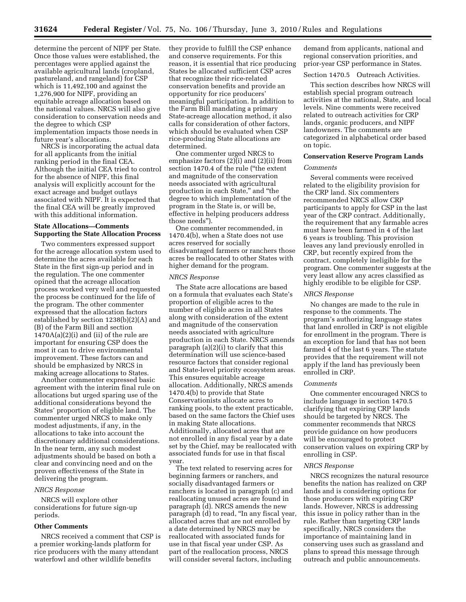determine the percent of NIPF per State. Once those values were established, the percentages were applied against the available agricultural lands (cropland, pastureland, and rangeland) for CSP which is 11,492,100 and against the 1,276,900 for NIPF, providing an equitable acreage allocation based on the national values. NRCS will also give consideration to conservation needs and the degree to which CSP implementation impacts those needs in future year's allocations.

NRCS is incorporating the actual data for all applicants from the initial ranking period in the final CEA. Although the initial CEA tried to control for the absence of NIPF, this final analysis will explicitly account for the exact acreage and budget outlays associated with NIPF. It is expected that the final CEA will be greatly improved with this additional information.

# **State Allocations—Comments Supporting the State Allocation Process**

Two commenters expressed support for the acreage allocation system used to determine the acres available for each State in the first sign-up period and in the regulation. The one commenter opined that the acreage allocation process worked very well and requested the process be continued for the life of the program. The other commenter expressed that the allocation factors established by section 1238(b)(2)(A) and (B) of the Farm Bill and section  $1470A(a)(2)(i)$  and (ii) of the rule are important for ensuring CSP does the most it can to drive environmental improvement. These factors can and should be emphasized by NRCS in making acreage allocations to States.

Another commenter expressed basic agreement with the interim final rule on allocations but urged sparing use of the additional considerations beyond the States' proportion of eligible land. The commenter urged NRCS to make only modest adjustments, if any, in the allocations to take into account the discretionary additional considerations. In the near term, any such modest adjustments should be based on both a clear and convincing need and on the proven effectiveness of the State in delivering the program.

#### *NRCS Response*

NRCS will explore other considerations for future sign-up periods.

# **Other Comments**

NRCS received a comment that CSP is a premier working-lands platform for rice producers with the many attendant waterfowl and other wildlife benefits

they provide to fulfill the CSP enhance and conserve requirements. For this reason, it is essential that rice producing States be allocated sufficient CSP acres that recognize their rice-related conservation benefits and provide an opportunity for rice producers' meaningful participation. In addition to the Farm Bill mandating a primary State-acreage allocation method, it also calls for consideration of other factors, which should be evaluated when CSP rice-producing State allocations are determined.

One commenter urged NRCS to emphasize factors (2)(i) and (2)(ii) from section 1470.4 of the rule (''the extent and magnitude of the conservation needs associated with agricultural production in each State,'' and ''the degree to which implementation of the program in the State is, or will be, effective in helping producers address those needs'').

One commenter recommended, in 1470.4(b), when a State does not use acres reserved for socially disadvantaged farmers or ranchers those acres be reallocated to other States with higher demand for the program.

# *NRCS Response*

The State acre allocations are based on a formula that evaluates each State's proportion of eligible acres to the number of eligible acres in all States along with consideration of the extent and magnitude of the conservation needs associated with agriculture production in each State. NRCS amends paragraph (a)(2)(i) to clarify that this determination will use science-based resource factors that consider regional and State-level priority ecosystem areas. This ensures equitable acreage allocation. Additionally, NRCS amends 1470.4(b) to provide that State Conservationists allocate acres to ranking pools, to the extent practicable, based on the same factors the Chief uses in making State allocations. Additionally, allocated acres that are not enrolled in any fiscal year by a date set by the Chief, may be reallocated with associated funds for use in that fiscal year.

The text related to reserving acres for beginning farmers or ranchers, and socially disadvantaged farmers or ranchers is located in paragraph (c) and reallocating unused acres are found in paragraph (d). NRCS amends the new paragraph (d) to read, ''In any fiscal year, allocated acres that are not enrolled by a date determined by NRCS may be reallocated with associated funds for use in that fiscal year under CSP. As part of the reallocation process, NRCS will consider several factors, including

demand from applicants, national and regional conservation priorities, and prior-year CSP performance in States.

# Section 1470.5 Outreach Activities.

This section describes how NRCS will establish special program outreach activities at the national, State, and local levels. Nine comments were received related to outreach activities for CRP lands, organic producers, and NIPF landowners. The comments are categorized in alphabetical order based on topic.

# **Conservation Reserve Program Lands**

# *Comments*

Several comments were received related to the eligibility provision for the CRP land. Six commenters recommended NRCS allow CRP participants to apply for CSP in the last year of the CRP contract. Additionally, the requirement that any farmable acres must have been farmed in 4 of the last 6 years is troubling. This provision leaves any land previously enrolled in CRP, but recently expired from the contract, completely ineligible for the program. One commenter suggests at the very least allow any acres classified as highly erodible to be eligible for CSP.

#### *NRCS Response*

No changes are made to the rule in response to the comments. The program's authorizing language states that land enrolled in CRP is not eligible for enrollment in the program. There is an exception for land that has not been farmed 4 of the last 6 years. The statute provides that the requirement will not apply if the land has previously been enrolled in CRP.

## *Comments*

One commenter encouraged NRCS to include language in section 1470.5 clarifying that expiring CRP lands should be targeted by NRCS. The commenter recommends that NRCS provide guidance on how producers will be encouraged to protect conservation values on expiring CRP by enrolling in CSP.

## *NRCS Response*

NRCS recognizes the natural resource benefits the nation has realized on CRP lands and is considering options for those producers with expiring CRP lands. However, NRCS is addressing this issue in policy rather than in the rule. Rather than targeting CRP lands specifically, NRCS considers the importance of maintaining land in conserving uses such as grassland and plans to spread this message through outreach and public announcements.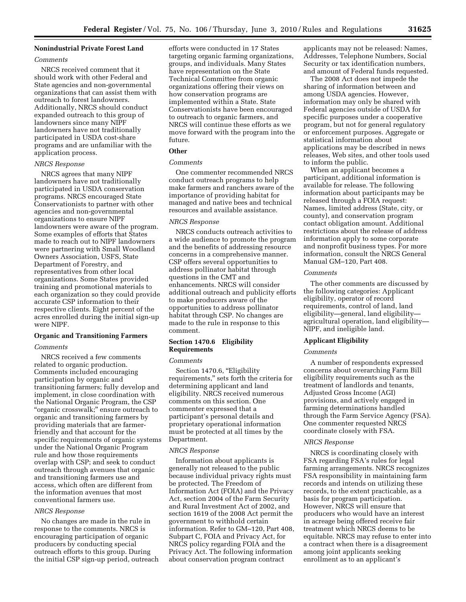# **Nonindustrial Private Forest Land**

# *Comments*

NRCS received comment that it should work with other Federal and State agencies and non-governmental organizations that can assist them with outreach to forest landowners. Additionally, NRCS should conduct expanded outreach to this group of landowners since many NIPF landowners have not traditionally participated in USDA cost-share programs and are unfamiliar with the application process.

#### *NRCS Response*

NRCS agrees that many NIPF landowners have not traditionally participated in USDA conservation programs. NRCS encouraged State Conservationists to partner with other agencies and non-governmental organizations to ensure NIPF landowners were aware of the program. Some examples of efforts that States made to reach out to NIPF landowners were partnering with Small Woodland Owners Association, USFS, State Department of Forestry, and representatives from other local organizations. Some States provided training and promotional materials to each organization so they could provide accurate CSP information to their respective clients. Eight percent of the acres enrolled during the initial sign-up were NIPF.

## **Organic and Transitioning Farmers**

# *Comments*

NRCS received a few comments related to organic production. Comments included encouraging participation by organic and transitioning farmers; fully develop and implement, in close coordination with the National Organic Program, the CSP "organic crosswalk;" ensure outreach to organic and transitioning farmers by providing materials that are farmerfriendly and that account for the specific requirements of organic systems under the National Organic Program rule and how those requirements overlap with CSP; and seek to conduct outreach through avenues that organic and transitioning farmers use and access, which often are different from the information avenues that most conventional farmers use.

#### *NRCS Response*

No changes are made in the rule in response to the comments. NRCS is encouraging participation of organic producers by conducting special outreach efforts to this group. During the initial CSP sign-up period, outreach efforts were conducted in 17 States targeting organic farming organizations, groups, and individuals. Many States have representation on the State Technical Committee from organic organizations offering their views on how conservation programs are implemented within a State. State Conservationists have been encouraged to outreach to organic farmers, and NRCS will continue these efforts as we move forward with the program into the future.

# **Other**

# *Comments*

One commenter recommended NRCS conduct outreach programs to help make farmers and ranchers aware of the importance of providing habitat for managed and native bees and technical resources and available assistance.

#### *NRCS Response*

NRCS conducts outreach activities to a wide audience to promote the program and the benefits of addressing resource concerns in a comprehensive manner. CSP offers several opportunities to address pollinator habitat through questions in the CMT and enhancements. NRCS will consider additional outreach and publicity efforts to make producers aware of the opportunities to address pollinator habitat through CSP. No changes are made to the rule in response to this comment.

# **Section 1470.6 Eligibility Requirements**

#### *Comments*

Section 1470.6, "Eligibility requirements,'' sets forth the criteria for determining applicant and land eligibility. NRCS received numerous comments on this section. One commenter expressed that a participant's personal details and proprietary operational information must be protected at all times by the Department.

# *NRCS Response*

Information about applicants is generally not released to the public because individual privacy rights must be protected. The Freedom of Information Act (FOIA) and the Privacy Act, section 2004 of the Farm Security and Rural Investment Act of 2002, and section 1619 of the 2008 Act permit the government to withhold certain information. Refer to GM–120, Part 408, Subpart C, FOIA and Privacy Act, for NRCS policy regarding FOIA and the Privacy Act. The following information about conservation program contract

applicants may not be released: Names, Addresses, Telephone Numbers, Social Security or tax identification numbers, and amount of Federal funds requested.

The 2008 Act does not impede the sharing of information between and among USDA agencies. However, information may only be shared with Federal agencies outside of USDA for specific purposes under a cooperative program, but not for general regulatory or enforcement purposes. Aggregate or statistical information about applications may be described in news releases, Web sites, and other tools used to inform the public.

When an applicant becomes a participant, additional information is available for release. The following information about participants may be released through a FOIA request: Names, limited address (State, city, or county), and conservation program contact obligation amount. Additional restrictions about the release of address information apply to some corporate and nonprofit business types. For more information, consult the NRCS General Manual GM–120, Part 408.

# *Comments*

The other comments are discussed by the following categories: Applicant eligibility, operator of record requirements, control of land, land eligibility—general, land eligibility agricultural operation, land eligibility— NIPF, and ineligible land.

#### **Applicant Eligibility**

#### *Comments*

A number of respondents expressed concerns about overarching Farm Bill eligibility requirements such as the treatment of landlords and tenants, Adjusted Gross Income (AGI) provisions, and actively engaged in farming determinations handled through the Farm Service Agency (FSA). One commenter requested NRCS coordinate closely with FSA.

# *NRCS Response*

NRCS is coordinating closely with FSA regarding FSA's rules for legal farming arrangements. NRCS recognizes FSA responsibility in maintaining farm records and intends on utilizing these records, to the extent practicable, as a basis for program participation. However, NRCS will ensure that producers who would have an interest in acreage being offered receive fair treatment which NRCS deems to be equitable. NRCS may refuse to enter into a contract when there is a disagreement among joint applicants seeking enrollment as to an applicant's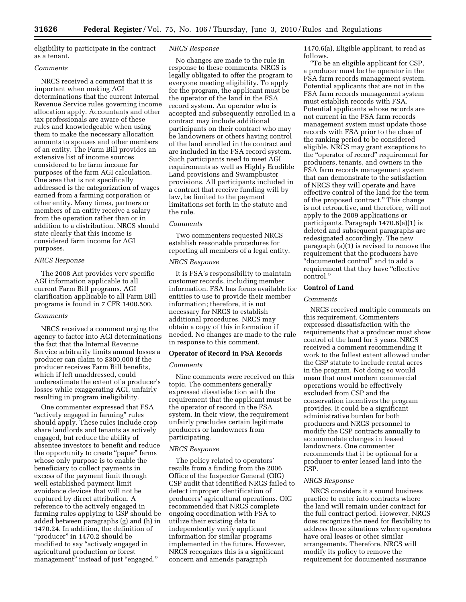eligibility to participate in the contract as a tenant.

# *Comments*

NRCS received a comment that it is important when making AGI determinations that the current Internal Revenue Service rules governing income allocation apply. Accountants and other tax professionals are aware of these rules and knowledgeable when using them to make the necessary allocation amounts to spouses and other members of an entity. The Farm Bill provides an extensive list of income sources considered to be farm income for purposes of the farm AGI calculation. One area that is not specifically addressed is the categorization of wages earned from a farming corporation or other entity. Many times, partners or members of an entity receive a salary from the operation rather than or in addition to a distribution. NRCS should state clearly that this income is considered farm income for AGI purposes.

# *NRCS Response*

The 2008 Act provides very specific AGI information applicable to all current Farm Bill programs. AGI clarification applicable to all Farm Bill programs is found in 7 CFR 1400.500.

# *Comments*

NRCS received a comment urging the agency to factor into AGI determinations the fact that the Internal Revenue Service arbitrarily limits annual losses a producer can claim to \$300,000 if the producer receives Farm Bill benefits, which if left unaddressed, could underestimate the extent of a producer's losses while exaggerating AGI, unfairly resulting in program ineligibility.

One commenter expressed that FSA "actively engaged in farming" rules should apply. These rules include crop share landlords and tenants as actively engaged, but reduce the ability of absentee investors to benefit and reduce the opportunity to create "paper" farms whose only purpose is to enable the beneficiary to collect payments in excess of the payment limit through well established payment limit avoidance devices that will not be captured by direct attribution. A reference to the actively engaged in farming rules applying to CSP should be added between paragraphs (g) and (h) in 1470.24. In addition, the definition of "producer" in 1470.2 should be modified to say ''actively engaged in agricultural production or forest management" instead of just "engaged."

#### *NRCS Response*

No changes are made to the rule in response to these comments. NRCS is legally obligated to offer the program to everyone meeting eligibility. To apply for the program, the applicant must be the operator of the land in the FSA record system. An operator who is accepted and subsequently enrolled in a contract may include additional participants on their contract who may be landowners or others having control of the land enrolled in the contract and are included in the FSA record system. Such participants need to meet AGI requirements as well as Highly Erodible Land provisions and Swampbuster provisions. All participants included in a contract that receive funding will by law, be limited to the payment limitations set forth in the statute and the rule.

# *Comments*

Two commenters requested NRCS establish reasonable procedures for reporting all members of a legal entity.

# *NRCS Response*

It is FSA's responsibility to maintain customer records, including member information. FSA has forms available for entities to use to provide their member information; therefore, it is not necessary for NRCS to establish additional procedures. NRCS may obtain a copy of this information if needed. No changes are made to the rule in response to this comment.

# **Operator of Record in FSA Records**

# *Comments*

Nine comments were received on this topic. The commenters generally expressed dissatisfaction with the requirement that the applicant must be the operator of record in the FSA system. In their view, the requirement unfairly precludes certain legitimate producers or landowners from participating.

# *NRCS Response*

The policy related to operators' results from a finding from the 2006 Office of the Inspector General (OIG) CSP audit that identified NRCS failed to detect improper identification of producers' agricultural operations. OIG recommended that NRCS complete ongoing coordination with FSA to utilize their existing data to independently verify applicant information for similar programs implemented in the future. However, NRCS recognizes this is a significant concern and amends paragraph

1470.6(a), Eligible applicant, to read as follows.

''To be an eligible applicant for CSP, a producer must be the operator in the FSA farm records management system. Potential applicants that are not in the FSA farm records management system must establish records with FSA. Potential applicants whose records are not current in the FSA farm records management system must update those records with FSA prior to the close of the ranking period to be considered eligible. NRCS may grant exceptions to the ''operator of record'' requirement for producers, tenants, and owners in the FSA farm records management system that can demonstrate to the satisfaction of NRCS they will operate and have effective control of the land for the term of the proposed contract.'' This change is not retroactive, and therefore, will not apply to the 2009 applications or participants. Paragraph 1470.6(a)(1) is deleted and subsequent paragraphs are redesignated accordingly. The new paragraph (a)(1) is revised to remove the requirement that the producers have ''documented control'' and to add a requirement that they have "effective control.''

## **Control of Land**

# *Comments*

NRCS received multiple comments on this requirement. Commenters expressed dissatisfaction with the requirements that a producer must show control of the land for 5 years. NRCS received a comment recommending it work to the fullest extent allowed under the CSP statute to include rental acres in the program. Not doing so would mean that most modern commercial operations would be effectively excluded from CSP and the conservation incentives the program provides. It could be a significant administrative burden for both producers and NRCS personnel to modify the CSP contracts annually to accommodate changes in leased landowners. One commenter recommends that it be optional for a producer to enter leased land into the CSP.

#### *NRCS Response*

NRCS considers it a sound business practice to enter into contracts where the land will remain under contract for the full contract period. However, NRCS does recognize the need for flexibility to address those situations where operators have oral leases or other similar arrangements. Therefore, NRCS will modify its policy to remove the requirement for documented assurance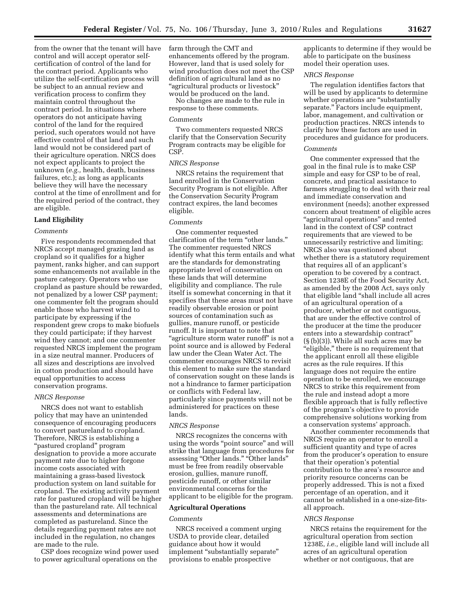from the owner that the tenant will have control and will accept operator selfcertification of control of the land for the contract period. Applicants who utilize the self-certification process will be subject to an annual review and verification process to confirm they maintain control throughout the contract period. In situations where operators do not anticipate having control of the land for the required period, such operators would not have effective control of that land and such land would not be considered part of their agriculture operation. NRCS does not expect applicants to project the unknown (*e.g.,* health, death, business failures, etc.); as long as applicants believe they will have the necessary control at the time of enrollment and for the required period of the contract, they are eligible.

# **Land Eligibility**

# *Comments*

Five respondents recommended that NRCS accept managed grazing land as cropland so it qualifies for a higher payment, ranks higher, and can support some enhancements not available in the pasture category. Operators who use cropland as pasture should be rewarded, not penalized by a lower CSP payment; one commenter felt the program should enable those who harvest wind to participate by expressing if the respondent grew crops to make biofuels they could participate; if they harvest wind they cannot; and one commenter requested NRCS implement the program in a size neutral manner. Producers of all sizes and descriptions are involved in cotton production and should have equal opportunities to access conservation programs.

# *NRCS Response*

NRCS does not want to establish policy that may have an unintended consequence of encouraging producers to convert pastureland to cropland. Therefore, NRCS is establishing a ''pastured cropland'' program designation to provide a more accurate payment rate due to higher forgone income costs associated with maintaining a grass-based livestock production system on land suitable for cropland. The existing activity payment rate for pastured cropland will be higher than the pastureland rate. All technical assessments and determinations are completed as pastureland. Since the details regarding payment rates are not included in the regulation, no changes are made to the rule.

CSP does recognize wind power used to power agricultural operations on the

farm through the CMT and enhancements offered by the program. However, land that is used solely for wind production does not meet the CSP definition of agricultural land as no ''agricultural products or livestock'' would be produced on the land.

No changes are made to the rule in response to these comments.

# *Comments*

Two commenters requested NRCS clarify that the Conservation Security Program contracts may be eligible for CSP.

#### *NRCS Response*

NRCS retains the requirement that land enrolled in the Conservation Security Program is not eligible. After the Conservation Security Program contract expires, the land becomes eligible.

#### *Comments*

One commenter requested clarification of the term ''other lands.'' The commenter requested NRCS identify what this term entails and what are the standards for demonstrating appropriate level of conservation on these lands that will determine eligibility and compliance. The rule itself is somewhat concerning in that it specifies that these areas must not have readily observable erosion or point sources of contamination such as gullies, manure runoff, or pesticide runoff. It is important to note that "agriculture storm water runoff" is not a point source and is allowed by Federal law under the Clean Water Act. The commenter encourages NRCS to revisit this element to make sure the standard of conservation sought on these lands is not a hindrance to farmer participation or conflicts with Federal law, particularly since payments will not be administered for practices on these lands.

## *NRCS Response*

NRCS recognizes the concerns with using the words "point source" and will strike that language from procedures for assessing "Other lands." "Other lands" must be free from readily observable erosion, gullies, manure runoff, pesticide runoff, or other similar environmental concerns for the applicant to be eligible for the program.

#### **Agricultural Operations**

#### *Comments*

NRCS received a comment urging USDA to provide clear, detailed guidance about how it would implement "substantially separate" provisions to enable prospective

applicants to determine if they would be able to participate on the business model their operation uses.

# *NRCS Response*

The regulation identifies factors that will be used by applicants to determine whether operations are "substantially separate.'' Factors include equipment, labor, management, and cultivation or production practices. NRCS intends to clarify how these factors are used in procedures and guidance for producers.

# *Comments*

One commenter expressed that the goal in the final rule is to make CSP simple and easy for CSP to be of real, concrete, and practical assistance to farmers struggling to deal with their real and immediate conservation and environment (needs); another expressed concern about treatment of eligible acres ''agricultural operations'' and rented land in the context of CSP contract requirements that are viewed to be unnecessarily restrictive and limiting; NRCS also was questioned about whether there is a statutory requirement that requires all of an applicant's operation to be covered by a contract. Section 1238E of the Food Security Act, as amended by the 2008 Act, says only that eligible land ''shall include all acres of an agricultural operation of a producer, whether or not contiguous, that are under the effective control of the producer at the time the producer enters into a stewardship contract'' (§ (b)(3)). While all such acres may be ''eligible,'' there is no requirement that the applicant enroll all these eligible acres as the rule requires. If this language does not require the entire operation to be enrolled, we encourage NRCS to strike this requirement from the rule and instead adopt a more flexible approach that is fully reflective of the program's objective to provide comprehensive solutions working from a conservation systems' approach.

Another commenter recommends that NRCS require an operator to enroll a sufficient quantity and type of acres from the producer's operation to ensure that their operation's potential contribution to the area's resource and priority resource concerns can be properly addressed. This is not a fixed percentage of an operation, and it cannot be established in a one-size-fitsall approach.

#### *NRCS Response*

NRCS retains the requirement for the agricultural operation from section 1238E, *i.e.,* eligible land will include all acres of an agricultural operation whether or not contiguous, that are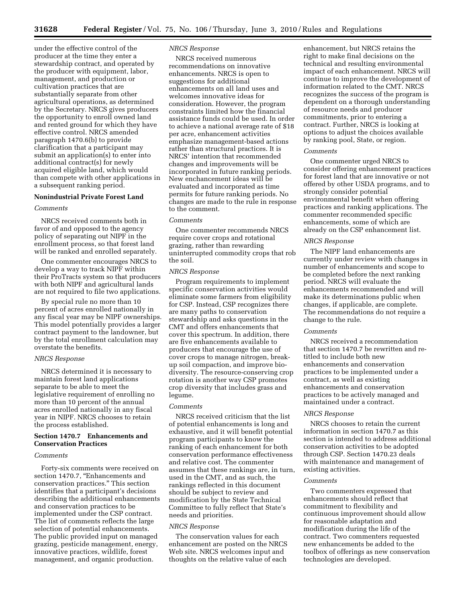**31628 Federal Register** / Vol. 75, No. 106 / Thursday, June 3, 2010 / Rules and Regulations

under the effective control of the producer at the time they enter a stewardship contract, and operated by the producer with equipment, labor, management, and production or cultivation practices that are substantially separate from other agricultural operations, as determined by the Secretary. NRCS gives producers the opportunity to enroll owned land and rented ground for which they have effective control. NRCS amended paragraph 1470.6(b) to provide clarification that a participant may submit an application(s) to enter into additional contract(s) for newly acquired eligible land, which would than compete with other applications in a subsequent ranking period.

# **Nonindustrial Private Forest Land**

# *Comments*

NRCS received comments both in favor of and opposed to the agency policy of separating out NIPF in the enrollment process, so that forest land will be ranked and enrolled separately.

One commenter encourages NRCS to develop a way to track NIPF within their ProTracts system so that producers with both NIPF and agricultural lands are not required to file two applications.

By special rule no more than 10 percent of acres enrolled nationally in any fiscal year may be NIPF ownerships. This model potentially provides a larger contract payment to the landowner, but by the total enrollment calculation may overstate the benefits.

# *NRCS Response*

NRCS determined it is necessary to maintain forest land applications separate to be able to meet the legislative requirement of enrolling no more than 10 percent of the annual acres enrolled nationally in any fiscal year in NIPF. NRCS chooses to retain the process established.

# **Section 1470.7 Enhancements and Conservation Practices**

# *Comments*

Forty-six comments were received on section 1470.7, "Enhancements and conservation practices.'' This section identifies that a participant's decisions describing the additional enhancements and conservation practices to be implemented under the CSP contract. The list of comments reflects the large selection of potential enhancements. The public provided input on managed grazing, pesticide management, energy, innovative practices, wildlife, forest management, and organic production.

# *NRCS Response*

NRCS received numerous recommendations on innovative enhancements. NRCS is open to suggestions for additional enhancements on all land uses and welcomes innovative ideas for consideration. However, the program constraints limited how the financial assistance funds could be used. In order to achieve a national average rate of \$18 per acre, enhancement activities emphasize management-based actions rather than structural practices. It is NRCS' intention that recommended changes and improvements will be incorporated in future ranking periods. New enchancement ideas will be evaluated and incorporated as time permits for future ranking periods. No changes are made to the rule in response to the comment.

# *Comments*

One commenter recommends NRCS require cover crops and rotational grazing, rather than rewarding uninterrupted commodity crops that rob the soil.

#### *NRCS Response*

Program requirements to implement specific conservation activities would eliminate some farmers from eligibility for CSP. Instead, CSP recognizes there are many paths to conservation stewardship and asks questions in the CMT and offers enhancements that cover this spectrum. In addition, there are five enhancements available to producers that encourage the use of cover crops to manage nitrogen, breakup soil compaction, and improve biodiversity. The resource-conserving crop rotation is another way CSP promotes crop diversity that includes grass and legume.

#### *Comments*

NRCS received criticism that the list of potential enhancements is long and exhaustive, and it will benefit potential program participants to know the ranking of each enhancement for both conservation performance effectiveness and relative cost. The commenter assumes that these rankings are, in turn, used in the CMT, and as such, the rankings reflected in this document should be subject to review and modification by the State Technical Committee to fully reflect that State's needs and priorities.

#### *NRCS Response*

The conservation values for each enhancement are posted on the NRCS Web site. NRCS welcomes input and thoughts on the relative value of each

enhancement, but NRCS retains the right to make final decisions on the technical and resulting environmental impact of each enhancement. NRCS will continue to improve the development of information related to the CMT. NRCS recognizes the success of the program is dependent on a thorough understanding of resource needs and producer commitments, prior to entering a contract. Further, NRCS is looking at options to adjust the choices available by ranking pool, State, or region.

#### *Comments*

One commenter urged NRCS to consider offering enhancement practices for forest land that are innovative or not offered by other USDA programs, and to strongly consider potential environmental benefit when offering practices and ranking applications. The commenter recommended specific enhancements, some of which are already on the CSP enhancement list.

# *NRCS Response*

The NIPF land enhancements are currently under review with changes in number of enhancements and scope to be completed before the next ranking period. NRCS will evaluate the enhancements recommended and will make its determinations public when changes, if applicable, are complete. The recommendations do not require a change to the rule.

# *Comments*

NRCS received a recommendation that section 1470.7 be rewritten and retitled to include both new enhancements and conservation practices to be implemented under a contract, as well as existing enhancements and conservation practices to be actively managed and maintained under a contract.

# *NRCS Response*

NRCS chooses to retain the current information in section 1470.7 as this section is intended to address additional conservation activities to be adopted through CSP. Section 1470.23 deals with maintenance and management of existing activities.

#### *Comments*

Two commenters expressed that enhancements should reflect that commitment to flexibility and continuous improvement should allow for reasonable adaptation and modification during the life of the contract. Two commenters requested new enhancements be added to the toolbox of offerings as new conservation technologies are developed.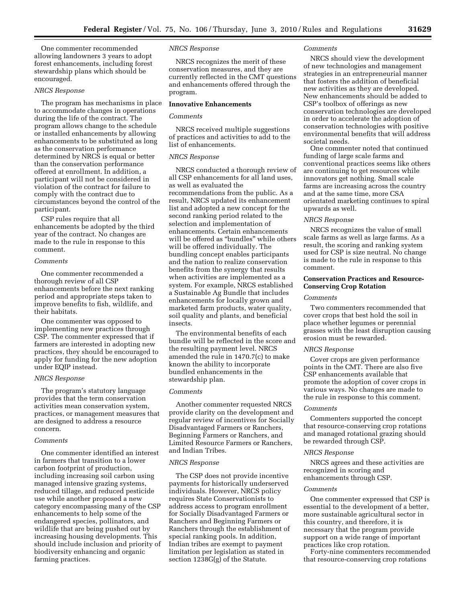One commenter recommended allowing landowners 3 years to adopt forest enhancements, including forest stewardship plans which should be encouraged.

# *NRCS Response*

The program has mechanisms in place to accommodate changes in operations during the life of the contract. The program allows change to the schedule or installed enhancements by allowing enhancements to be substituted as long as the conservation performance determined by NRCS is equal or better than the conservation performance offered at enrollment. In addition, a participant will not be considered in violation of the contract for failure to comply with the contract due to circumstances beyond the control of the participant.

CSP rules require that all enhancements be adopted by the third year of the contract. No changes are made to the rule in response to this comment.

# *Comments*

One commenter recommended a thorough review of all CSP enhancements before the next ranking period and appropriate steps taken to improve benefits to fish, wildlife, and their habitats.

One commenter was opposed to implementing new practices through CSP. The commenter expressed that if farmers are interested in adopting new practices, they should be encouraged to apply for funding for the new adoption under EQIP instead.

#### *NRCS Response*

The program's statutory language provides that the term conservation activities mean conservation system, practices, or management measures that are designed to address a resource concern.

#### *Comments*

One commenter identified an interest in farmers that transition to a lower carbon footprint of production, including increasing soil carbon using managed intensive grazing systems, reduced tillage, and reduced pesticide use while another proposed a new category encompassing many of the CSP enhancements to help some of the endangered species, pollinators, and wildlife that are being pushed out by increasing housing developments. This should include inclusion and priority of biodiversity enhancing and organic farming practices.

# *NRCS Response*

NRCS recognizes the merit of these conservation measures, and they are currently reflected in the CMT questions and enhancements offered through the program.

# **Innovative Enhancements**

# *Comments*

NRCS received multiple suggestions of practices and activities to add to the list of enhancements.

# *NRCS Response*

NRCS conducted a thorough review of all CSP enhancements for all land uses, as well as evaluated the recommendations from the public. As a result, NRCS updated its enhancement list and adopted a new concept for the second ranking period related to the selection and implementation of enhancements. Certain enhancements will be offered as "bundles" while others will be offered individually. The bundling concept enables participants and the nation to realize conservation benefits from the synergy that results when activities are implemented as a system. For example, NRCS established a Sustainable Ag Bundle that includes enhancements for locally grown and marketed farm products, water quality, soil quality and plants, and beneficial insects.

The environmental benefits of each bundle will be reflected in the score and the resulting payment level. NRCS amended the rule in 1470.7(c) to make known the ability to incorporate bundled enhancements in the stewardship plan.

#### *Comments*

Another commenter requested NRCS provide clarity on the development and regular review of incentives for Socially Disadvantaged Farmers or Ranchers, Beginning Farmers or Ranchers, and Limited Resource Farmers or Ranchers, and Indian Tribes.

## *NRCS Response*

The CSP does not provide incentive payments for historically underserved individuals. However, NRCS policy requires State Conservationists to address access to program enrollment for Socially Disadvantaged Farmers or Ranchers and Beginning Farmers or Ranchers through the establishment of special ranking pools. In addition, Indian tribes are exempt to payment limitation per legislation as stated in section 1238G(g) of the Statute.

# *Comments*

NRCS should view the development of new technologies and management strategies in an entrepreneurial manner that fosters the addition of beneficial new activities as they are developed. New enhancements should be added to CSP's toolbox of offerings as new conservation technologies are developed in order to accelerate the adoption of conservation technologies with positive environmental benefits that will address societal needs.

One commenter noted that continued funding of large scale farms and conventional practices seems like others are continuing to get resources while innovators get nothing. Small scale farms are increasing across the country and at the same time, more CSA orientated marketing continues to spiral upwards as well.

## *NRCS Response*

NRCS recognizes the value of small scale farms as well as large farms. As a result, the scoring and ranking system used for CSP is size neutral. No change is made to the rule in response to this comment.

# **Conservation Practices and Resource-Conserving Crop Rotation**

#### *Comments*

Two commenters recommended that cover crops that best hold the soil in place whether legumes or perennial grasses with the least disruption causing erosion must be rewarded.

# *NRCS Response*

Cover crops are given performance points in the CMT. There are also five CSP enhancements available that promote the adoption of cover crops in various ways. No changes are made to the rule in response to this comment.

# *Comments*

Commenters supported the concept that resource-conserving crop rotations and managed rotational grazing should be rewarded through CSP.

#### *NRCS Response*

NRCS agrees and these activities are recognized in scoring and enhancements through CSP.

#### *Comments*

One commenter expressed that CSP is essential to the development of a better, more sustainable agricultural sector in this country, and therefore, it is necessary that the program provide support on a wide range of important practices like crop rotation.

Forty-nine commenters recommended that resource-conserving crop rotations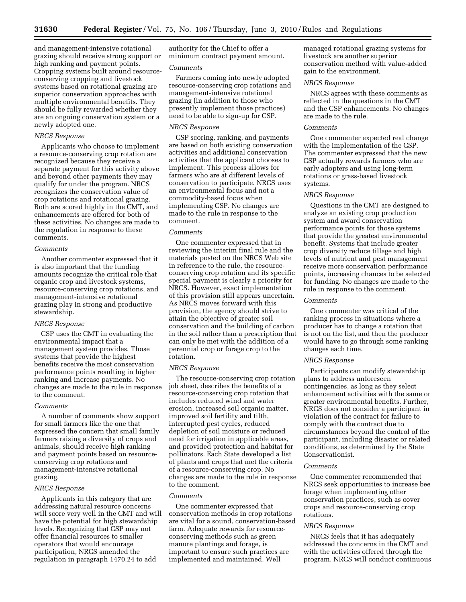and management-intensive rotational grazing should receive strong support or high ranking and payment points. Cropping systems built around resourceconserving cropping and livestock systems based on rotational grazing are superior conservation approaches with multiple environmental benefits. They should be fully rewarded whether they are an ongoing conservation system or a newly adopted one.

# *NRCS Response*

Applicants who choose to implement a resource-conserving crop rotation are recognized because they receive a separate payment for this activity above and beyond other payments they may qualify for under the program. NRCS recognizes the conservation value of crop rotations and rotational grazing. Both are scored highly in the CMT, and enhancements are offered for both of these activities. No changes are made to the regulation in response to these comments.

#### *Comments*

Another commenter expressed that it is also important that the funding amounts recognize the critical role that organic crop and livestock systems, resource-conserving crop rotations, and management-intensive rotational grazing play in strong and productive stewardship.

#### *NRCS Response*

CSP uses the CMT in evaluating the environmental impact that a management system provides. Those systems that provide the highest benefits receive the most conservation performance points resulting in higher ranking and increase payments. No changes are made to the rule in response to the comment.

# *Comments*

A number of comments show support for small farmers like the one that expressed the concern that small family farmers raising a diversity of crops and animals, should receive high ranking and payment points based on resourceconserving crop rotations and management-intensive rotational grazing.

# *NRCS Response*

Applicants in this category that are addressing natural resource concerns will score very well in the CMT and will have the potential for high stewardship levels. Recognizing that CSP may not offer financial resources to smaller operators that would encourage participation, NRCS amended the regulation in paragraph 1470.24 to add

authority for the Chief to offer a minimum contract payment amount.

#### *Comments*

Farmers coming into newly adopted resource-conserving crop rotations and management-intensive rotational grazing (in addition to those who presently implement those practices) need to be able to sign-up for CSP.

## *NRCS Response*

CSP scoring, ranking, and payments are based on both existing conservation activities and additional conservation activities that the applicant chooses to implement. This process allows for farmers who are at different levels of conservation to participate. NRCS uses an environmental focus and not a commodity-based focus when implementing CSP. No changes are made to the rule in response to the comment.

#### *Comments*

One commenter expressed that in reviewing the interim final rule and the materials posted on the NRCS Web site in reference to the rule, the resourceconserving crop rotation and its specific special payment is clearly a priority for NRCS. However, exact implementation of this provision still appears uncertain. As NRCS moves forward with this provision, the agency should strive to attain the objective of greater soil conservation and the building of carbon in the soil rather than a prescription that can only be met with the addition of a perennial crop or forage crop to the rotation.

#### *NRCS Response*

The resource-conserving crop rotation job sheet, describes the benefits of a resource-conserving crop rotation that includes reduced wind and water erosion, increased soil organic matter, improved soil fertility and tilth, interrupted pest cycles, reduced depletion of soil moisture or reduced need for irrigation in applicable areas, and provided protection and habitat for pollinators. Each State developed a list of plants and crops that met the criteria of a resource-conserving crop. No changes are made to the rule in response to the comment.

## *Comments*

One commenter expressed that conservation methods in crop rotations are vital for a sound, conservation-based farm. Adequate rewards for resourceconserving methods such as green manure plantings and forage, is important to ensure such practices are implemented and maintained. Well

managed rotational grazing systems for livestock are another superior conservation method with value-added gain to the environment.

# *NRCS Response*

NRCS agrees with these comments as reflected in the questions in the CMT and the CSP enhancements. No changes are made to the rule.

#### *Comments*

One commenter expected real change with the implementation of the CSP. The commenter expressed that the new CSP actually rewards farmers who are early adopters and using long-term rotations or grass-based livestock systems.

# *NRCS Response*

Questions in the CMT are designed to analyze an existing crop production system and award conservation performance points for those systems that provide the greatest environmental benefit. Systems that include greater crop diversity reduce tillage and high levels of nutrient and pest management receive more conservation performance points, increasing chances to be selected for funding. No changes are made to the rule in response to the comment.

#### *Comments*

One commenter was critical of the ranking process in situations where a producer has to change a rotation that is not on the list, and then the producer would have to go through some ranking changes each time.

#### *NRCS Response*

Participants can modify stewardship plans to address unforeseen contingencies, as long as they select enhancement activities with the same or greater environmental benefits. Further, NRCS does not consider a participant in violation of the contract for failure to comply with the contract due to circumstances beyond the control of the participant, including disaster or related conditions, as determined by the State Conservationist.

#### *Comments*

One commenter recommended that NRCS seek opportunities to increase bee forage when implementing other conservation practices, such as cover crops and resource-conserving crop rotations.

## *NRCS Response*

NRCS feels that it has adequately addressed the concerns in the CMT and with the activities offered through the program. NRCS will conduct continuous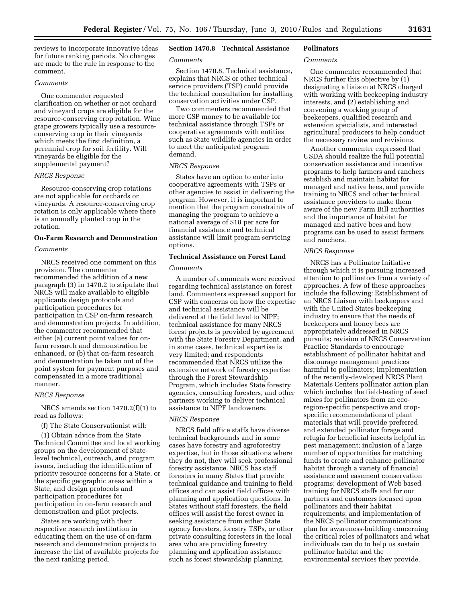reviews to incorporate innovative ideas for future ranking periods. No changes are made to the rule in response to the comment.

# *Comments*

One commenter requested clarification on whether or not orchard and vineyard crops are eligible for the resource-conserving crop rotation. Wine grape growers typically use a resourceconserving crop in their vineyards which meets the first definition, a perennial crop for soil fertility. Will vineyards be eligible for the supplemental payment?

#### *NRCS Response*

Resource-conserving crop rotations are not applicable for orchards or vineyards. A resource-conserving crop rotation is only applicable where there is an annually planted crop in the rotation.

# **On-Farm Research and Demonstration**

# *Comments*

NRCS received one comment on this provision. The commenter recommended the addition of a new paragraph (3) in 1470.2 to stipulate that NRCS will make available to eligible applicants design protocols and participation procedures for participation in CSP on-farm research and demonstration projects. In addition, the commenter recommended that either (a) current point values for onfarm research and demonstration be enhanced, or (b) that on-farm research and demonstration be taken out of the point system for payment purposes and compensated in a more traditional manner.

#### *NRCS Response*

NRCS amends section 1470.2(f)(1) to read as follows:

(f) The State Conservationist will:

(1) Obtain advice from the State Technical Committee and local working groups on the development of Statelevel technical, outreach, and program issues, including the identification of priority resource concerns for a State, or the specific geographic areas within a State, and design protocols and participation procedures for participation in on-farm research and demonstration and pilot projects.

States are working with their respective research institution in educating them on the use of on-farm research and demonstration projects to increase the list of available projects for the next ranking period.

# **Section 1470.8 Technical Assistance**

# *Comments*

Section 1470.8, Technical assistance, explains that NRCS or other technical service providers (TSP) could provide the technical consultation for installing conservation activities under CSP.

Two commenters recommended that more CSP money to be available for technical assistance through TSPs or cooperative agreements with entities such as State wildlife agencies in order to meet the anticipated program demand.

## *NRCS Response*

States have an option to enter into cooperative agreements with TSPs or other agencies to assist in delivering the program. However, it is important to mention that the program constraints of managing the program to achieve a national average of \$18 per acre for financial assistance and technical assistance will limit program servicing options.

# **Technical Assistance on Forest Land**

#### *Comments*

A number of comments were received regarding technical assistance on forest land. Commenters expressed support for CSP with concerns on how the expertise and technical assistance will be delivered at the field level to NIPF technical assistance for many NRCS forest projects is provided by agreement with the State Forestry Department, and in some cases, technical expertise is very limited; and respondents recommended that NRCS utilize the extensive network of forestry expertise through the Forest Stewardship Program, which includes State forestry agencies, consulting foresters, and other partners working to deliver technical assistance to NIPF landowners.

# *NRCS Response*

NRCS field office staffs have diverse technical backgrounds and in some cases have forestry and agroforestry expertise, but in those situations where they do not, they will seek professional forestry assistance. NRCS has staff foresters in many States that provide technical guidance and training to field offices and can assist field offices with planning and application questions. In States without staff foresters, the field offices will assist the forest owner in seeking assistance from either State agency foresters, forestry TSPs, or other private consulting foresters in the local area who are providing forestry planning and application assistance such as forest stewardship planning.

# **Pollinators**  *Comments*

One commenter recommended that NRCS further this objective by (1) designating a liaison at NRCS charged with working with beekeeping industry interests, and (2) establishing and convening a working group of beekeepers, qualified research and extension specialists, and interested agricultural producers to help conduct the necessary review and revisions.

Another commenter expressed that USDA should realize the full potential conservation assistance and incentive programs to help farmers and ranchers establish and maintain habitat for managed and native bees, and provide training to NRCS and other technical assistance providers to make them aware of the new Farm Bill authorities and the importance of habitat for managed and native bees and how programs can be used to assist farmers and ranchers.

# *NRCS Response*

NRCS has a Pollinator Initiative through which it is pursuing increased attention to pollinators from a variety of approaches. A few of these approaches include the following: Establishment of an NRCS Liaison with beekeepers and with the United States beekeeping industry to ensure that the needs of beekeepers and honey bees are appropriately addressed in NRCS pursuits; revision of NRCS Conservation Practice Standards to encourage establishment of pollinator habitat and discourage management practices harmful to pollinators; implementation of the recently-developed NRCS Plant Materials Centers pollinator action plan which includes the field-testing of seed mixes for pollinators from an ecoregion-specific perspective and cropspecific recommendations of plant materials that will provide preferred and extended pollinator forage and refugia for beneficial insects helpful in pest management; inclusion of a large number of opportunities for matching funds to create and enhance pollinator habitat through a variety of financial assistance and easement conservation programs; development of Web based training for NRCS staffs and for our partners and customers focused upon pollinators and their habitat requirements; and implementation of the NRCS pollinator communications plan for awareness-building concerning the critical roles of pollinators and what individuals can do to help us sustain pollinator habitat and the environmental services they provide.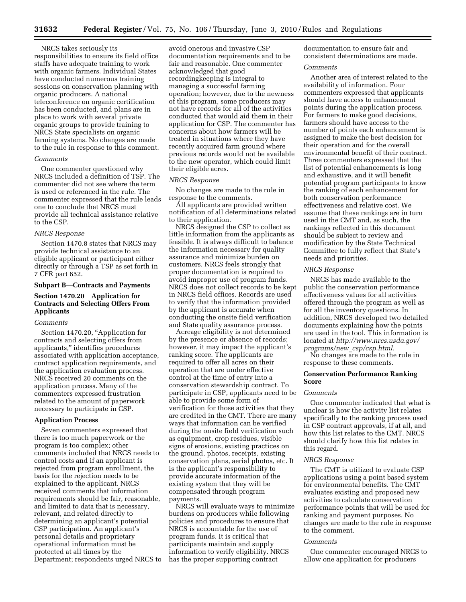NRCS takes seriously its responsibilities to ensure its field office staffs have adequate training to work with organic farmers. Individual States have conducted numerous training sessions on conservation planning with organic producers. A national teleconference on organic certification has been conducted, and plans are in place to work with several private organic groups to provide training to NRCS State specialists on organic farming systems. No changes are made to the rule in response to this comment.

#### *Comments*

One commenter questioned why NRCS included a definition of TSP. The commenter did not see where the term is used or referenced in the rule. The commenter expressed that the rule leads one to conclude that NRCS must provide all technical assistance relative to the CSP.

## *NRCS Response*

Section 1470.8 states that NRCS may provide technical assistance to an eligible applicant or participant either directly or through a TSP as set forth in 7 CFR part 652.

#### **Subpart B—Contracts and Payments**

# **Section 1470.20 Application for Contracts and Selecting Offers From Applicants**

# *Comments*

Section 1470.20, "Application for contracts and selecting offers from applicants,'' identifies procedures associated with application acceptance, contract application requirements, and the application evaluation process. NRCS received 20 comments on the application process. Many of the commenters expressed frustration related to the amount of paperwork necessary to participate in CSP.

#### **Application Process**

Seven commenters expressed that there is too much paperwork or the program is too complex; other comments included that NRCS needs to control costs and if an applicant is rejected from program enrollment, the basis for the rejection needs to be explained to the applicant. NRCS received comments that information requirements should be fair, reasonable, and limited to data that is necessary, relevant, and related directly to determining an applicant's potential CSP participation. An applicant's personal details and proprietary operational information must be protected at all times by the Department; respondents urged NRCS to

avoid onerous and invasive CSP documentation requirements and to be fair and reasonable. One commenter acknowledged that good recordingkeeping is integral to managing a successful farming operation; however, due to the newness of this program, some producers may not have records for all of the activities conducted that would aid them in their application for CSP. The commenter has concerns about how farmers will be treated in situations where they have recently acquired farm ground where previous records would not be available to the new operator, which could limit their eligible acres.

## *NRCS Response*

No changes are made to the rule in response to the comments.

All applicants are provided written notification of all determinations related to their application.

NRCS designed the CSP to collect as little information from the applicants as feasible. It is always difficult to balance the information necessary for quality assurance and minimize burden on customers. NRCS feels strongly that proper documentation is required to avoid improper use of program funds. NRCS does not collect records to be kept in NRCS field offices. Records are used to verify that the information provided by the applicant is accurate when conducting the onsite field verification and State quality assurance process.

Acreage eligibility is not determined by the presence or absence of records; however, it may impact the applicant's ranking score. The applicants are required to offer all acres on their operation that are under effective control at the time of entry into a conservation stewardship contract. To participate in CSP, applicants need to be able to provide some form of verification for those activities that they are credited in the CMT. There are many ways that information can be verified during the onsite field verification such as equipment, crop residues, visible signs of erosions, existing practices on the ground, photos, receipts, existing conservation plans, aerial photos, etc. It is the applicant's responsibility to provide accurate information of the existing system that they will be compensated through program payments.

NRCS will evaluate ways to minimize burdens on producers while following policies and procedures to ensure that NRCS is accountable for the use of program funds. It is critical that participants maintain and supply information to verify eligibility. NRCS has the proper supporting contract

documentation to ensure fair and consistent determinations are made.

#### *Comments*

Another area of interest related to the availability of information. Four commenters expressed that applicants should have access to enhancement points during the application process. For farmers to make good decisions, farmers should have access to the number of points each enhancement is assigned to make the best decision for their operation and for the overall environmental benefit of their contract. Three commenters expressed that the list of potential enhancements is long and exhaustive, and it will benefit potential program participants to know the ranking of each enhancement for both conservation performance effectiveness and relative cost. We assume that these rankings are in turn used in the CMT and, as such, the rankings reflected in this document should be subject to review and modification by the State Technical Committee to fully reflect that State's needs and priorities.

#### *NRCS Response*

NRCS has made available to the public the conservation performance effectiveness values for all activities offered through the program as well as for all the inventory questions. In addition, NRCS developed two detailed documents explaining how the points are used in the tool. This information is located at *http://www.nrcs.usda.gov/ programs/new*\_*csp/csp.html.* 

No changes are made to the rule in response to these comments.

## **Conservation Performance Ranking Score**

#### *Comments*

One commenter indicated that what is unclear is how the activity list relates specifically to the ranking process used in CSP contract approvals, if at all, and how this list relates to the CMT. NRCS should clarify how this list relates in this regard.

## *NRCS Response*

The CMT is utilized to evaluate CSP applications using a point based system for environmental benefits. The CMT evaluates existing and proposed new activities to calculate conservation performance points that will be used for ranking and payment purposes. No changes are made to the rule in response to the comment.

#### *Comments*

One commenter encouraged NRCS to allow one application for producers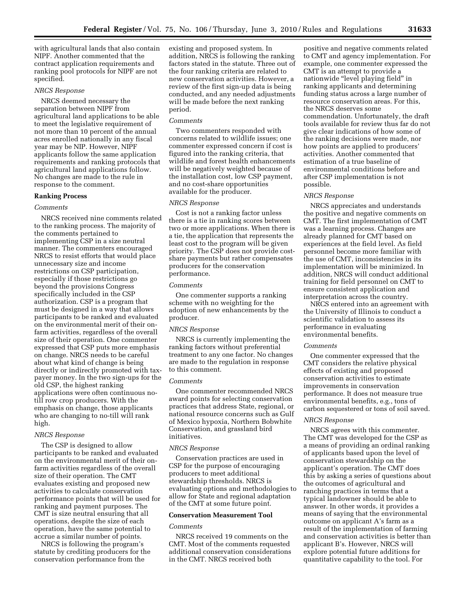with agricultural lands that also contain NIPF. Another commented that the contract application requirements and ranking pool protocols for NIPF are not specified.

# *NRCS Response*

NRCS deemed necessary the separation between NIPF from agricultural land applications to be able to meet the legislative requirement of not more than 10 percent of the annual acres enrolled nationally in any fiscal year may be NIP. However, NIPF applicants follow the same application requirements and ranking protocols that agricultural land applications follow. No changes are made to the rule in response to the comment.

# **Ranking Process**

# *Comments*

NRCS received nine comments related to the ranking process. The majority of the comments pertained to implementing CSP in a size neutral manner. The commenters encouraged NRCS to resist efforts that would place unnecessary size and income restrictions on CSP participation, especially if those restrictions go beyond the provisions Congress specifically included in the CSP authorization. CSP is a program that must be designed in a way that allows participants to be ranked and evaluated on the environmental merit of their onfarm activities, regardless of the overall size of their operation. One commenter expressed that CSP puts more emphasis on change. NRCS needs to be careful about what kind of change is being directly or indirectly promoted with taxpayer money. In the two sign-ups for the old CSP, the highest ranking applications were often continuous notill row crop producers. With the emphasis on change, those applicants who are changing to no-till will rank high.

# *NRCS Response*

The CSP is designed to allow participants to be ranked and evaluated on the environmental merit of their onfarm activities regardless of the overall size of their operation. The CMT evaluates existing and proposed new activities to calculate conservation performance points that will be used for ranking and payment purposes. The CMT is size neutral ensuring that all operations, despite the size of each operation, have the same potential to accrue a similar number of points.

NRCS is following the program's statute by crediting producers for the conservation performance from the

existing and proposed system. In addition, NRCS is following the ranking factors stated in the statute. Three out of the four ranking criteria are related to new conservation activities. However, a review of the first sign-up data is being conducted, and any needed adjustments will be made before the next ranking period.

# *Comments*

Two commenters responded with concerns related to wildlife issues; one commenter expressed concern if cost is figured into the ranking criteria, that wildlife and forest health enhancements will be negatively weighted because of the installation cost, low CSP payment, and no cost-share opportunities available for the producer.

# *NRCS Response*

Cost is not a ranking factor unless there is a tie in ranking scores between two or more applications. When there is a tie, the application that represents the least cost to the program will be given priority. The CSP does not provide costshare payments but rather compensates producers for the conservation performance.

#### *Comments*

One commenter supports a ranking scheme with no weighting for the adoption of new enhancements by the producer.

# *NRCS Response*

NRCS is currently implementing the ranking factors without preferential treatment to any one factor. No changes are made to the regulation in response to this comment.

# *Comments*

One commenter recommended NRCS award points for selecting conservation practices that address State, regional, or national resource concerns such as Gulf of Mexico hypoxia, Northern Bobwhite Conservation, and grassland bird initiatives.

#### *NRCS Response*

Conservation practices are used in CSP for the purpose of encouraging producers to meet additional stewardship thresholds. NRCS is evaluating options and methodologies to allow for State and regional adaptation of the CMT at some future point.

# **Conservation Measurement Tool**

#### *Comments*

NRCS received 19 comments on the CMT. Most of the comments requested additional conservation considerations in the CMT. NRCS received both

positive and negative comments related to CMT and agency implementation. For example, one commenter expressed the CMT is an attempt to provide a nationwide "level playing field" in ranking applicants and determining funding status across a large number of resource conservation areas. For this, the NRCS deserves some commendation. Unfortunately, the draft tools available for review thus far do not give clear indications of how some of the ranking decisions were made, nor how points are applied to producers' activities. Another commented that estimation of a true baseline of environmental conditions before and after CSP implementation is not possible.

## *NRCS Response*

NRCS appreciates and understands the positive and negative comments on CMT. The first implementation of CMT was a learning process. Changes are already planned for CMT based on experiences at the field level. As field personnel become more familiar with the use of CMT, inconsistencies in its implementation will be minimized. In addition, NRCS will conduct additional training for field personnel on CMT to ensure consistent application and interpretation across the country.

NRCS entered into an agreement with the University of Illinois to conduct a scientific validation to assess its performance in evaluating environmental benefits.

#### *Comments*

One commenter expressed that the CMT considers the relative physical effects of existing and proposed conservation activities to estimate improvements in conservation performance. It does not measure true environmental benefits, e.g., tons of carbon sequestered or tons of soil saved.

#### *NRCS Response*

NRCS agrees with this commenter. The CMT was developed for the CSP as a means of providing an ordinal ranking of applicants based upon the level of conservation stewardship on the applicant's operation. The CMT does this by asking a series of questions about the outcomes of agricultural and ranching practices in terms that a typical landowner should be able to answer. In other words, it provides a means of saying that the environmental outcome on applicant A's farm as a result of the implementation of farming and conservation activities is better than applicant B's. However, NRCS will explore potential future additions for quantitative capability to the tool. For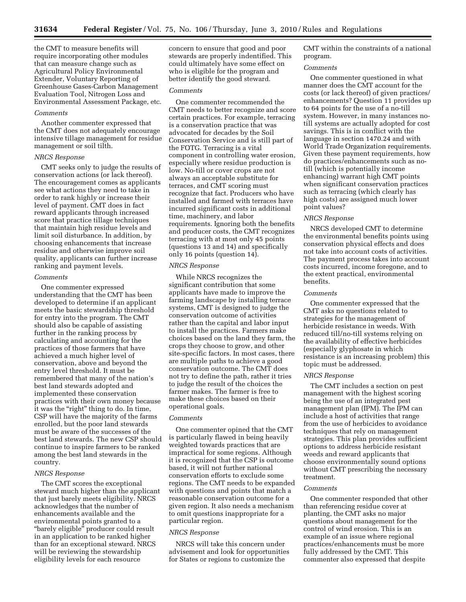the CMT to measure benefits will require incorporating other modules that can measure change such as Agricultural Policy Environmental Extender, Voluntary Reporting of Greenhouse Gases-Carbon Management Evaluation Tool, Nitrogen Loss and Environmental Assessment Package, etc.

#### *Comments*

Another commenter expressed that the CMT does not adequately encourage intensive tillage management for residue management or soil tilth.

#### *NRCS Response*

CMT seeks only to judge the results of conservation actions (or lack thereof). The encouragement comes as applicants see what actions they need to take in order to rank highly or increase their level of payment. CMT does in fact reward applicants through increased score that practice tillage techniques that maintain high residue levels and limit soil disturbance. In addition, by choosing enhancements that increase residue and otherwise improve soil quality, applicants can further increase ranking and payment levels.

# *Comments*

One commenter expressed understanding that the CMT has been developed to determine if an applicant meets the basic stewardship threshold for entry into the program. The CMT should also be capable of assisting further in the ranking process by calculating and accounting for the practices of those farmers that have achieved a much higher level of conservation, above and beyond the entry level threshold. It must be remembered that many of the nation's best land stewards adopted and implemented these conservation practices with their own money because it was the "right" thing to do. In time, CSP will have the majority of the farms enrolled, but the poor land stewards must be aware of the successes of the best land stewards. The new CSP should continue to inspire farmers to be ranked among the best land stewards in the country.

# *NRCS Response*

The CMT scores the exceptional steward much higher than the applicant that just barely meets eligibility. NRCS acknowledges that the number of enhancements available and the environmental points granted to a ''barely eligible'' producer could result in an application to be ranked higher than for an exceptional steward. NRCS will be reviewing the stewardship eligibility levels for each resource

concern to ensure that good and poor stewards are properly indentified. This could ultimately have some effect on who is eligible for the program and better identify the good steward.

# *Comments*

One commenter recommended the CMT needs to better recognize and score certain practices. For example, terracing is a conservation practice that was advocated for decades by the Soil Conservation Service and is still part of the FOTG. Terracing is a vital component in controlling water erosion, especially where residue production is low. No-till or cover crops are not always an acceptable substitute for terraces, and CMT scoring must recognize that fact. Producers who have installed and farmed with terraces have incurred significant costs in additional time, machinery, and labor requirements. Ignoring both the benefits and producer costs, the CMT recognizes terracing with at most only 45 points (questions 13 and 14) and specifically only 16 points (question 14).

#### *NRCS Response*

While NRCS recognizes the significant contribution that some applicants have made to improve the farming landscape by installing terrace systems, CMT is designed to judge the conservation outcome of activities rather than the capital and labor input to install the practices. Farmers make choices based on the land they farm, the crops they choose to grow, and other site-specific factors. In most cases, there are multiple paths to achieve a good conservation outcome. The CMT does not try to define the path, rather it tries to judge the result of the choices the farmer makes. The farmer is free to make these choices based on their operational goals.

# *Comments*

One commenter opined that the CMT is particularly flawed in being heavily weighted towards practices that are impractical for some regions. Although it is recognized that the CSP is outcome based, it will not further national conservation efforts to exclude some regions. The CMT needs to be expanded with questions and points that match a reasonable conservation outcome for a given region. It also needs a mechanism to omit questions inappropriate for a particular region.

#### *NRCS Response*

NRCS will take this concern under advisement and look for opportunities for States or regions to customize the

CMT within the constraints of a national program.

# *Comments*

One commenter questioned in what manner does the CMT account for the costs (or lack thereof) of given practices/ enhancements? Question 11 provides up to 64 points for the use of a no-till system. However, in many instances notill systems are actually adopted for cost savings. This is in conflict with the language in section 1470.24 and with World Trade Organization requirements. Given these payment requirements, how do practices/enhancements such as notill (which is potentially income enhancing) warrant high CMT points when significant conservation practices such as terracing (which clearly has high costs) are assigned much lower point values?

#### *NRCS Response*

NRCS developed CMT to determine the environmental benefits points using conservation physical effects and does not take into account costs of activities. The payment process takes into account costs incurred, income foregone, and to the extent practical, environmental benefits.

## *Comments*

One commenter expressed that the CMT asks no questions related to strategies for the management of herbicide resistance in weeds. With reduced till/no-till systems relying on the availability of effective herbicides (especially glyphosate in which resistance is an increasing problem) this topic must be addressed.

# *NRCS Response*

The CMT includes a section on pest management with the highest scoring being the use of an integrated pest management plan (IPM). The IPM can include a host of activities that range from the use of herbicides to avoidance techniques that rely on management strategies. This plan provides sufficient options to address herbicide resistant weeds and reward applicants that choose environmentally sound options without CMT prescribing the necessary treatment.

# *Comments*

One commenter responded that other than referencing residue cover at planting, the CMT asks no major questions about management for the control of wind erosion. This is an example of an issue where regional practices/enhancements must be more fully addressed by the CMT. This commenter also expressed that despite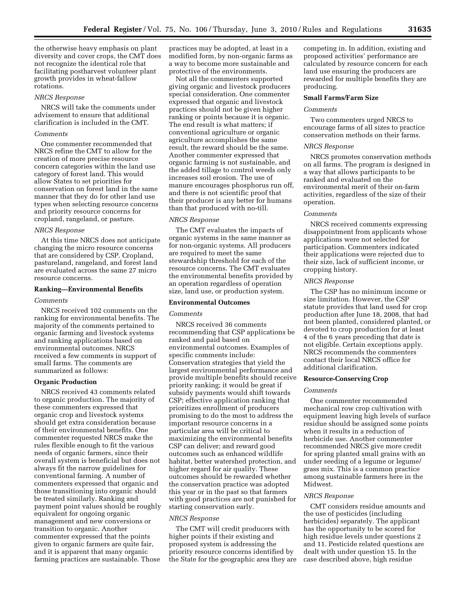the otherwise heavy emphasis on plant diversity and cover crops, the CMT does not recognize the identical role that facilitating postharvest volunteer plant growth provides in wheat-fallow rotations.

#### *NRCS Response*

NRCS will take the comments under advisement to ensure that additional clarification is included in the CMT.

# *Comments*

One commenter recommended that NRCS refine the CMT to allow for the creation of more precise resource concern categories within the land use category of forest land. This would allow States to set priorities for conservation on forest land in the same manner that they do for other land use types when selecting resource concerns and priority resource concerns for cropland, rangeland, or pasture.

#### *NRCS Response*

At this time NRCS does not anticipate changing the micro resource concerns that are considered by CSP. Cropland, pastureland, rangeland, and forest land are evaluated across the same 27 micro resource concerns.

# **Ranking—Environmental Benefits**

# *Comments*

NRCS received 102 comments on the ranking for environmental benefits. The majority of the comments pertained to organic farming and livestock systems and ranking applications based on environmental outcomes. NRCS received a few comments in support of small farms. The comments are summarized as follows:

#### **Organic Production**

NRCS received 43 comments related to organic production. The majority of these commenters expressed that organic crop and livestock systems should get extra consideration because of their environmental benefits. One commenter requested NRCS make the rules flexible enough to fit the various needs of organic farmers, since their overall system is beneficial but does not always fit the narrow guidelines for conventional farming. A number of commenters expressed that organic and those transitioning into organic should be treated similarly. Ranking and payment point values should be roughly equivalent for ongoing organic management and new conversions or transition to organic. Another commenter expressed that the points given to organic farmers are quite fair, and it is apparent that many organic farming practices are sustainable. Those

practices may be adopted, at least in a modified form, by non-organic farms as a way to become more sustainable and protective of the environments.

Not all the commenters supported giving organic and livestock producers special consideration. One commenter expressed that organic and livestock practices should not be given higher ranking or points because it is organic. The end result is what matters; if conventional agriculture or organic agriculture accomplishes the same result, the reward should be the same. Another commenter expressed that organic farming is not sustainable, and the added tillage to control weeds only increases soil erosion. The use of manure encourages phosphorus run off, and there is not scientific proof that their producer is any better for humans than that produced with no-till.

#### *NRCS Response*

The CMT evaluates the impacts of organic systems in the same manner as for non-organic systems. All producers are required to meet the same stewardship threshold for each of the resource concerns. The CMT evaluates the environmental benefits provided by an operation regardless of operation size, land use, or production system.

# **Environmental Outcomes**

#### *Comments*

NRCS received 36 comments recommending that CSP applications be ranked and paid based on environmental outcomes. Examples of specific comments include: Conservation strategies that yield the largest environmental performance and provide multiple benefits should receive priority ranking; it would be great if subsidy payments would shift towards CSP; effective application ranking that prioritizes enrollment of producers promising to do the most to address the important resource concerns in a particular area will be critical to maximizing the environmental benefits CSP can deliver; and reward good outcomes such as enhanced wildlife habitat, better watershed protection, and higher regard for air quality. These outcomes should be rewarded whether the conservation practice was adopted this year or in the past so that farmers with good practices are not punished for starting conservation early.

## *NRCS Response*

The CMT will credit producers with higher points if their existing and proposed system is addressing the priority resource concerns identified by the State for the geographic area they are competing in. In addition, existing and proposed activities' performance are calculated by resource concern for each land use ensuring the producers are rewarded for multiple benefits they are producing.

# **Small Farms/Farm Size**

# *Comments*

Two commenters urged NRCS to encourage farms of all sizes to practice conservation methods on their farms.

# *NRCS Response*

NRCS promotes conservation methods on all farms. The program is designed in a way that allows participants to be ranked and evaluated on the environmental merit of their on-farm activities, regardless of the size of their operation.

#### *Comments*

NRCS received comments expressing disappointment from applicants whose applications were not selected for participation. Commenters indicated their applications were rejected due to their size, lack of sufficient income, or cropping history.

# *NRCS Response*

The CSP has no minimum income or size limitation. However, the CSP statute provides that land used for crop production after June 18, 2008, that had not been planted, considered planted, or devoted to crop production for at least 4 of the 6 years preceding that date is not eligible. Certain exceptions apply. NRCS recommends the commenters contact their local NRCS office for additional clarification.

# **Resource-Conserving Crop**

#### *Comments*

One commenter recommended mechanical row crop cultivation with equipment leaving high levels of surface residue should be assigned some points when it results in a reduction of herbicide use. Another commenter recommended NRCS give more credit for spring planted small grains with an under seeding of a legume or legume/ grass mix. This is a common practice among sustainable farmers here in the Midwest.

## *NRCS Response*

CMT considers residue amounts and the use of pesticides (including herbicides) separately. The applicant has the opportunity to be scored for high residue levels under questions 2 and 11. Pesticide related questions are dealt with under question 15. In the case described above, high residue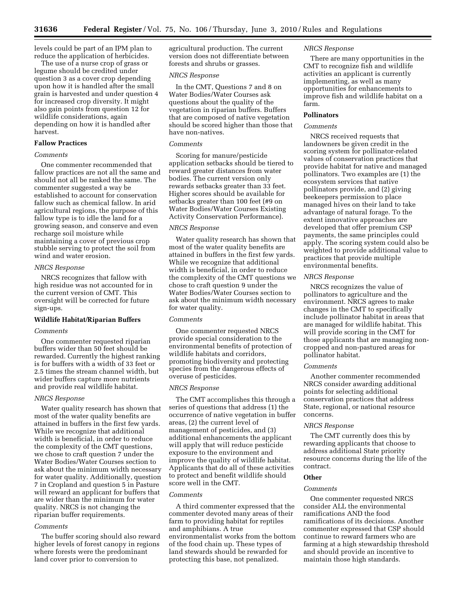levels could be part of an IPM plan to reduce the application of herbicides.

The use of a nurse crop of grass or legume should be credited under question 3 as a cover crop depending upon how it is handled after the small grain is harvested and under question 4 for increased crop diversity. It might also gain points from question 12 for wildlife considerations, again depending on how it is handled after harvest.

# **Fallow Practices**

# *Comments*

One commenter recommended that fallow practices are not all the same and should not all be ranked the same. The commenter suggested a way be established to account for conservation fallow such as chemical fallow. In arid agricultural regions, the purpose of this fallow type is to idle the land for a growing season, and conserve and even recharge soil moisture while maintaining a cover of previous crop stubble serving to protect the soil from wind and water erosion.

# *NRCS Response*

NRCS recognizes that fallow with high residue was not accounted for in the current version of CMT. This oversight will be corrected for future sign-ups.

#### **Wildlife Habitat/Riparian Buffers**

#### *Comments*

One commenter requested riparian buffers wider than 50 feet should be rewarded. Currently the highest ranking is for buffers with a width of 33 feet or 2.5 times the stream channel width, but wider buffers capture more nutrients and provide real wildlife habitat.

#### *NRCS Response*

Water quality research has shown that most of the water quality benefits are attained in buffers in the first few yards. While we recognize that additional width is beneficial, in order to reduce the complexity of the CMT questions, we chose to craft question 7 under the Water Bodies/Water Courses section to ask about the minimum width necessary for water quality. Additionally, question 7 in Cropland and question 5 in Pasture will reward an applicant for buffers that are wider than the minimum for water quality. NRCS is not changing the riparian buffer requirements.

# *Comments*

The buffer scoring should also reward higher levels of forest canopy in regions where forests were the predominant land cover prior to conversion to

agricultural production. The current version does not differentiate between forests and shrubs or grasses.

# *NRCS Response*

In the CMT, Questions 7 and 8 on Water Bodies/Water Courses ask questions about the quality of the vegetation in riparian buffers. Buffers that are composed of native vegetation should be scored higher than those that have non-natives.

#### *Comments*

Scoring for manure/pesticide application setbacks should be tiered to reward greater distances from water bodies. The current version only rewards setbacks greater than 33 feet. Higher scores should be available for setbacks greater than 100 feet (#9 on Water Bodies/Water Courses Existing Activity Conservation Performance).

#### *NRCS Response*

Water quality research has shown that most of the water quality benefits are attained in buffers in the first few yards. While we recognize that additional width is beneficial, in order to reduce the complexity of the CMT questions we chose to craft question 9 under the Water Bodies/Water Courses section to ask about the minimum width necessary for water quality.

# *Comments*

One commenter requested NRCS provide special consideration to the environmental benefits of protection of wildlife habitats and corridors, promoting biodiversity and protecting species from the dangerous effects of overuse of pesticides.

## *NRCS Response*

The CMT accomplishes this through a series of questions that address (1) the occurrence of native vegetation in buffer areas, (2) the current level of management of pesticides, and (3) additional enhancements the applicant will apply that will reduce pesticide exposure to the environment and improve the quality of wildlife habitat. Applicants that do all of these activities to protect and benefit wildlife should score well in the CMT.

#### *Comments*

A third commenter expressed that the commenter devoted many areas of their farm to providing habitat for reptiles and amphibians. A true environmentalist works from the bottom of the food chain up. These types of land stewards should be rewarded for protecting this base, not penalized.

# *NRCS Response*

There are many opportunities in the CMT to recognize fish and wildlife activities an applicant is currently implementing, as well as many opportunities for enhancements to improve fish and wildlife habitat on a farm.

# **Pollinators**

#### *Comments*

NRCS received requests that landowners be given credit in the scoring system for pollinator-related values of conservation practices that provide habitat for native and managed pollinators. Two examples are (1) the ecosystem services that native pollinators provide, and (2) giving beekeepers permission to place managed hives on their land to take advantage of natural forage. To the extent innovative approaches are developed that offer premium CSP payments, the same principles could apply. The scoring system could also be weighted to provide additional value to practices that provide multiple environmental benefits.

# *NRCS Response*

NRCS recognizes the value of pollinators to agriculture and the environment. NRCS agrees to make changes in the CMT to specifically include pollinator habitat in areas that are managed for wildlife habitat. This will provide scoring in the CMT for those applicants that are managing noncropped and non-pastured areas for pollinator habitat.

# *Comments*

Another commenter recommended NRCS consider awarding additional points for selecting additional conservation practices that address State, regional, or national resource concerns.

# *NRCS Response*

The CMT currently does this by rewarding applicants that choose to address additional State priority resource concerns during the life of the contract.

# **Other**

#### *Comments*

One commenter requested NRCS consider ALL the environmental ramifications AND the food ramifications of its decisions. Another commenter expressed that CSP should continue to reward farmers who are farming at a high stewardship threshold and should provide an incentive to maintain those high standards.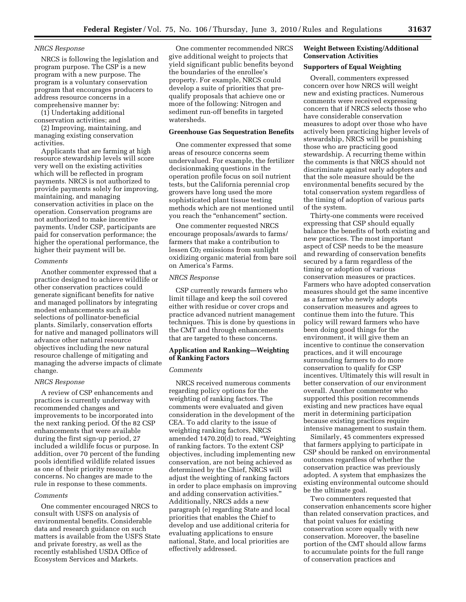# *NRCS Response*

NRCS is following the legislation and program purpose. The CSP is a new program with a new purpose. The program is a voluntary conservation program that encourages producers to address resource concerns in a comprehensive manner by:

(1) Undertaking additional conservation activities; and

(2) Improving, maintaining, and managing existing conservation activities.

Applicants that are farming at high resource stewardship levels will score very well on the existing activities which will be reflected in program payments. NRCS is not authorized to provide payments solely for improving, maintaining, and managing conservation activities in place on the operation. Conservation programs are not authorized to make incentive payments. Under CSP, participants are paid for conservation performance; the higher the operational performance, the higher their payment will be.

# *Comments*

Another commenter expressed that a practice designed to achieve wildlife or other conservation practices could generate significant benefits for native and managed pollinators by integrating modest enhancements such as selections of pollinator-beneficial plants. Similarly, conservation efforts for native and managed pollinators will advance other natural resource objectives including the new natural resource challenge of mitigating and managing the adverse impacts of climate change.

#### *NRCS Response*

A review of CSP enhancements and practices is currently underway with recommended changes and improvements to be incorporated into the next ranking period. Of the 82 CSP enhancements that were available during the first sign-up period, 27 included a wildlife focus or purpose. In addition, over 70 percent of the funding pools identified wildlife related issues as one of their priority resource concerns. No changes are made to the rule in response to these comments.

## *Comments*

One commenter encouraged NRCS to consult with USFS on analysis of environmental benefits. Considerable data and research guidance on such matters is available from the USFS State and private forestry, as well as the recently established USDA Office of Ecosystem Services and Markets.

One commenter recommended NRCS give additional weight to projects that yield significant public benefits beyond the boundaries of the enrollee's property. For example, NRCS could develop a suite of priorities that prequalify proposals that achieve one or more of the following: Nitrogen and sediment run-off benefits in targeted watersheds.

#### **Greenhouse Gas Sequestration Benefits**

One commenter expressed that some areas of resource concerns seem undervalued. For example, the fertilizer decisionmaking questions in the operation profile focus on soil nutrient tests, but the California perennial crop growers have long used the more sophisticated plant tissue testing methods which are not mentioned until you reach the "enhancement" section.

One commenter requested NRCS encourage proposals/awards to farms/ farmers that make a contribution to lessen  $Co<sub>2</sub>$  emissions from sunlight oxidizing organic material from bare soil on America's Farms.

# *NRCS Response*

CSP currently rewards farmers who limit tillage and keep the soil covered either with residue or cover crops and practice advanced nutrient management techniques. This is done by questions in the CMT and through enhancements that are targeted to these concerns.

# **Application and Ranking—Weighting of Ranking Factors**

# *Comments*

NRCS received numerous comments regarding policy options for the weighting of ranking factors. The comments were evaluated and given consideration in the development of the CEA. To add clarity to the issue of weighting ranking factors, NRCS amended 1470.20(d) to read, ''Weighting of ranking factors. To the extent CSP objectives, including implementing new conservation, are not being achieved as determined by the Chief, NRCS will adjust the weighting of ranking factors in order to place emphasis on improving and adding conservation activities.'' Additionally, NRCS adds a new paragraph (e) regarding State and local priorities that enables the Chief to develop and use additional criteria for evaluating applications to ensure national, State, and local priorities are effectively addressed.

# **Weight Between Existing/Additional Conservation Activities**

# **Supporters of Equal Weighting**

Overall, commenters expressed concern over how NRCS will weight new and existing practices. Numerous comments were received expressing concern that if NRCS selects those who have considerable conservation measures to adopt over those who have actively been practicing higher levels of stewardship, NRCS will be punishing those who are practicing good stewardship. A recurring theme within the comments is that NRCS should not discriminate against early adopters and that the sole measure should be the environmental benefits secured by the total conservation system regardless of the timing of adoption of various parts of the system.

Thirty-one comments were received expressing that CSP should equally balance the benefits of both existing and new practices. The most important aspect of CSP needs to be the measure and rewarding of conservation benefits secured by a farm regardless of the timing or adoption of various conservation measures or practices. Farmers who have adopted conservation measures should get the same incentive as a farmer who newly adopts conservation measures and agrees to continue them into the future. This policy will reward farmers who have been doing good things for the environment, it will give them an incentive to continue the conservation practices, and it will encourage surrounding farmers to do more conservation to qualify for CSP incentives. Ultimately this will result in better conservation of our environment overall. Another commenter who supported this position recommends existing and new practices have equal merit in determining participation because existing practices require intensive management to sustain them.

Similarly, 45 commenters expressed that farmers applying to participate in CSP should be ranked on environmental outcomes regardless of whether the conservation practice was previously adopted. A system that emphasizes the existing environmental outcome should be the ultimate goal.

Two commenters requested that conservation enhancements score higher than related conservation practices, and that point values for existing conservation score equally with new conservation. Moreover, the baseline portion of the CMT should allow farms to accumulate points for the full range of conservation practices and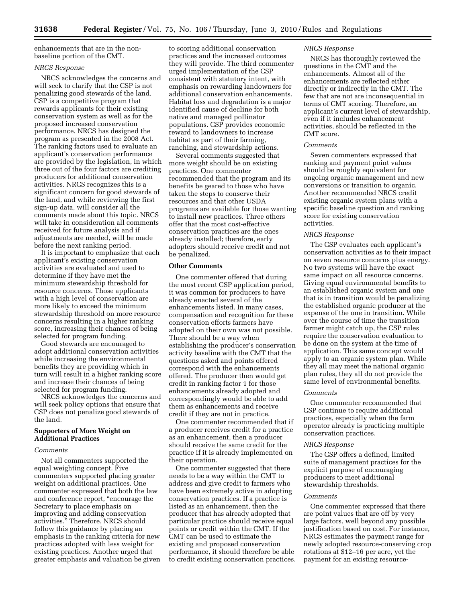enhancements that are in the nonbaseline portion of the CMT.

# *NRCS Response*

NRCS acknowledges the concerns and will seek to clarify that the CSP is not penalizing good stewards of the land. CSP is a competitive program that rewards applicants for their existing conservation system as well as for the proposed increased conservation performance. NRCS has designed the program as presented in the 2008 Act. The ranking factors used to evaluate an applicant's conservation performance are provided by the legislation, in which three out of the four factors are crediting producers for additional conservation activities. NRCS recognizes this is a significant concern for good stewards of the land, and while reviewing the first sign-up data, will consider all the comments made about this topic. NRCS will take in consideration all comments received for future analysis and if adjustments are needed, will be made before the next ranking period.

It is important to emphasize that each applicant's existing conservation activities are evaluated and used to determine if they have met the minimum stewardship threshold for resource concerns. Those applicants with a high level of conservation are more likely to exceed the minimum stewardship threshold on more resource concerns resulting in a higher ranking score, increasing their chances of being selected for program funding.

Good stewards are encouraged to adopt additional conservation activities while increasing the environmental benefits they are providing which in turn will result in a higher ranking score and increase their chances of being selected for program funding.

NRCS acknowledges the concerns and will seek policy options that ensure that CSP does not penalize good stewards of the land.

# **Supporters of More Weight on Additional Practices**

#### *Comments*

Not all commenters supported the equal weighting concept. Five commenters supported placing greater weight on additional practices. One commenter expressed that both the law and conference report, ''encourage the Secretary to place emphasis on improving and adding conservation activities.'' Therefore, NRCS should follow this guidance by placing an emphasis in the ranking criteria for new practices adopted with less weight for existing practices. Another urged that greater emphasis and valuation be given

to scoring additional conservation practices and the increased outcomes they will provide. The third commenter urged implementation of the CSP consistent with statutory intent, with emphasis on rewarding landowners for additional conservation enhancements. Habitat loss and degradation is a major identified cause of decline for both native and managed pollinator populations. CSP provides economic reward to landowners to increase habitat as part of their farming, ranching, and stewardship actions.

Several comments suggested that more weight should be on existing practices. One commenter recommended that the program and its benefits be geared to those who have taken the steps to conserve their resources and that other USDA programs are available for those wanting to install new practices. Three others offer that the most cost-effective conservation practices are the ones already installed; therefore, early adopters should receive credit and not be penalized.

## **Other Comments**

One commenter offered that during the most recent CSP application period, it was common for producers to have already enacted several of the enhancements listed. In many cases, compensation and recognition for these conservation efforts farmers have adopted on their own was not possible. There should be a way when establishing the producer's conservation activity baseline with the CMT that the questions asked and points offered correspond with the enhancements offered. The producer then would get credit in ranking factor 1 for those enhancements already adopted and correspondingly would be able to add them as enhancements and receive credit if they are not in practice.

One commenter recommended that if a producer receives credit for a practice as an enhancement, then a producer should receive the same credit for the practice if it is already implemented on their operation.

One commenter suggested that there needs to be a way within the CMT to address and give credit to farmers who have been extremely active in adopting conservation practices. If a practice is listed as an enhancement, then the producer that has already adopted that particular practice should receive equal points or credit within the CMT. If the CMT can be used to estimate the existing and proposed conservation performance, it should therefore be able to credit existing conservation practices.

## *NRCS Response*

NRCS has thoroughly reviewed the questions in the CMT and the enhancements. Almost all of the enhancements are reflected either directly or indirectly in the CMT. The few that are not are inconsequential in terms of CMT scoring. Therefore, an applicant's current level of stewardship, even if it includes enhancement activities, should be reflected in the CMT score.

#### *Comments*

Seven commenters expressed that ranking and payment point values should be roughly equivalent for ongoing organic management and new conversions or transition to organic. Another recommended NRCS credit existing organic system plans with a specific baseline question and ranking score for existing conservation activities.

# *NRCS Response*

The CSP evaluates each applicant's conservation activities as to their impact on seven resource concerns plus energy. No two systems will have the exact same impact on all resource concerns. Giving equal environmental benefits to an established organic system and one that is in transition would be penalizing the established organic producer at the expense of the one in transition. While over the course of time the transition farmer might catch up, the CSP rules require the conservation evaluation to be done on the system at the time of application. This same concept would apply to an organic system plan. While they all may meet the national organic plan rules, they all do not provide the same level of environmental benefits.

#### *Comments*

One commenter recommended that CSP continue to require additional practices, especially when the farm operator already is practicing multiple conservation practices.

#### *NRCS Response*

The CSP offers a defined, limited suite of management practices for the explicit purpose of encouraging producers to meet additional stewardship thresholds.

## *Comments*

One commenter expressed that there are point values that are off by very large factors, well beyond any possible justification based on cost. For instance, NRCS estimates the payment range for newly adopted resource-conserving crop rotations at \$12–16 per acre, yet the payment for an existing resource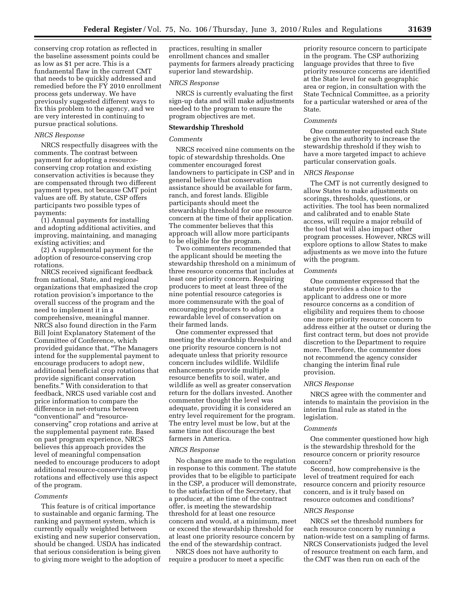conserving crop rotation as reflected in the baseline assessment points could be as low as \$1 per acre. This is a fundamental flaw in the current CMT that needs to be quickly addressed and remedied before the FY 2010 enrollment process gets underway. We have previously suggested different ways to fix this problem to the agency, and we are very interested in continuing to pursue practical solutions.

#### *NRCS Response*

NRCS respectfully disagrees with the comments. The contrast between payment for adopting a resourceconserving crop rotation and existing conservation activities is because they are compensated through two different payment types, not because CMT point values are off. By statute, CSP offers participants two possible types of payments:

(1) Annual payments for installing and adopting additional activities, and improving, maintaining, and managing existing activities; and

(2) A supplemental payment for the adoption of resource-conserving crop rotations.

NRCS received significant feedback from national, State, and regional organizations that emphasized the crop rotation provision's importance to the overall success of the program and the need to implement it in a comprehensive, meaningful manner. NRCS also found direction in the Farm Bill Joint Explanatory Statement of the Committee of Conference, which provided guidance that, ''The Managers intend for the supplemental payment to encourage producers to adopt new, additional beneficial crop rotations that provide significant conservation benefits.'' With consideration to that feedback, NRCS used variable cost and price information to compare the difference in net-returns between ''conventional'' and ''resourceconserving'' crop rotations and arrive at the supplemental payment rate. Based on past program experience, NRCS believes this approach provides the level of meaningful compensation needed to encourage producers to adopt additional resource-conserving crop rotations and effectively use this aspect of the program.

## *Comments*

This feature is of critical importance to sustainable and organic farming. The ranking and payment system, which is currently equally weighted between existing and new superior conservation, should be changed. USDA has indicated that serious consideration is being given to giving more weight to the adoption of practices, resulting in smaller enrollment chances and smaller payments for farmers already practicing superior land stewardship.

# *NRCS Response*

NRCS is currently evaluating the first sign-up data and will make adjustments needed to the program to ensure the program objectives are met.

#### **Stewardship Threshold**

#### *Comments*

NRCS received nine comments on the topic of stewardship thresholds. One commenter encouraged forest landowners to participate in CSP and in general believe that conservation assistance should be available for farm, ranch, and forest lands. Eligible participants should meet the stewardship threshold for one resource concern at the time of their application. The commenter believes that this approach will allow more participants to be eligible for the program.

Two commenters recommended that the applicant should be meeting the stewardship threshold on a minimum of three resource concerns that includes at least one priority concern. Requiring producers to meet at least three of the nine potential resource categories is more commensurate with the goal of encouraging producers to adopt a rewardable level of conservation on their farmed lands.

One commenter expressed that meeting the stewardship threshold and one priority resource concern is not adequate unless that priority resource concern includes wildlife. Wildlife enhancements provide multiple resource benefits to soil, water, and wildlife as well as greater conservation return for the dollars invested. Another commenter thought the level was adequate, providing it is considered an entry level requirement for the program. The entry level must be low, but at the same time not discourage the best farmers in America.

## *NRCS Response*

No changes are made to the regulation in response to this comment. The statute provides that to be eligible to participate in the CSP, a producer will demonstrate, to the satisfaction of the Secretary, that a producer, at the time of the contract offer, is meeting the stewardship threshold for at least one resource concern and would, at a minimum, meet or exceed the stewardship threshold for at least one priority resource concern by the end of the stewardship contract.

NRCS does not have authority to require a producer to meet a specific

priority resource concern to participate in the program. The CSP authorizing language provides that three to five priority resource concerns are identified at the State level for each geographic area or region, in consultation with the State Technical Committee, as a priority for a particular watershed or area of the State.

# *Comments*

One commenter requested each State be given the authority to increase the stewardship threshold if they wish to have a more targeted impact to achieve particular conservation goals.

#### *NRCS Response*

The CMT is not currently designed to allow States to make adjustments on scorings, thresholds, questions, or activities. The tool has been normalized and calibrated and to enable State access, will require a major rebuild of the tool that will also impact other program processes. However, NRCS will explore options to allow States to make adjustments as we move into the future with the program.

# *Comments*

One commenter expressed that the statute provides a choice to the applicant to address one or more resource concerns as a condition of eligibility and requires them to choose one more priority resource concern to address either at the outset or during the first contract term, but does not provide discretion to the Department to require more. Therefore, the commenter does not recommend the agency consider changing the interim final rule provision.

# *NRCS Response*

NRCS agree with the commenter and intends to maintain the provision in the interim final rule as stated in the legislation.

#### *Comments*

One commenter questioned how high is the stewardship threshold for the resource concern or priority resource concern?

Second, how comprehensive is the level of treatment required for each resource concern and priority resource concern, and is it truly based on resource outcomes and conditions?

#### *NRCS Response*

NRCS set the threshold numbers for each resource concern by running a nation-wide test on a sampling of farms. NRCS Conservationists judged the level of resource treatment on each farm, and the CMT was then run on each of the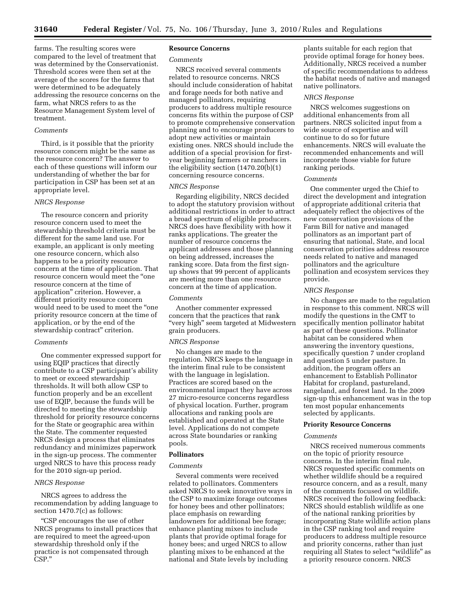farms. The resulting scores were compared to the level of treatment that was determined by the Conservationist. Threshold scores were then set at the average of the scores for the farms that were determined to be adequately addressing the resource concerns on the farm, what NRCS refers to as the Resource Management System level of treatment.

# *Comments*

Third, is it possible that the priority resource concern might be the same as the resource concern? The answer to each of these questions will inform our understanding of whether the bar for participation in CSP has been set at an appropriate level.

#### *NRCS Response*

The resource concern and priority resource concern used to meet the stewardship threshold criteria must be different for the same land use. For example, an applicant is only meeting one resource concern, which also happens to be a priority resource concern at the time of application. That resource concern would meet the ''one resource concern at the time of application'' criterion. However, a different priority resource concern would need to be used to meet the ''one priority resource concern at the time of application, or by the end of the stewardship contract'' criterion.

#### *Comments*

One commenter expressed support for using EQIP practices that directly contribute to a CSP participant's ability to meet or exceed stewardship thresholds. It will both allow CSP to function properly and be an excellent use of EQIP, because the funds will be directed to meeting the stewardship threshold for priority resource concerns for the State or geographic area within the State. The commenter requested NRCS design a process that eliminates redundancy and minimizes paperwork in the sign-up process. The commenter urged NRCS to have this process ready for the 2010 sign-up period.

#### *NRCS Response*

NRCS agrees to address the recommendation by adding language to section 1470.7(c) as follows:

''CSP encourages the use of other NRCS programs to install practices that are required to meet the agreed-upon stewardship threshold only if the practice is not compensated through CSP.''

## **Resource Concerns**

#### *Comments*

NRCS received several comments related to resource concerns. NRCS should include consideration of habitat and forage needs for both native and managed pollinators, requiring producers to address multiple resource concerns fits within the purpose of CSP to promote comprehensive conservation planning and to encourage producers to adopt new activities or maintain existing ones. NRCS should include the addition of a special provision for firstyear beginning farmers or ranchers in the eligibility section (1470.20(b)(1) concerning resource concerns.

# *NRCS Response*

Regarding eligibility, NRCS decided to adopt the statutory provision without additional restrictions in order to attract a broad spectrum of eligible producers. NRCS does have flexibility with how it ranks applications. The greater the number of resource concerns the applicant addresses and those planning on being addressed, increases the ranking score. Data from the first signup shows that 99 percent of applicants are meeting more than one resource concern at the time of application.

#### *Comments*

Another commenter expressed concern that the practices that rank ''very high'' seem targeted at Midwestern grain producers.

# *NRCS Response*

No changes are made to the regulation. NRCS keeps the language in the interim final rule to be consistent with the language in legislation. Practices are scored based on the environmental impact they have across 27 micro-resource concerns regardless of physical location. Further, program allocations and ranking pools are established and operated at the State level. Applications do not compete across State boundaries or ranking pools.

#### **Pollinators**

#### *Comments*

Several comments were received related to pollinators. Commenters asked NRCS to seek innovative ways in the CSP to maximize forage outcomes for honey bees and other pollinators; place emphasis on rewarding landowners for additional bee forage; enhance planting mixes to include plants that provide optimal forage for honey bees; and urged NRCS to allow planting mixes to be enhanced at the national and State levels by including

plants suitable for each region that provide optimal forage for honey bees. Additionally, NRCS received a number of specific recommendations to address the habitat needs of native and managed native pollinators.

#### *NRCS Response*

NRCS welcomes suggestions on additional enhancements from all partners. NRCS solicited input from a wide source of expertise and will continue to do so for future enhancements. NRCS will evaluate the recommended enhancements and will incorporate those viable for future ranking periods.

#### *Comments*

One commenter urged the Chief to direct the development and integration of appropriate additional criteria that adequately reflect the objectives of the new conservation provisions of the Farm Bill for native and managed pollinators as an important part of ensuring that national, State, and local conservation priorities address resource needs related to native and managed pollinators and the agriculture pollination and ecosystem services they provide.

#### *NRCS Response*

No changes are made to the regulation in response to this comment. NRCS will modify the questions in the CMT to specifically mention pollinator habitat as part of these questions. Pollinator habitat can be considered when answering the inventory questions, specifically question 7 under cropland and question 5 under pasture. In addition, the program offers an enhancement to Establish Pollinator Habitat for cropland, pastureland, rangeland, and forest land. In the 2009 sign-up this enhancement was in the top ten most popular enhancements selected by applicants.

# **Priority Resource Concerns**

#### *Comments*

NRCS received numerous comments on the topic of priority resource concerns. In the interim final rule, NRCS requested specific comments on whether wildlife should be a required resource concern, and as a result, many of the comments focused on wildlife. NRCS received the following feedback: NRCS should establish wildlife as one of the national ranking priorities by incorporating State wildlife action plans in the CSP ranking tool and require producers to address multiple resource and priority concerns, rather than just requiring all States to select "wildlife" as a priority resource concern. NRCS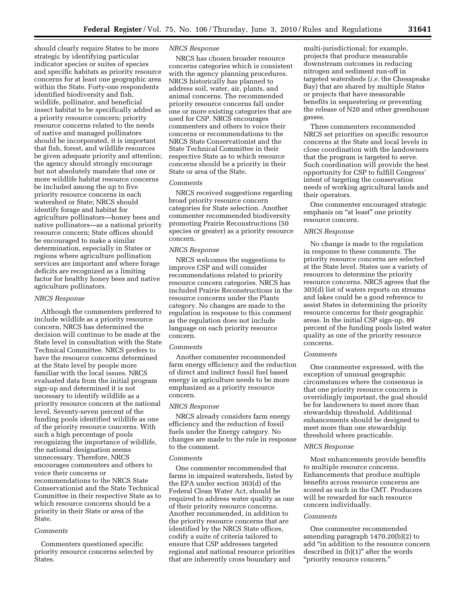should clearly require States to be more strategic by identifying particular indicator species or suites of species and specific habitats as priority resource concerns for at least one geographic area within the State. Forty-one respondents identified biodiversity and fish, wildlife, pollinator, and beneficial insect habitat to be specifically added as a priority resource concern; priority resource concerns related to the needs of native and managed pollinators should be incorporated, it is important that fish, forest, and wildlife resources be given adequate priority and attention; the agency should strongly encourage but not absolutely mandate that one or more wildlife habitat resource concerns be included among the up to five priority resource concerns in each watershed or State; NRCS should identify forage and habitat for agriculture pollinators—honey bees and native pollinators—as a national priority resource concern; State offices should be encouraged to make a similar determination, especially in States or regions where agriculture pollination services are important and where forage deficits are recognized as a limiting factor for healthy honey bees and native agriculture pollinators.

#### *NRCS Response*

Although the commenters preferred to include wildlife as a priority resource concern, NRCS has determined the decision will continue to be made at the State level in consultation with the State Technical Committee. NRCS prefers to have the resource concerns determined at the State level by people more familiar with the local issues. NRCS evaluated data from the initial program sign-up and determined it is not necessary to identify wildlife as a priority resource concern at the national level. Seventy-seven percent of the funding pools identified wildlife as one of the priority resource concerns. With such a high percentage of pools recognizing the importance of wildlife, the national designation seems unnecessary. Therefore, NRCS encourages commenters and others to voice their concerns or recommendations to the NRCS State Conservationist and the State Technical Committee in their respective State as to which resource concerns should be a priority in their State or area of the State.

#### *Comments*

Commenters questioned specific priority resource concerns selected by States.

# *NRCS Response*

NRCS has chosen broader resource concerns categories which is consistent with the agency planning procedures. NRCS historically has planned to address soil, water, air, plants, and animal concerns. The recommended priority resource concerns fall under one or more existing categories that are used for CSP. NRCS encourages commenters and others to voice their concerns or recommendations to the NRCS State Conservationist and the State Technical Committee in their respective State as to which resource concerns should be a priority in their State or area of the State.

# *Comments*

NRCS received suggestions regarding broad priority resource concern categories for State selection. Another commenter recommended biodiversity promoting Prairie Reconstructions (50 species or greater) as a priority resource concern.

# *NRCS Response*

NRCS welcomes the suggestions to improve CSP and will consider recommendations related to priority resource concern categories. NRCS has included Prairie Reconstructions in the resource concerns under the Plants category. No changes are made to the regulation in response to this comment as the regulation does not include language on each priority resource concern.

#### *Comments*

Another commenter recommended farm energy efficiency and the reduction of direct and indirect fossil fuel based energy in agriculture needs to be more emphasized as a priority resource concern.

#### *NRCS Response*

NRCS already considers farm energy efficiency and the reduction of fossil fuels under the Energy category. No changes are made to the rule in response to the comment.

#### *Comments*

One commenter recommended that farms in impaired watersheds, listed by the EPA under section 303(d) of the Federal Clean Water Act, should be required to address water quality as one of their priority resource concerns. Another recommended, in addition to the priority resource concerns that are identified by the NRCS State offices, codify a suite of criteria tailored to ensure that CSP addresses targeted regional and national resource priorities that are inherently cross boundary and

multi-jurisdictional; for example, projects that produce measurable downstream outcomes in reducing nitrogen and sediment run-off in targeted watersheds (*i.e.* the Chesapeake Bay) that are shared by multiple States or projects that have measurable benefits in sequestering or preventing the release of N20 and other greenhouse gasses.

Three commenters recommended NRCS set priorities on specific resource concerns at the State and local levels in close coordination with the landowners that the program is targeted to serve. Such coordination will provide the best opportunity for CSP to fulfill Congress' intent of targeting the conservation needs of working agricultural lands and their operators.

One commenter encouraged strategic emphasis on "at least" one priority resource concern.

#### *NRCS Response*

No change is made to the regulation in response to these comments. The priority resource concerns are selected at the State level. States use a variety of resources to determine the priority resource concerns. NRCS agrees that the 303(d) list of waters reports on streams and lakes could be a good reference to assist States in determining the priority resource concerns for their geographic areas. In the initial CSP sign-up, 89 percent of the funding pools listed water quality as one of the priority resource concerns.

#### *Comments*

One commenter expressed, with the exception of unusual geographic circumstances where the consensus is that one priority resource concern is overridingly important, the goal should be for landowners to meet more than stewardship threshold. Additional enhancements should be designed to meet more than one stewardship threshold where practicable.

## *NRCS Response*

Most enhancements provide benefits to multiple resource concerns. Enhancements that produce multiple benefits across resource concerns are scored as such in the CMT. Producers will be rewarded for each resource concern individually.

#### *Comments*

One commenter recommended amending paragraph 1470.20(b)(2) to add ''in addition to the resource concern described in  $(b)(1)$ " after the words ''priority resource concern.''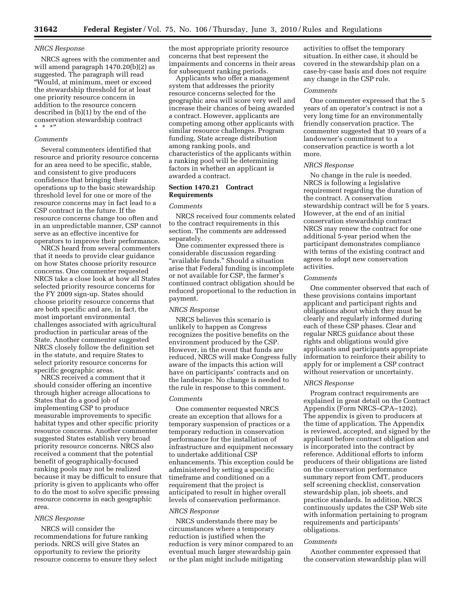#### *NRCS Response*

NRCS agrees with the commenter and will amend paragraph 1470.20(b)(2) as suggested. The paragraph will read ''Would, at minimum, meet or exceed the stewardship threshold for at least one priority resource concern in addition to the resource concern described in (b)(1) by the end of the conservation stewardship contract  $*$  \*'

# *Comments*

Several commenters identified that resource and priority resource concerns for an area need to be specific, stable, and consistent to give producers confidence that bringing their operations up to the basic stewardship threshold level for one or more of the resource concerns may in fact lead to a CSP contract in the future. If the resource concerns change too often and in an unpredictable manner, CSP cannot serve as an effective incentive for operators to improve their performance.

NRCS heard from several commenters that it needs to provide clear guidance on how States choose priority resource concerns. One commenter requested NRCS take a close look at how all States selected priority resource concerns for the FY 2009 sign-up. States should choose priority resource concerns that are both specific and are, in fact, the most important environmental challenges associated with agricultural production in particular areas of the State. Another commenter suggested NRCS closely follow the definition set in the statute, and require States to select priority resource concerns for specific geographic areas.

NRCS received a comment that it should consider offering an incentive through higher acreage allocations to States that do a good job of implementing CSP to produce measurable improvements to specific habitat types and other specific priority resource concerns. Another commenter suggested States establish very broad priority resource concerns. NRCS also received a comment that the potential benefit of geographically-focused ranking pools may not be realized because it may be difficult to ensure that priority is given to applicants who offer to do the most to solve specific pressing resource concerns in each geographic area.

# *NRCS Response*

NRCS will consider the recommendations for future ranking periods. NRCS will give States an opportunity to review the priority resource concerns to ensure they select the most appropriate priority resource concerns that best represent the impairments and concerns in their areas for subsequent ranking periods.

Applicants who offer a management system that addresses the priority resource concerns selected for the geographic area will score very well and increase their chances of being awarded a contract. However, applicants are competing among other applicants with similar resource challenges. Program funding, State acreage distribution among ranking pools, and characteristics of the applicants within a ranking pool will be determining factors in whether an applicant is awarded a contract.

# **Section 1470.21 Contract Requirements**

#### *Comments*

NRCS received four comments related to the contract requirements in this section. The comments are addressed separately.

One commenter expressed there is considerable discussion regarding "available funds." Should a situation arise that Federal funding is incomplete or not available for CSP, the farmer's continued contract obligation should be reduced proportional to the reduction in payment.

# *NRCS Response*

NRCS believes this scenario is unlikely to happen as Congress recognizes the positive benefits on the environment produced by the CSP. However, in the event that funds are reduced, NRCS will make Congress fully aware of the impacts this action will have on participants' contracts and on the landscape. No change is needed to the rule in response to this comment.

#### *Comments*

One commenter requested NRCS create an exception that allows for a temporary suspension of practices or a temporary reduction in conservation performance for the installation of infrastructure and equipment necessary to undertake additional CSP enhancements. This exception could be administered by setting a specific timeframe and conditioned on a requirement that the project is anticipated to result in higher overall levels of conservation performance.

#### *NRCS Response*

NRCS understands there may be circumstances where a temporary reduction is justified when the reduction is very minor compared to an eventual much larger stewardship gain or the plan might include mitigating

activities to offset the temporary situation. In either case, it should be covered in the stewardship plan on a case-by-case basis and does not require any change in the CSP rule.

## *Comments*

One commenter expressed that the 5 years of an operator's contract is not a very long time for an environmentally friendly conservation practice. The commenter suggested that 10 years of a landowner's commitment to a conservation practice is worth a lot more.

#### *NRCS Response*

No change in the rule is needed. NRCS is following a legislative requirement regarding the duration of the contract. A conservation stewardship contract will be for 5 years. However, at the end of an initial conservation stewardship contract NRCS may renew the contract for one additional 5-year period when the participant demonstrates compliance with terms of the existing contract and agrees to adopt new conservation activities.

#### *Comments*

One commenter observed that each of these provisions contains important applicant and participant rights and obligations about which they must be clearly and regularly informed during each of these CSP phases. Clear and regular NRCS guidance about these rights and obligations would give applicants and participants appropriate information to reinforce their ability to apply for or implement a CSP contract without reservation or uncertainty.

# *NRCS Response*

Program contract requirements are explained in great detail on the Contract Appendix (Form NRCS–CPA–1202). The appendix is given to producers at the time of application. The Appendix is reviewed, accepted, and signed by the applicant before contract obligation and is incorporated into the contract by reference. Additional efforts to inform producers of their obligations are listed on the conservation performance summary report from CMT, producers self screening checklist, conservation stewardship plan, job sheets, and practice standards. In addition, NRCS continuously updates the CSP Web site with information pertaining to program requirements and participants' obligations.

#### *Comments*

Another commenter expressed that the conservation stewardship plan will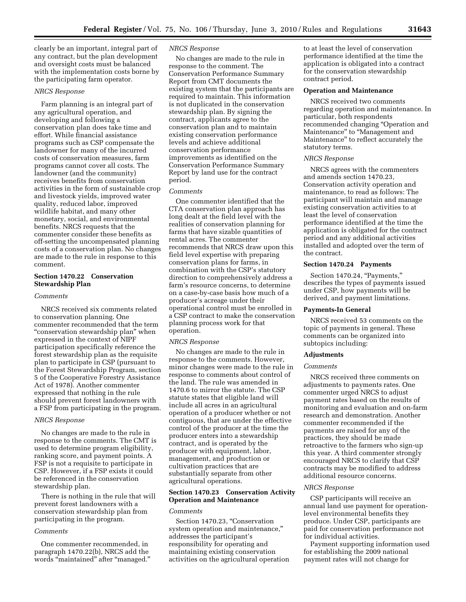clearly be an important, integral part of any contract, but the plan development and oversight costs must be balanced with the implementation costs borne by the participating farm operator.

# *NRCS Response*

Farm planning is an integral part of any agricultural operation, and developing and following a conservation plan does take time and effort. While financial assistance programs such as CSP compensate the landowner for many of the incurred costs of conservation measures, farm programs cannot cover all costs. The landowner (and the community) receives benefits from conservation activities in the form of sustainable crop and livestock yields, improved water quality, reduced labor, improved wildlife habitat, and many other monetary, social, and environmental benefits. NRCS requests that the commenter consider these benefits as off-setting the uncompensated planning costs of a conservation plan. No changes are made to the rule in response to this comment.

# **Section 1470.22 Conservation Stewardship Plan**

# *Comments*

NRCS received six comments related to conservation planning. One commenter recommended that the term "conservation stewardship plan" when expressed in the context of NIPF participation specifically reference the forest stewardship plan as the requisite plan to participate in CSP (pursuant to the Forest Stewardship Program, section 5 of the Cooperative Forestry Assistance Act of 1978). Another commenter expressed that nothing in the rule should prevent forest landowners with a FSP from participating in the program.

#### *NRCS Response*

No changes are made to the rule in response to the comments. The CMT is used to determine program eligibility, ranking score, and payment points. A FSP is not a requisite to participate in CSP. However, if a FSP exists it could be referenced in the conservation stewardship plan.

There is nothing in the rule that will prevent forest landowners with a conservation stewardship plan from participating in the program.

# *Comments*

One commenter recommended, in paragraph 1470.22(b), NRCS add the words ''maintained'' after ''managed.''

# *NRCS Response*

No changes are made to the rule in response to the comment. The Conservation Performance Summary Report from CMT documents the existing system that the participants are required to maintain. This information is not duplicated in the conservation stewardship plan. By signing the contract, applicants agree to the conservation plan and to maintain existing conservation performance levels and achieve additional conservation performance improvements as identified on the Conservation Performance Summary Report by land use for the contract period.

#### *Comments*

One commenter identified that the CTA conservation plan approach has long dealt at the field level with the realities of conservation planning for farms that have sizable quantities of rental acres. The commenter recommends that NRCS draw upon this field level expertise with preparing conservation plans for farms, in combination with the CSP's statutory direction to comprehensively address a farm's resource concerns, to determine on a case-by-case basis how much of a producer's acreage under their operational control must be enrolled in a CSP contract to make the conservation planning process work for that operation.

## *NRCS Response*

No changes are made to the rule in response to the comments. However, minor changes were made to the rule in response to comments about control of the land. The rule was amended in 1470.6 to mirror the statute. The CSP statute states that eligible land will include all acres in an agricultural operation of a producer whether or not contiguous, that are under the effective control of the producer at the time the producer enters into a stewardship contract, and is operated by the producer with equipment, labor, management, and production or cultivation practices that are substantially separate from other agricultural operations.

# **Section 1470.23 Conservation Activity Operation and Maintenance**

#### *Comments*

Section 1470.23, "Conservation system operation and maintenance,'' addresses the participant's responsibility for operating and maintaining existing conservation activities on the agricultural operation

to at least the level of conservation performance identified at the time the application is obligated into a contract for the conservation stewardship contract period.

# **Operation and Maintenance**

NRCS received two comments regarding operation and maintenance. In particular, both respondents recommended changing ''Operation and Maintenance'' to ''Management and Maintenance'' to reflect accurately the statutory terms.

# *NRCS Response*

NRCS agrees with the commenters and amends section 1470.23, Conservation activity operation and maintenance, to read as follows: The participant will maintain and manage existing conservation activities to at least the level of conservation performance identified at the time the application is obligated for the contract period and any additional activities installed and adopted over the term of the contract.

# **Section 1470.24 Payments**

Section 1470.24, "Payments," describes the types of payments issued under CSP, how payments will be derived, and payment limitations.

## **Payments-In General**

NRCS received 53 comments on the topic of payments in general. These comments can be organized into subtopics including:

## **Adjustments**

#### *Comments*

NRCS received three comments on adjustments to payments rates. One commenter urged NRCS to adjust payment rates based on the results of monitoring and evaluation and on-farm research and demonstration. Another commenter recommended if the payments are raised for any of the practices, they should be made retroactive to the farmers who sign-up this year. A third commenter strongly encouraged NRCS to clarify that CSP contracts may be modified to address additional resource concerns.

# *NRCS Response*

CSP participants will receive an annual land use payment for operationlevel environmental benefits they produce. Under CSP, participants are paid for conservation performance not for individual activities.

Payment supporting information used for establishing the 2009 national payment rates will not change for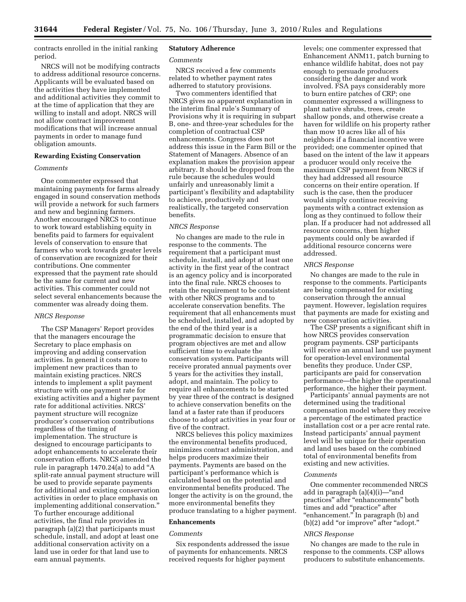contracts enrolled in the initial ranking period.

NRCS will not be modifying contracts to address additional resource concerns. Applicants will be evaluated based on the activities they have implemented and additional activities they commit to at the time of application that they are willing to install and adopt. NRCS will not allow contract improvement modifications that will increase annual payments in order to manage fund obligation amounts.

# **Rewarding Existing Conservation**

# *Comments*

One commenter expressed that maintaining payments for farms already engaged in sound conservation methods will provide a network for such farmers and new and beginning farmers. Another encouraged NRCS to continue to work toward establishing equity in benefits paid to farmers for equivalent levels of conservation to ensure that farmers who work towards greater levels of conservation are recognized for their contributions. One commenter expressed that the payment rate should be the same for current and new activities. This commenter could not select several enhancements because the commenter was already doing them.

#### *NRCS Response*

The CSP Managers' Report provides that the managers encourage the Secretary to place emphasis on improving and adding conservation activities. In general it costs more to implement new practices than to maintain existing practices. NRCS intends to implement a split payment structure with one payment rate for existing activities and a higher payment rate for additional activities. NRCS' payment structure will recognize producer's conservation contributions regardless of the timing of implementation. The structure is designed to encourage participants to adopt enhancements to accelerate their conservation efforts. NRCS amended the rule in paragraph 1470.24(a) to add ''A split-rate annual payment structure will be used to provide separate payments for additional and existing conservation activities in order to place emphasis on implementing additional conservation.'' To further encourage additional activities, the final rule provides in paragraph (a)(2) that participants must schedule, install, and adopt at least one additional conservation activity on a land use in order for that land use to earn annual payments.

# **Statutory Adherence**

#### *Comments*

NRCS received a few comments related to whether payment rates adherred to statutory provisions.

Two commenters identified that NRCS gives no apparent explanation in the interim final rule's Summary of Provisions why it is requiring in subpart B, one- and three-year schedules for the completion of contractual CSP enhancements. Congress does not address this issue in the Farm Bill or the Statement of Managers. Absence of an explanation makes the provision appear arbitrary. It should be dropped from the rule because the schedules would unfairly and unreasonably limit a participant's flexibility and adaptability to achieve, productively and realistically, the targeted conservation benefits.

# *NRCS Response*

No changes are made to the rule in response to the comments. The requirement that a participant must schedule, install, and adopt at least one activity in the first year of the contract is an agency policy and is incorporated into the final rule. NRCS chooses to retain the requirement to be consistent with other NRCS programs and to accelerate conservation benefits. The requirement that all enhancements must be scheduled, installed, and adopted by the end of the third year is a programmatic decision to ensure that program objectives are met and allow sufficient time to evaluate the conservation system. Participants will receive prorated annual payments over 5 years for the activities they install, adopt, and maintain. The policy to require all enhancements to be started by year three of the contract is designed to achieve conservation benefits on the land at a faster rate than if producers choose to adopt activities in year four or five of the contract.

NRCS believes this policy maximizes the environmental benefits produced, minimizes contract administration, and helps producers maximize their payments. Payments are based on the participant's performance which is calculated based on the potential and environmental benefits produced. The longer the activity is on the ground, the more environmental benefits they produce translating to a higher payment.

# **Enhancements**

## *Comments*

Six respondents addressed the issue of payments for enhancements. NRCS received requests for higher payment

levels; one commenter expressed that Enhancement ANM11, patch burning to enhance wildlife habitat, does not pay enough to persuade producers considering the danger and work involved. FSA pays considerably more to burn entire patches of CRP; one commenter expressed a willingness to plant native shrubs, trees, create shallow ponds, and otherwise create a haven for wildlife on his property rather than mow 10 acres like all of his neighbors if a financial incentive were provided; one commenter opined that based on the intent of the law it appears a producer would only receive the maximum CSP payment from NRCS if they had addressed all resource concerns on their entire operation. If such is the case, then the producer would simply continue receiving payments with a contract extension as long as they continued to follow their plan. If a producer had not addressed all resource concerns, then higher payments could only be awarded if additional resource concerns were addressed.

#### *NRCS Response*

No changes are made to the rule in response to the comments. Participants are being compensated for existing conservation through the annual payment. However, legislation requires that payments are made for existing and new conservation activities.

The CSP presents a significant shift in how NRCS provides conservation program payments. CSP participants will receive an annual land use payment for operation-level environmental benefits they produce. Under CSP, participants are paid for conservation performance—the higher the operational performance, the higher their payment.

Participants' annual payments are not determined using the traditional compensation model where they receive a percentage of the estimated practice installation cost or a per acre rental rate. Instead participants' annual payment level will be unique for their operation and land uses based on the combined total of environmental benefits from existing and new activities.

# *Comments*

One commenter recommended NRCS add in paragraph (a)(4)(i)—''and practices" after "enhancements" both times and add ''practice'' after ''enhancement.'' In paragraph (b) and (b)(2) add ''or improve'' after ''adopt.''

#### *NRCS Response*

No changes are made to the rule in response to the comments. CSP allows producers to substitute enhancements.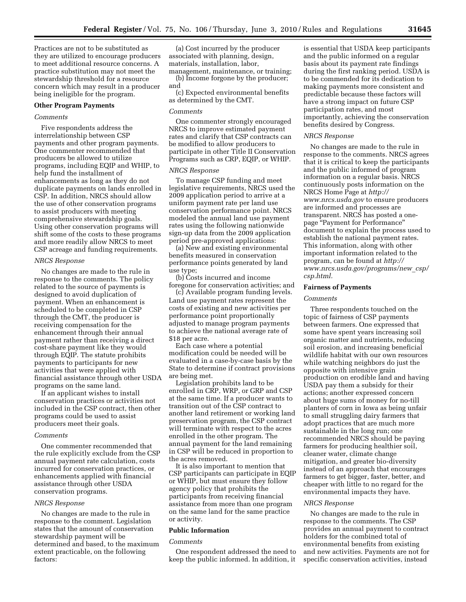Practices are not to be substituted as they are utilized to encourage producers to meet additional resource concerns. A practice substitution may not meet the stewardship threshold for a resource concern which may result in a producer being ineligible for the program.

#### **Other Program Payments**

# *Comments*

Five respondents address the interrelationship between CSP payments and other program payments. One commenter recommended that producers be allowed to utilize programs, including EQIP and WHIP, to help fund the installment of enhancements as long as they do not duplicate payments on lands enrolled in CSP. In addition, NRCS should allow the use of other conservation programs to assist producers with meeting comprehensive stewardship goals. Using other conservation programs will shift some of the costs to these programs and more readily allow NRCS to meet CSP acreage and funding requirements.

#### *NRCS Response*

No changes are made to the rule in response to the comments. The policy related to the source of payments is designed to avoid duplication of payment. When an enhancement is scheduled to be completed in CSP through the CMT, the producer is receiving compensation for the enhancement through their annual payment rather than receiving a direct cost-share payment like they would through EQIP. The statute prohibits payments to participants for new activities that were applied with financial assistance through other USDA programs on the same land.

If an applicant wishes to install conservation practices or activities not included in the CSP contract, then other programs could be used to assist producers meet their goals.

# *Comments*

One commenter recommended that the rule explicitly exclude from the CSP annual payment rate calculation, costs incurred for conservation practices, or enhancements applied with financial assistance through other USDA conservation programs.

#### *NRCS Response*

No changes are made to the rule in response to the comment. Legislation states that the amount of conservation stewardship payment will be determined and based, to the maximum extent practicable, on the following factors:

(a) Cost incurred by the producer associated with planning, design, materials, installation, labor, management, maintenance, or training;

(b) Income forgone by the producer; and

(c) Expected environmental benefits as determined by the CMT.

# *Comments*

One commenter strongly encouraged NRCS to improve estimated payment rates and clarify that CSP contracts can be modified to allow producers to participate in other Title II Conservation Programs such as CRP, EQIP, or WHIP.

## *NRCS Response*

To manage CSP funding and meet legislative requirements, NRCS used the 2009 application period to arrive at a uniform payment rate per land use conservation performance point. NRCS modeled the annual land use payment rates using the following nationwide sign-up data from the 2009 application period pre-approved applications:

(a) New and existing environmental benefits measured in conservation performance points generated by land use type;

(b) Costs incurred and income foregone for conservation activities; and

(c) Available program funding levels. Land use payment rates represent the costs of existing and new activities per performance point proportionally adjusted to manage program payments to achieve the national average rate of \$18 per acre.

Each case where a potential modification could be needed will be evaluated in a case-by-case basis by the State to determine if contract provisions are being met.

Legislation prohibits land to be enrolled in CRP, WRP, or GRP and CSP at the same time. If a producer wants to transition out of the CSP contract to another land retirement or working land preservation program, the CSP contract will terminate with respect to the acres enrolled in the other program. The annual payment for the land remaining in CSP will be reduced in proportion to the acres removed.

It is also important to mention that CSP participants can participate in EQIP or WHIP, but must ensure they follow agency policy that prohibits the participants from receiving financial assistance from more than one program on the same land for the same practice or activity.

#### **Public Information**

#### *Comments*

One respondent addressed the need to keep the public informed. In addition, it

is essential that USDA keep participants and the public informed on a regular basis about its payment rate findings during the first ranking period. USDA is to be commended for its dedication to making payments more consistent and predictable because these factors will have a strong impact on future CSP participation rates, and most importantly, achieving the conservation benefits desired by Congress.

# *NRCS Response*

No changes are made to the rule in response to the comments. NRCS agrees that it is critical to keep the participants and the public informed of program information on a regular basis. NRCS continuously posts information on the NRCS Home Page at *http:// www.nrcs.usda.gov* to ensure producers are informed and processes are transparent. NRCS has posted a onepage ''Payment for Performance'' document to explain the process used to establish the national payment rates. This information, along with other important information related to the program, can be found at *http:// www.nrcs.usda.gov/programs/new*\_*csp/ csp.html.* 

# **Fairness of Payments**

#### *Comments*

Three respondents touched on the topic of fairness of CSP payments between farmers. One expressed that some have spent years increasing soil organic matter and nutrients, reducing soil erosion, and increasing beneficial wildlife habitat with our own resources while watching neighbors do just the opposite with intensive grain production on erodible land and having USDA pay them a subsidy for their actions; another expressed concern about huge sums of money for no-till planters of corn in Iowa as being unfair to small struggling dairy farmers that adopt practices that are much more sustainable in the long run; one recommended NRCS should be paying farmers for producing healthier soil, cleaner water, climate change mitigation, and greater bio-diversity instead of an approach that encourages farmers to get bigger, faster, better, and cheaper with little to no regard for the environmental impacts they have.

#### *NRCS Response*

No changes are made to the rule in response to the comments. The CSP provides an annual payment to contract holders for the combined total of environmental benefits from existing and new activities. Payments are not for specific conservation activities, instead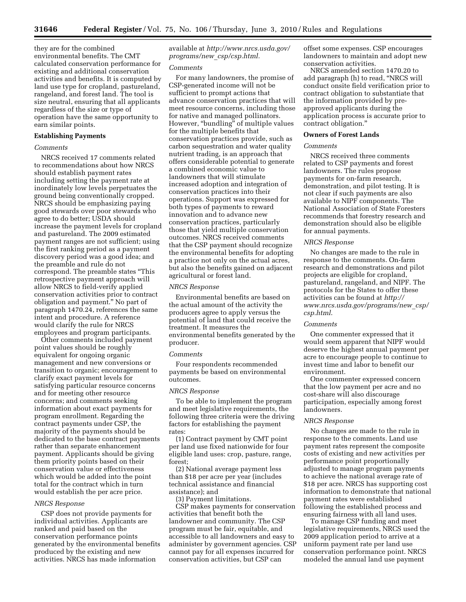they are for the combined environmental benefits. The CMT calculated conservation performance for existing and additional conservation activities and benefits. It is computed by land use type for cropland, pastureland, rangeland, and forest land. The tool is size neutral, ensuring that all applicants regardless of the size or type of operation have the same opportunity to earn similar points.

# **Establishing Payments**

#### *Comments*

NRCS received 17 comments related to recommendations about how NRCS should establish payment rates including setting the payment rate at inordinately low levels perpetuates the ground being conventionally cropped. NRCS should be emphasizing paying good stewards over poor stewards who agree to do better; USDA should increase the payment levels for cropland and pastureland. The 2009 estimated payment ranges are not sufficient; using the first ranking period as a payment discovery period was a good idea; and the preamble and rule do not correspond. The preamble states ''This retrospective payment approach will allow NRCS to field-verify applied conservation activities prior to contract obligation and payment.'' No part of paragraph 1470.24, references the same intent and procedure. A reference would clarify the rule for NRCS employees and program participants.

Other comments included payment point values should be roughly equivalent for ongoing organic management and new conversions or transition to organic; encouragement to clarify exact payment levels for satisfying particular resource concerns and for meeting other resource concerns; and comments seeking information about exact payments for program enrollment. Regarding the contract payments under CSP, the majority of the payments should be dedicated to the base contract payments rather than separate enhancement payment. Applicants should be giving them priority points based on their conservation value or effectiveness which would be added into the point total for the contract which in turn would establish the per acre price.

## *NRCS Response*

CSP does not provide payments for individual activities. Applicants are ranked and paid based on the conservation performance points generated by the environmental benefits produced by the existing and new activities. NRCS has made information

available at *http://www.nrcs.usda.gov/ programs/new*\_*csp/csp.html.* 

#### *Comments*

For many landowners, the promise of CSP-generated income will not be sufficient to prompt actions that advance conservation practices that will meet resource concerns, including those for native and managed pollinators. However, "bundling" of multiple values for the multiple benefits that conservation practices provide, such as carbon sequestration and water quality nutrient trading, is an approach that offers considerable potential to generate a combined economic value to landowners that will stimulate increased adoption and integration of conservation practices into their operations. Support was expressed for both types of payments to reward innovation and to advance new conservation practices, particularly those that yield multiple conservation outcomes. NRCS received comments that the CSP payment should recognize the environmental benefits for adopting a practice not only on the actual acres, but also the benefits gained on adjacent agricultural or forest land.

# *NRCS Response*

Environmental benefits are based on the actual amount of the activity the producers agree to apply versus the potential of land that could receive the treatment. It measures the environmental benefits generated by the producer.

#### *Comments*

Four respondents recommended payments be based on environmental outcomes.

## *NRCS Response*

To be able to implement the program and meet legislative requirements, the following three criteria were the driving factors for establishing the payment rates:

(1) Contract payment by CMT point per land use fixed nationwide for four eligible land uses: crop, pasture, range, forest;

(2) National average payment less than \$18 per acre per year (includes technical assistance and financial assistance); and

(3) Payment limitations.

CSP makes payments for conservation activities that benefit both the landowner and community. The CSP program must be fair, equitable, and accessible to all landowners and easy to administer by government agencies. CSP cannot pay for all expenses incurred for conservation activities, but CSP can

offset some expenses. CSP encourages landowners to maintain and adopt new conservation activities.

NRCS amended section 1470.20 to add paragraph (h) to read, ''NRCS will conduct onsite field verification prior to contract obligation to substantiate that the information provided by preapproved applicants during the application process is accurate prior to contract obligation.''

# **Owners of Forest Lands**

# *Comments*

NRCS received three comments related to CSP payments and forest landowners. The rules propose payments for on-farm research, demonstration, and pilot testing. It is not clear if such payments are also available to NIPF components. The National Association of State Foresters recommends that forestry research and demonstration should also be eligible for annual payments.

## *NRCS Response*

No changes are made to the rule in response to the comments. On-farm research and demonstrations and pilot projects are eligible for cropland, pastureland, rangeland, and NIPF. The protocols for the States to offer these activities can be found at *http:// www.nrcs.usda.gov/programs/new*\_*csp/ csp.html*.

#### *Comments*

One commenter expressed that it would seem apparent that NIPF would deserve the highest annual payment per acre to encourage people to continue to invest time and labor to benefit our environment.

One commenter expressed concern that the low payment per acre and no cost-share will also discourage participation, especially among forest landowners.

## *NRCS Response*

No changes are made to the rule in response to the comments. Land use payment rates represent the composite costs of existing and new activities per performance point proportionally adjusted to manage program payments to achieve the national average rate of \$18 per acre. NRCS has supporting cost information to demonstrate that national payment rates were established following the established process and ensuring fairness with all land uses.

To manage CSP funding and meet legislative requirements, NRCS used the 2009 application period to arrive at a uniform payment rate per land use conservation performance point. NRCS modeled the annual land use payment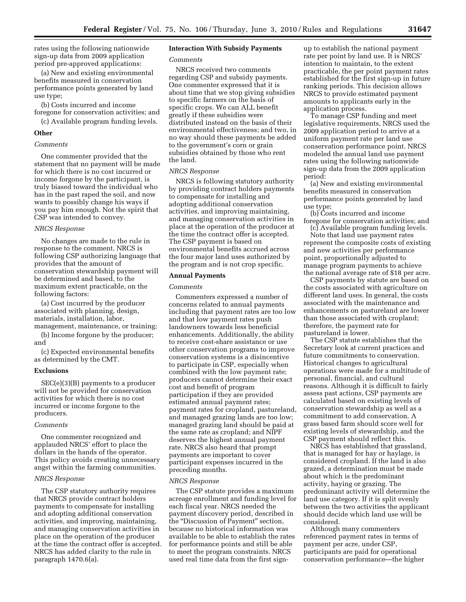rates using the following nationwide sign-up data from 2009 application period pre-approved applications:

(a) New and existing environmental benefits measured in conservation performance points generated by land use type;

(b) Costs incurred and income foregone for conservation activities; and

(c) Available program funding levels.

# **Other**

# *Comments*

One commenter provided that the statement that no payment will be made for which there is no cost incurred or income forgone by the participant, is truly biased toward the individual who has in the past raped the soil, and now wants to possibly change his ways if you pay him enough. Not the spirit that CSP was intended to convey.

# *NRCS Response*

No changes are made to the rule in response to the comment. NRCS is following CSP authorizing language that provides that the amount of conservation stewardship payment will be determined and based, to the maximum extent practicable, on the following factors:

(a) Cost incurred by the producer associated with planning, design, materials, installation, labor, management, maintenance, or training;

(b) Income forgone by the producer; and

(c) Expected environmental benefits as determined by the CMT.

#### **Exclusions**

SEC(e)(3)(B) payments to a producer will not be provided for conservation activities for which there is no cost incurred or income forgone to the producers.

# *Comments*

One commenter recognized and applauded NRCS' effort to place the dollars in the hands of the operator. This policy avoids creating unnecessary angst within the farming communities.

# *NRCS Response*

The CSP statutory authority requires that NRCS provide contract holders payments to compensate for installing and adopting additional conservation activities, and improving, maintaining, and managing conservation activities in place on the operation of the producer at the time the contract offer is accepted. NRCS has added clarity to the rule in paragraph 1470.6(a).

# **Interaction With Subsidy Payments**

#### *Comments*

NRCS received two comments regarding CSP and subsidy payments. One commenter expressed that it is about time that we stop giving subsidies to specific farmers on the basis of specific crops. We can ALL benefit greatly if these subsidies were distributed instead on the basis of their environmental effectiveness; and two, in no way should these payments be added to the government's corn or grain subsidies obtained by those who rent the land.

# *NRCS Response*

NRCS is following statutory authority by providing contract holders payments to compensate for installing and adopting additional conservation activities, and improving maintaining, and managing conservation activities in place at the operation of the producer at the time the contract offer is accepted. The CSP payment is based on environmental benefits accrued across the four major land uses authorized by the program and is not crop specific.

#### **Annual Payments**

# *Comments*

Commenters expressed a number of concerns related to annual payments including that payment rates are too low and that low payment rates push landowners towards less beneficial enhancements. Additionally, the ability to receive cost-share assistance or use other conservation programs to improve conservation systems is a disincentive to participate in CSP, especially when combined with the low payment rate; producers cannot determine their exact cost and benefit of program participation if they are provided estimated annual payment rates; payment rates for cropland, pastureland, and managed grazing lands are too low; managed grazing land should be paid at the same rate as cropland; and NIPF deserves the highest annual payment rate. NRCS also heard that prompt payments are important to cover participant expenses incurred in the preceding months.

## *NRCS Response*

The CSP statute provides a maximum acreage enrollment and funding level for each fiscal year. NRCS needed the payment discovery period, described in the ''Discussion of Payment'' section, because no historical information was available to be able to establish the rates for performance points and still be able to meet the program constraints. NRCS used real time data from the first sign-

up to establish the national payment rate per point by land use. It is NRCS' intention to maintain, to the extent practicable, the per point payment rates established for the first sign-up in future ranking periods. This decision allows NRCS to provide estimated payment amounts to applicants early in the application process.

To manage CSP funding and meet legislative requirements, NRCS used the 2009 application period to arrive at a uniform payment rate per land use conservation performance point. NRCS modeled the annual land use payment rates using the following nationwide sign-up data from the 2009 application period:

(a) New and existing environmental benefits measured in conservation performance points generated by land use type;

(b) Costs incurred and income foregone for conservation activities; and

(c) Available program funding levels. Note that land use payment rates represent the composite costs of existing and new activities per performance point, proportionally adjusted to manage program payments to achieve the national average rate of \$18 per acre.

CSP payments by statute are based on the costs associated with agriculture on different land uses. In general, the costs associated with the maintenance and enhancements on pastureland are lower than those associated with cropland; therefore, the payment rate for pastureland is lower.

The CSP statute establishes that the Secretary look at current practices and future commitments to conservation. Historical changes to agricultural operations were made for a multitude of personal, financial, and cultural reasons. Although it is difficult to fairly assess past actions, CSP payments are calculated based on existing levels of conservation stewardship as well as a commitment to add conservation. A grass based farm should score well for existing levels of stewardship, and the CSP payment should reflect this.

NRCS has established that grassland, that is managed for hay or haylage, is considered cropland. If the land is also grazed, a determination must be made about which is the predominant activity, haying or grazing. The predominant activity will determine the land use category. If it is split evenly between the two activities the applicant should decide which land use will be considered.

Although many commenters referenced payment rates in terms of payment per acre, under CSP, participants are paid for operational conservation performance—the higher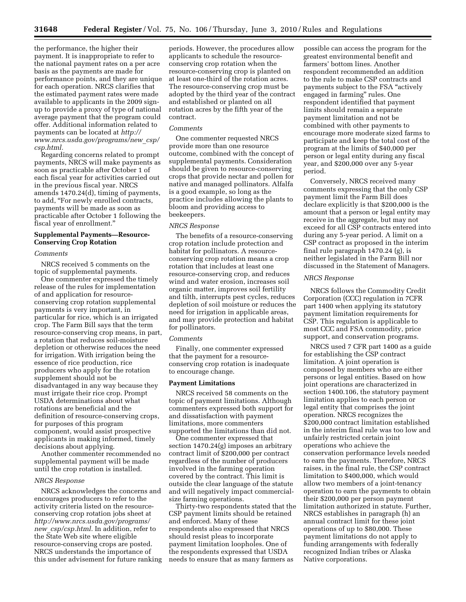the performance, the higher their payment. It is inappropriate to refer to the national payment rates on a per acre basis as the payments are made for performance points, and they are unique for each operation. NRCS clarifies that the estimated payment rates were made available to applicants in the 2009 signup to provide a proxy of type of national average payment that the program could offer. Additional information related to payments can be located at *http:// www.nrcs.usda.gov/programs/new*\_*csp/ csp.html.* 

Regarding concerns related to prompt payments, NRCS will make payments as soon as practicable after October 1 of each fiscal year for activities carried out in the previous fiscal year. NRCS amends 1470.24(d), timing of payments, to add, ''For newly enrolled contracts, payments will be made as soon as practicable after October 1 following the fiscal year of enrollment.''

# **Supplemental Payments—Resource-Conserving Crop Rotation**

#### *Comments*

NRCS received 5 comments on the topic of supplemental payments.

One commenter expressed the timely release of the rules for implementation of and application for resourceconserving crop rotation supplemental payments is very important, in particular for rice, which is an irrigated crop. The Farm Bill says that the term resource-conserving crop means, in part, a rotation that reduces soil-moisture depletion or otherwise reduces the need for irrigation. With irrigation being the essence of rice production, rice producers who apply for the rotation supplement should not be disadvantaged in any way because they must irrigate their rice crop. Prompt USDA determinations about what rotations are beneficial and the definition of resource-conserving crops, for purposes of this program component, would assist prospective applicants in making informed, timely decisions about applying.

Another commenter recommended no supplemental payment will be made until the crop rotation is installed.

#### *NRCS Response*

NRCS acknowledges the concerns and encourages producers to refer to the activity criteria listed on the resourceconserving crop rotation jobs sheet at *http://www.nrcs.usda.gov/programs/ new*\_*csp/csp.html.* In addition, refer to the State Web site where eligible resource-conserving crops are posted. NRCS understands the importance of this under advisement for future ranking

periods. However, the procedures allow applicants to schedule the resourceconserving crop rotation when the resource-conserving crop is planted on at least one-third of the rotation acres. The resource-conserving crop must be adopted by the third year of the contract and established or planted on all rotation acres by the fifth year of the contract.

# *Comments*

One commenter requested NRCS provide more than one resource outcome, combined with the concept of supplemental payments. Consideration should be given to resource-conserving crops that provide nectar and pollen for native and managed pollinators. Alfalfa is a good example, so long as the practice includes allowing the plants to bloom and providing access to beekeepers.

#### *NRCS Response*

The benefits of a resource-conserving crop rotation include protection and habitat for pollinators. A resourceconserving crop rotation means a crop rotation that includes at least one resource-conserving crop, and reduces wind and water erosion, increases soil organic matter, improves soil fertility and tilth, interrupts pest cycles, reduces depletion of soil moisture or reduces the need for irrigation in applicable areas, and may provide protection and habitat for pollinators.

#### *Comments*

Finally, one commenter expressed that the payment for a resourceconserving crop rotation is inadequate to encourage change.

## **Payment Limitations**

NRCS received 58 comments on the topic of payment limitations. Although commenters expressed both support for and dissatisfaction with payment limitations, more commenters supported the limitations than did not.

One commenter expressed that section 1470.24(g) imposes an arbitrary contract limit of \$200,000 per contract regardless of the number of producers involved in the farming operation covered by the contract. This limit is outside the clear language of the statute and will negatively impact commercialsize farming operations.

Thirty-two respondents stated that the CSP payment limits should be retained and enforced. Many of these respondents also expressed that NRCS should resist pleas to incorporate payment limitation loopholes. One of the respondents expressed that USDA needs to ensure that as many farmers as

possible can access the program for the greatest environmental benefit and farmers' bottom lines. Another respondent recommended an addition to the rule to make CSP contracts and payments subject to the FSA ''actively engaged in farming'' rules. One respondent identified that payment limits should remain a separate payment limitation and not be combined with other payments to encourage more moderate sized farms to participate and keep the total cost of the program at the limits of \$40,000 per person or legal entity during any fiscal year, and \$200,000 over any 5-year period.

Conversely, NRCS received many comments expressing that the only CSP payment limit the Farm Bill does declare explicitly is that \$200,000 is the amount that a person or legal entity may receive in the aggregate, but may not exceed for all CSP contracts entered into during any 5-year period. A limit on a CSP contract as proposed in the interim final rule paragraph 1470.24 (g), is neither legislated in the Farm Bill nor discussed in the Statement of Managers.

#### *NRCS Response*

NRCS follows the Commodity Credit Corporation (CCC) regulation in 7CFR part 1400 when applying its statutory payment limitation requirements for CSP. This regulation is applicable to most CCC and FSA commodity, price support, and conservation programs.

NRCS used 7 CFR part 1400 as a guide for establishing the CSP contract limitation. A joint operation is composed by members who are either persons or legal entities. Based on how joint operations are characterized in section 1400.106, the statutory payment limitation applies to each person or legal entity that comprises the joint operation. NRCS recognizes the \$200,000 contract limitation established in the interim final rule was too low and unfairly restricted certain joint operations who achieve the conservation performance levels needed to earn the payments. Therefore, NRCS raises, in the final rule, the CSP contract limitation to \$400,000, which would allow two members of a joint-tenancy operation to earn the payments to obtain their \$200,000 per person payment limitation authorized in statute. Further, NRCS establishes in paragraph (h) an annual contract limit for these joint operations of up to \$80,000. These payment limitations do not apply to funding arrangements with federally recognized Indian tribes or Alaska Native corporations.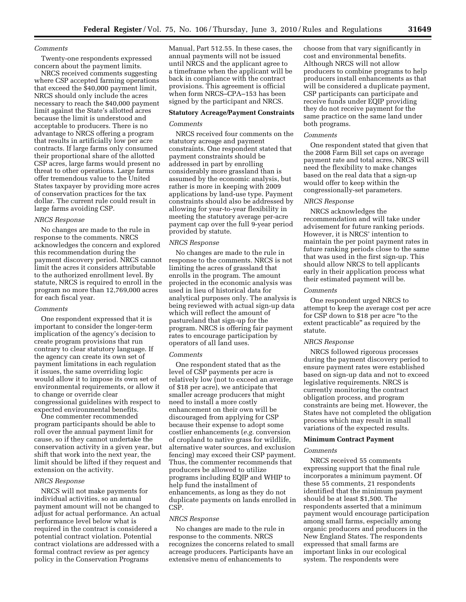# *Comments*

Twenty-one respondents expressed concern about the payment limits.

NRCS received comments suggesting where CSP accepted farming operations that exceed the \$40,000 payment limit, NRCS should only include the acres necessary to reach the \$40,000 payment limit against the State's allotted acres because the limit is understood and acceptable to producers. There is no advantage to NRCS offering a program that results in artificially low per acre contracts. If large farms only consumed their proportional share of the allotted CSP acres, large farms would present no threat to other operations. Large farms offer tremendous value to the United States taxpayer by providing more acres of conservation practices for the tax dollar. The current rule could result in large farms avoiding CSP.

# *NRCS Response*

No changes are made to the rule in response to the comments. NRCS acknowledges the concern and explored this recommendation during the payment discovery period. NRCS cannot limit the acres it considers attributable to the authorized enrollment level. By statute, NRCS is required to enroll in the program no more than 12,769,000 acres for each fiscal year.

# *Comments*

One respondent expressed that it is important to consider the longer-term implication of the agency's decision to create program provisions that run contrary to clear statutory language. If the agency can create its own set of payment limitations in each regulation it issues, the same overriding logic would allow it to impose its own set of environmental requirements, or allow it to change or override clear congressional guidelines with respect to expected environmental benefits.

One commenter recommended program participants should be able to roll over the annual payment limit for cause, so if they cannot undertake the conservation activity in a given year, but shift that work into the next year, the limit should be lifted if they request and extension on the activity.

#### *NRCS Response*

NRCS will not make payments for individual activities, so an annual payment amount will not be changed to adjust for actual performance. An actual performance level below what is required in the contract is considered a potential contract violation. Potential contract violations are addressed with a formal contract review as per agency policy in the Conservation Programs

Manual, Part 512.55. In these cases, the annual payments will not be issued until NRCS and the applicant agree to a timeframe when the applicant will be back in compliance with the contract provisions. This agreement is official when form NRCS–CPA–153 has been signed by the participant and NRCS.

# **Statutory Acreage/Payment Constraints**

# *Comments*

NRCS received four comments on the statutory acreage and payment constraints. One respondent stated that payment constraints should be addressed in part by enrolling considerably more grassland than is assumed by the economic analysis, but rather is more in keeping with 2009 applications by land-use type. Payment constraints should also be addressed by allowing for year-to-year flexibility in meeting the statutory average per-acre payment cap over the full 9-year period provided by statute.

# *NRCS Response*

No changes are made to the rule in response to the comments. NRCS is not limiting the acres of grassland that enrolls in the program. The amount projected in the economic analysis was used in lieu of historical data for analytical purposes only. The analysis is being reviewed with actual sign-up data which will reflect the amount of pastureland that sign-up for the program. NRCS is offering fair payment rates to encourage participation by operators of all land uses.

# *Comments*

One respondent stated that as the level of CSP payments per acre is relatively low (not to exceed an average of \$18 per acre), we anticipate that smaller acreage producers that might need to install a more costly enhancement on their own will be discouraged from applying for CSP because their expense to adopt some costlier enhancements (*e.g.* conversion of cropland to native grass for wildlife, alternative water sources, and exclusion fencing) may exceed their CSP payment. Thus, the commenter recommends that producers be allowed to utilize programs including EQIP and WHIP to help fund the installment of enhancements, as long as they do not duplicate payments on lands enrolled in CSP.

# *NRCS Response*

No changes are made to the rule in response to the comments. NRCS recognizes the concerns related to small acreage producers. Participants have an extensive menu of enhancements to

choose from that vary significantly in cost and environmental benefits. Although NRCS will not allow producers to combine programs to help producers install enhancements as that will be considered a duplicate payment, CSP participants can participate and receive funds under EQIP providing they do not receive payment for the same practice on the same land under both programs.

## *Comments*

One respondent stated that given that the 2008 Farm Bill set caps on average payment rate and total acres, NRCS will need the flexibility to make changes based on the real data that a sign-up would offer to keep within the congressionally-set parameters.

#### *NRCS Response*

NRCS acknowledges the recommendation and will take under advisement for future ranking periods. However, it is NRCS' intention to maintain the per point payment rates in future ranking periods close to the same that was used in the first sign-up. This should allow NRCS to tell applicants early in their application process what their estimated payment will be.

#### *Comments*

One respondent urged NRCS to attempt to keep the average cost per acre for CSP down to \$18 per acre ''to the extent practicable'' as required by the statute.

#### *NRCS Response*

NRCS followed rigorous processes during the payment discovery period to ensure payment rates were established based on sign-up data and not to exceed legislative requirements. NRCS is currently monitoring the contract obligation process, and program constraints are being met. However, the States have not completed the obligation process which may result in small variations of the expected results.

# **Minimum Contract Payment**

#### *Comments*

NRCS received 55 comments expressing support that the final rule incorporates a minimum payment. Of these 55 comments, 21 respondents identified that the minimum payment should be at least \$1,500. The respondents asserted that a minimum payment would encourage participation among small farms, especially among organic producers and producers in the New England States. The respondents expressed that small farms are important links in our ecological system. The respondents were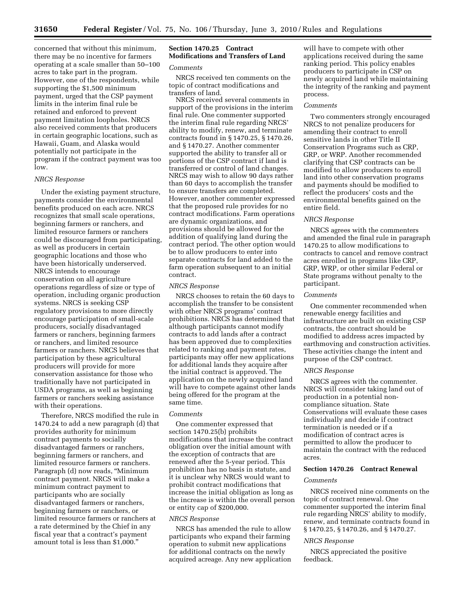concerned that without this minimum, there may be no incentive for farmers operating at a scale smaller than 50–100 acres to take part in the program. However, one of the respondents, while supporting the \$1,500 minimum payment, urged that the CSP payment limits in the interim final rule be retained and enforced to prevent payment limitation loopholes. NRCS also received comments that producers in certain geographic locations, such as Hawaii, Guam, and Alaska would potentially not participate in the program if the contract payment was too low.

# *NRCS Response*

Under the existing payment structure, payments consider the environmental benefits produced on each acre. NRCS recognizes that small scale operations, beginning farmers or ranchers, and limited resource farmers or ranchers could be discouraged from participating, as well as producers in certain geographic locations and those who have been historically underserved. NRCS intends to encourage conservation on all agriculture operations regardless of size or type of operation, including organic production systems. NRCS is seeking CSP regulatory provisions to more directly encourage participation of small-scale producers, socially disadvantaged farmers or ranchers, beginning farmers or ranchers, and limited resource farmers or ranchers. NRCS believes that participation by these agricultural producers will provide for more conservation assistance for those who traditionally have not participated in USDA programs, as well as beginning farmers or ranchers seeking assistance with their operations.

Therefore, NRCS modified the rule in 1470.24 to add a new paragraph (d) that provides authority for minimum contract payments to socially disadvantaged farmers or ranchers, beginning farmers or ranchers, and limited resource farmers or ranchers. Paragraph (d) now reads, ''Minimum contract payment. NRCS will make a minimum contract payment to participants who are socially disadvantaged farmers or ranchers, beginning farmers or ranchers, or limited resource farmers or ranchers at a rate determined by the Chief in any fiscal year that a contract's payment amount total is less than \$1,000.''

# **Section 1470.25 Contract Modifications and Transfers of Land**

# *Comments*

NRCS received ten comments on the topic of contract modifications and transfers of land.

NRCS received several comments in support of the provisions in the interim final rule. One commenter supported the interim final rule regarding NRCS' ability to modify, renew, and terminate contracts found in § 1470.25, § 1470.26, and § 1470.27. Another commenter supported the ability to transfer all or portions of the CSP contract if land is transferred or control of land changes. NRCS may wish to allow 90 days rather than 60 days to accomplish the transfer to ensure transfers are completed. However, another commenter expressed that the proposed rule provides for no contract modifications. Farm operations are dynamic organizations, and provisions should be allowed for the addition of qualifying land during the contract period. The other option would be to allow producers to enter into separate contracts for land added to the farm operation subsequent to an initial contract.

#### *NRCS Response*

NRCS chooses to retain the 60 days to accomplish the transfer to be consistent with other NRCS programs' contract prohibitions. NRCS has determined that although participants cannot modify contracts to add lands after a contract has been approved due to complexities related to ranking and payment rates, participants may offer new applications for additional lands they acquire after the initial contract is approved. The application on the newly acquired land will have to compete against other lands being offered for the program at the same time.

# *Comments*

One commenter expressed that section 1470.25(b) prohibits modifications that increase the contract obligation over the initial amount with the exception of contracts that are renewed after the 5-year period. This prohibition has no basis in statute, and it is unclear why NRCS would want to prohibit contract modifications that increase the initial obligation as long as the increase is within the overall person or entity cap of \$200,000.

#### *NRCS Response*

NRCS has amended the rule to allow participants who expand their farming operation to submit new applications for additional contracts on the newly acquired acreage. Any new application

will have to compete with other applications received during the same ranking period. This policy enables producers to participate in CSP on newly acquired land while maintaining the integrity of the ranking and payment process.

#### *Comments*

Two commenters strongly encouraged NRCS to not penalize producers for amending their contract to enroll sensitive lands in other Title II Conservation Programs such as CRP, GRP, or WRP. Another recommended clarifying that CSP contracts can be modified to allow producers to enroll land into other conservation programs and payments should be modified to reflect the producers' costs and the environmental benefits gained on the entire field.

## *NRCS Response*

NRCS agrees with the commenters and amended the final rule in paragraph 1470.25 to allow modifications to contracts to cancel and remove contract acres enrolled in programs like CRP, GRP, WRP, or other similar Federal or State programs without penalty to the participant.

## *Comments*

One commenter recommended when renewable energy facilities and infrastructure are built on existing CSP contracts, the contract should be modified to address acres impacted by earthmoving and construction activities. These activities change the intent and purpose of the CSP contract.

# *NRCS Response*

NRCS agrees with the commenter. NRCS will consider taking land out of production in a potential noncompliance situation. State Conservations will evaluate these cases individually and decide if contract termination is needed or if a modification of contract acres is permitted to allow the producer to maintain the contract with the reduced acres.

#### **Section 1470.26 Contract Renewal**

# *Comments*

NRCS received nine comments on the topic of contract renewal. One commenter supported the interim final rule regarding NRCS' ability to modify, renew, and terminate contracts found in § 1470.25, § 1470.26, and § 1470.27.

#### *NRCS Response*

NRCS appreciated the positive feedback.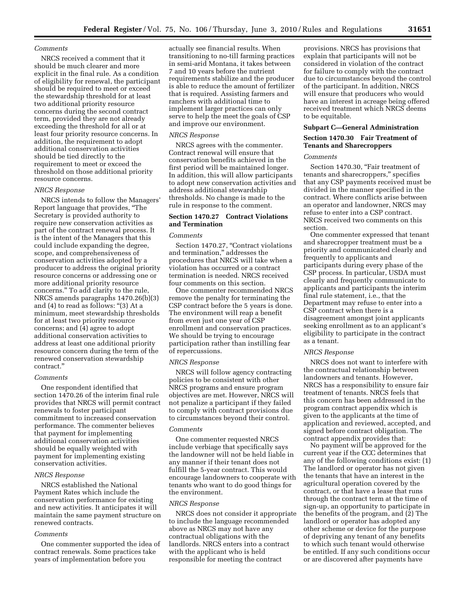# *Comments*

NRCS received a comment that it should be much clearer and more explicit in the final rule. As a condition of eligibility for renewal, the participant should be required to meet or exceed the stewardship threshold for at least two additional priority resource concerns during the second contract term, provided they are not already exceeding the threshold for all or at least four priority resource concerns. In addition, the requirement to adopt additional conservation activities should be tied directly to the requirement to meet or exceed the threshold on those additional priority resource concerns.

# *NRCS Response*

NRCS intends to follow the Managers' Report language that provides, ''The Secretary is provided authority to require new conservation activities as part of the contract renewal process. It is the intent of the Managers that this could include expanding the degree, scope, and comprehensiveness of conservation activities adopted by a producer to address the original priority resource concerns or addressing one or more additional priority resource concerns.'' To add clarity to the rule, NRCS amends paragraphs 1470.26(b)(3) and (4) to read as follows: "(3) At a minimum, meet stewardship thresholds for at least two priority resource concerns; and (4) agree to adopt additional conservation activities to address at least one additional priority resource concern during the term of the renewed conservation stewardship contract.''

#### *Comments*

One respondent identified that section 1470.26 of the interim final rule provides that NRCS will permit contract renewals to foster participant commitment to increased conservation performance. The commenter believes that payment for implementing additional conservation activities should be equally weighted with payment for implementing existing conservation activities.

# *NRCS Response*

NRCS established the National Payment Rates which include the conservation performance for existing and new activities. It anticipates it will maintain the same payment structure on renewed contracts.

# *Comments*

One commenter supported the idea of contract renewals. Some practices take years of implementation before you

actually see financial results. When transitioning to no-till farming practices in semi-arid Montana, it takes between 7 and 10 years before the nutrient requirements stabilize and the producer is able to reduce the amount of fertilizer that is required. Assisting farmers and ranchers with additional time to implement larger practices can only serve to help the meet the goals of CSP and improve our environment.

#### *NRCS Response*

NRCS agrees with the commenter. Contract renewal will ensure that conservation benefits achieved in the first period will be maintained longer. In addition, this will allow participants to adopt new conservation activities and address additional stewardship thresholds. No change is made to the rule in response to the comment.

# **Section 1470.27 Contract Violations and Termination**

# *Comments*

Section 1470.27, "Contract violations and termination,'' addresses the procedures that NRCS will take when a violation has occurred or a contract termination is needed. NRCS received four comments on this section.

One commenter recommended NRCS remove the penalty for terminating the CSP contract before the 5 years is done. The environment will reap a benefit from even just one year of CSP enrollment and conservation practices. We should be trying to encourage participation rather than instilling fear of repercussions.

# *NRCS Response*

NRCS will follow agency contracting policies to be consistent with other NRCS programs and ensure program objectives are met. However, NRCS will not penalize a participant if they failed to comply with contract provisions due to circumstances beyond their control.

# *Comments*

One commenter requested NRCS include verbiage that specifically says the landowner will not be held liable in any manner if their tenant does not fulfill the 5-year contract. This would encourage landowners to cooperate with tenants who want to do good things for the environment.

#### *NRCS Response*

NRCS does not consider it appropriate to include the language recommended above as NRCS may not have any contractual obligations with the landlords. NRCS enters into a contract with the applicant who is held responsible for meeting the contract

provisions. NRCS has provisions that explain that participants will not be considered in violation of the contract for failure to comply with the contract due to circumstances beyond the control of the participant. In addition, NRCS will ensure that producers who would have an interest in acreage being offered received treatment which NRCS deems to be equitable.

#### **Subpart C—General Administration**

# **Section 1470.30 Fair Treatment of Tenants and Sharecroppers**

## *Comments*

Section 1470.30. "Fair treatment of tenants and sharecroppers,'' specifies that any CSP payments received must be divided in the manner specified in the contract. Where conflicts arise between an operator and landowner, NRCS may refuse to enter into a CSP contract. NRCS received two comments on this section.

One commenter expressed that tenant and sharecropper treatment must be a priority and communicated clearly and frequently to applicants and participants during every phase of the CSP process. In particular, USDA must clearly and frequently communicate to applicants and participants the interim final rule statement, i.e., that the Department may refuse to enter into a CSP contract when there is a disagreement amongst joint applicants seeking enrollment as to an applicant's eligibility to participate in the contract as a tenant.

#### *NRCS Response*

NRCS does not want to interfere with the contractual relationship between landowners and tenants. However, NRCS has a responsibility to ensure fair treatment of tenants. NRCS feels that this concern has been addressed in the program contract appendix which is given to the applicants at the time of application and reviewed, accepted, and signed before contract obligation. The contract appendix provides that:

No payment will be approved for the current year if the CCC determines that any of the following conditions exist: (1) The landlord or operator has not given the tenants that have an interest in the agricultural operation covered by the contract, or that have a lease that runs through the contract term at the time of sign-up, an opportunity to participate in the benefits of the program, and (2) The landlord or operator has adopted any other scheme or device for the purpose of depriving any tenant of any benefits to which such tenant would otherwise be entitled. If any such conditions occur or are discovered after payments have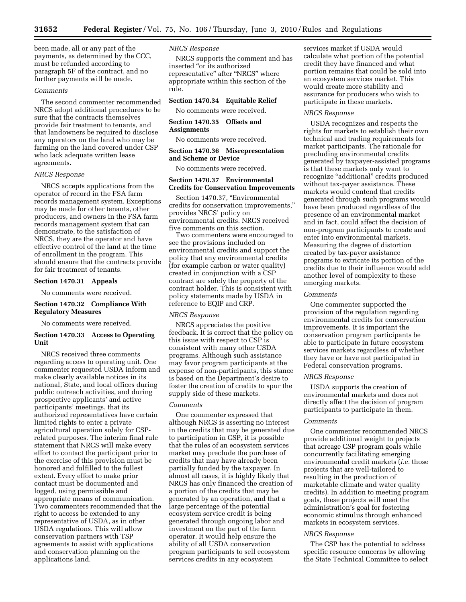been made, all or any part of the payments, as determined by the CCC, must be refunded according to paragraph 5F of the contract, and no further payments will be made.

# *Comments*

The second commenter recommended NRCS adopt additional procedures to be sure that the contracts themselves provide fair treatment to tenants, and that landowners be required to disclose any operators on the land who may be farming on the land covered under CSP who lack adequate written lease agreements.

# *NRCS Response*

NRCS accepts applications from the operator of record in the FSA farm records management system. Exceptions may be made for other tenants, other producers, and owners in the FSA farm records management system that can demonstrate, to the satisfaction of NRCS, they are the operator and have effective control of the land at the time of enrollment in the program. This should ensure that the contracts provide for fair treatment of tenants.

# **Section 1470.31 Appeals**

No comments were received.

# **Section 1470.32 Compliance With Regulatory Measures**

No comments were received.

# **Section 1470.33 Access to Operating Unit**

NRCS received three comments regarding access to operating unit. One commenter requested USDA inform and make clearly available notices in its national, State, and local offices during public outreach activities, and during prospective applicants' and active participants' meetings, that its authorized representatives have certain limited rights to enter a private agricultural operation solely for CSPrelated purposes. The interim final rule statement that NRCS will make every effort to contact the participant prior to the exercise of this provision must be honored and fulfilled to the fullest extent. Every effort to make prior contact must be documented and logged, using permissible and appropriate means of communication. Two commenters recommended that the right to access be extended to any representative of USDA, as in other USDA regulations. This will allow conservation partners with TSP agreements to assist with applications and conservation planning on the applications land.

# *NRCS Response*

NRCS supports the comment and has inserted ''or its authorized representative'' after ''NRCS'' where appropriate within this section of the rule.

# **Section 1470.34 Equitable Relief**

No comments were received. **Section 1470.35 Offsets and** 

# **Assignments**

No comments were received.

# **Section 1470.36 Misrepresentation and Scheme or Device**

No comments were received.

# **Section 1470.37 Environmental Credits for Conservation Improvements**

Section 1470.37, "Environmental credits for conservation improvements,'' provides NRCS' policy on environmental credits. NRCS received five comments on this section.

Two commenters were encouraged to see the provisions included on environmental credits and support the policy that any environmental credits (for example carbon or water quality) created in conjunction with a CSP contract are solely the property of the contract holder. This is consistent with policy statements made by USDA in reference to EQIP and CRP.

#### *NRCS Response*

NRCS appreciates the positive feedback. It is correct that the policy on this issue with respect to CSP is consistent with many other USDA programs. Although such assistance may favor program participants at the expense of non-participants, this stance is based on the Department's desire to foster the creation of credits to spur the supply side of these markets.

#### *Comments*

One commenter expressed that although NRCS is asserting no interest in the credits that may be generated due to participation in CSP, it is possible that the rules of an ecosystem services market may preclude the purchase of credits that may have already been partially funded by the taxpayer. In almost all cases, it is highly likely that NRCS has only financed the creation of a portion of the credits that may be generated by an operation, and that a large percentage of the potential ecosystem service credit is being generated through ongoing labor and investment on the part of the farm operator. It would help ensure the ability of all USDA conservation program participants to sell ecosystem services credits in any ecosystem

services market if USDA would calculate what portion of the potential credit they have financed and what portion remains that could be sold into an ecosystem services market. This would create more stability and assurance for producers who wish to participate in these markets.

#### *NRCS Response*

USDA recognizes and respects the rights for markets to establish their own technical and trading requirements for market participants. The rationale for precluding environmental credits generated by taxpayer-assisted programs is that these markets only want to recognize "additional" credits produced without tax-payer assistance. These markets would contend that credits generated through such programs would have been produced regardless of the presence of an environmental market and in fact, could affect the decision of non-program participants to create and enter into environmental markets. Measuring the degree of distortion created by tax-payer assistance programs to extricate its portion of the credits due to their influence would add another level of complexity to these emerging markets.

#### *Comments*

One commenter supported the provision of the regulation regarding environmental credits for conservation improvements. It is important the conservation program participants be able to participate in future ecosystem services markets regardless of whether they have or have not participated in Federal conservation programs.

#### *NRCS Response*

USDA supports the creation of environmental markets and does not directly affect the decision of program participants to participate in them.

# *Comments*

One commenter recommended NRCS provide additional weight to projects that acreage CSP program goals while concurrently facilitating emerging environmental credit markets (*i.e.* those projects that are well-tailored to resulting in the production of marketable climate and water quality credits). In addition to meeting program goals, these projects will meet the administration's goal for fostering economic stimulus through enhanced markets in ecosystem services.

## *NRCS Response*

The CSP has the potential to address specific resource concerns by allowing the State Technical Committee to select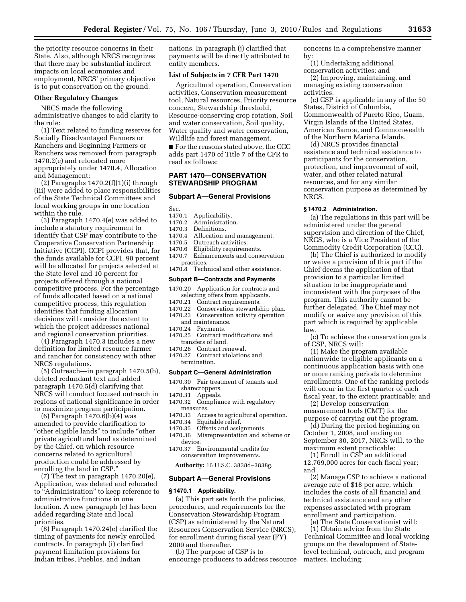the priority resource concerns in their State. Also, although NRCS recognizes that there may be substantial indirect impacts on local economies and employment, NRCS' primary objective is to put conservation on the ground.

# **Other Regulatory Changes**

NRCS made the following administrative changes to add clarity to the rule:

(1) Text related to funding reserves for Socially Disadvantaged Farmers or Ranchers and Beginning Farmers or Ranchers was removed from paragraph 1470.2(e) and relocated more appropriately under 1470.4, Allocation and Management;

(2) Paragraphs  $1470.2(f)(1)(i)$  through (iii) were added to place responsibilities of the State Technical Committees and local working groups in one location within the rule.

(3) Paragraph 1470.4(e) was added to include a statutory requirement to identify that CSP may contribute to the Cooperative Conservation Partnership Initiative (CCPI). CCPI provides that, for the funds available for CCPI, 90 percent will be allocated for projects selected at the State level and 10 percent for projects offered through a national competitive process. For the percentage of funds allocated based on a national competitive process, this regulation identifies that funding allocation decisions will consider the extent to which the project addresses national and regional conservation priorities.

(4) Paragraph 1470.3 includes a new definition for limited resource farmer and rancher for consistency with other NRCS regulations.

(5) Outreach—in paragraph 1470.5(b), deleted redundant text and added paragraph 1470.5(d) clarifying that NRCS will conduct focused outreach in regions of national significance in order to maximize program participation.

(6) Paragraph  $1470.\overline{6}$ (b)(4) was amended to provide clarification to "other eligible lands" to include "other private agricultural land as determined by the Chief, on which resource concerns related to agricultural production could be addressed by enrolling the land in CSP.''

(7) The text in paragraph 1470.20(e), Application, was deleted and relocated to ''Administration'' to keep reference to administrative functions in one location. A new paragraph (e) has been added regarding State and local priorities.

(8) Paragraph 1470.24(e) clarified the timing of payments for newly enrolled contracts. In paragraph (i) clarified payment limitation provisions for Indian tribes, Pueblos, and Indian

nations. In paragraph (j) clarified that payments will be directly attributed to entity members.

## **List of Subjects in 7 CFR Part 1470**

Agricultural operation, Conservation activities, Conservation measurement tool, Natural resources, Priority resource concern, Stewardship threshold, Resource-conserving crop rotation, Soil and water conservation, Soil quality, Water quality and water conservation, Wildlife and forest management.

■ For the reasons stated above, the CCC adds part 1470 of Title 7 of the CFR to read as follows:

# **PART 1470—CONSERVATION STEWARDSHIP PROGRAM**

# **Subpart A—General Provisions**

Sec.

- 1470.1 Applicability.
- 1470.2 Administration.
- Definitions.
- 1470.4 Allocation and management.
- 1470.5 Outreach activities.<br>1470.6 Eligibility requirem
- Eligibility requirements.
- 1470.7 Enhancements and conservation
- practices. 1470.8 Technical and other assistance.

#### **Subpart B—Contracts and Payments**

- 1470.20 Application for contracts and selecting offers from applicants.<br>1470.21 Contract requirements.
- 
- 1470.21 Contract requirements.<br>1470.22 Conservation stewards Conservation stewardship plan. 1470.23 Conservation activity operation
- and maintenance.<br>1470.24 Payments.
- Payments.
- 1470.25 Contract modifications and transfers of land.
- 1470.26 Contract renewal.
- 1470.27 Contract violations and termination.

## **Subpart C—General Administration**

- 1470.30 Fair treatment of tenants and sharecroppers.
- 1470.31 Appeals.<br>1470.32 Complia
- Compliance with regulatory measures.
- 1470.33 Access to agricultural operation.
- Equitable relief.
- 1470.35 Offsets and assignments.
- 1470.36 Misrepresentation and scheme or device.
- 1470.37 Environmental credits for conservation improvements.

**Authority:** 16 U.S.C. 3838d–3838g.

#### **Subpart A—General Provisions**

#### **§ 1470.1 Applicability.**

(a) This part sets forth the policies, procedures, and requirements for the Conservation Stewardship Program (CSP) as administered by the Natural Resources Conservation Service (NRCS), for enrollment during fiscal year (FY) 2009 and thereafter.

(b) The purpose of CSP is to encourage producers to address resource concerns in a comprehensive manner by:

(1) Undertaking additional conservation activities; and

(2) Improving, maintaining, and managing existing conservation activities.

(c) CSP is applicable in any of the 50 States, District of Columbia, Commonwealth of Puerto Rico, Guam, Virgin Islands of the United States, American Samoa, and Commonwealth of the Northern Mariana Islands.

(d) NRCS provides financial assistance and technical assistance to participants for the conservation, protection, and improvement of soil, water, and other related natural resources, and for any similar conservation purpose as determined by NRCS.

#### **§ 1470.2 Administration.**

(a) The regulations in this part will be administered under the general supervision and direction of the Chief, NRCS, who is a Vice President of the Commodity Credit Corporation (CCC).

(b) The Chief is authorized to modify or waive a provision of this part if the Chief deems the application of that provision to a particular limited situation to be inappropriate and inconsistent with the purposes of the program. This authority cannot be further delegated. The Chief may not modify or waive any provision of this part which is required by applicable law.

(c) To achieve the conservation goals of CSP, NRCS will:

(1) Make the program available nationwide to eligible applicants on a continuous application basis with one or more ranking periods to determine enrollments. One of the ranking periods will occur in the first quarter of each fiscal year, to the extent practicable; and

(2) Develop conservation measurement tools (CMT) for the purpose of carrying out the program.

(d) During the period beginning on October 1, 2008, and ending on September 30, 2017, NRCS will, to the maximum extent practicable:

(1) Enroll in CSP an additional 12,769,000 acres for each fiscal year; and

(2) Manage CSP to achieve a national average rate of \$18 per acre, which includes the costs of all financial and technical assistance and any other expenses associated with program enrollment and participation.

(e) The State Conservationist will: (1) Obtain advice from the State Technical Committee and local working groups on the development of Statelevel technical, outreach, and program matters, including: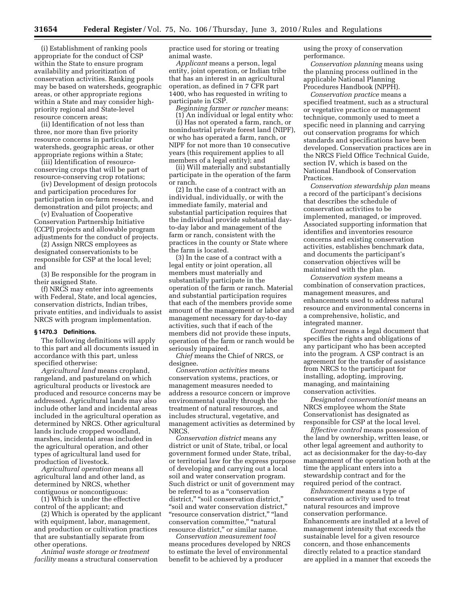(i) Establishment of ranking pools appropriate for the conduct of CSP within the State to ensure program availability and prioritization of conservation activities. Ranking pools may be based on watersheds, geographic areas, or other appropriate regions within a State and may consider highpriority regional and State-level resource concern areas;

(ii) Identification of not less than three, nor more than five priority resource concerns in particular watersheds, geographic areas, or other appropriate regions within a State;

(iii) Identification of resourceconserving crops that will be part of resource-conserving crop rotations;

(iv) Development of design protocols and participation procedures for participation in on-farm research, and demonstration and pilot projects; and

(v) Evaluation of Cooperative Conservation Partnership Initiative (CCPI) projects and allowable program adjustments for the conduct of projects.

(2) Assign NRCS employees as designated conservationists to be responsible for CSP at the local level; and

(3) Be responsible for the program in their assigned State.

(f) NRCS may enter into agreements with Federal, State, and local agencies, conservation districts, Indian tribes, private entities, and individuals to assist NRCS with program implementation.

#### **§ 1470.3 Definitions.**

The following definitions will apply to this part and all documents issued in accordance with this part, unless specified otherwise:

*Agricultural land* means cropland, rangeland, and pastureland on which agricultural products or livestock are produced and resource concerns may be addressed. Agricultural lands may also include other land and incidental areas included in the agricultural operation as determined by NRCS. Other agricultural lands include cropped woodland, marshes, incidental areas included in the agricultural operation, and other types of agricultural land used for production of livestock.

*Agricultural operation* means all agricultural land and other land, as determined by NRCS, whether contiguous or noncontiguous:

(1) Which is under the effective control of the applicant; and

(2) Which is operated by the applicant with equipment, labor, management, and production or cultivation practices that are substantially separate from other operations.

*Animal waste storage or treatment facility* means a structural conservation practice used for storing or treating animal waste.

*Applicant* means a person, legal entity, joint operation, or Indian tribe that has an interest in an agricultural operation, as defined in 7 CFR part 1400, who has requested in writing to participate in CSP.

*Beginning farmer or rancher* means:

(1) An individual or legal entity who: (i) Has not operated a farm, ranch, or nonindustrial private forest land (NIPF), or who has operated a farm, ranch, or NIPF for not more than 10 consecutive years (this requirement applies to all members of a legal entity); and

(ii) Will materially and substantially participate in the operation of the farm or ranch.

(2) In the case of a contract with an individual, individually, or with the immediate family, material and substantial participation requires that the individual provide substantial dayto-day labor and management of the farm or ranch, consistent with the practices in the county or State where the farm is located.

(3) In the case of a contract with a legal entity or joint operation, all members must materially and substantially participate in the operation of the farm or ranch. Material and substantial participation requires that each of the members provide some amount of the management or labor and management necessary for day-to-day activities, such that if each of the members did not provide these inputs, operation of the farm or ranch would be seriously impaired.

*Chief* means the Chief of NRCS, or designee.

*Conservation activities* means conservation systems, practices, or management measures needed to address a resource concern or improve environmental quality through the treatment of natural resources, and includes structural, vegetative, and management activities as determined by NRCS.

*Conservation district* means any district or unit of State, tribal, or local government formed under State, tribal, or territorial law for the express purpose of developing and carrying out a local soil and water conservation program. Such district or unit of government may be referred to as a ''conservation district," "soil conservation district," ''soil and water conservation district,'' "resource conservation district," "land conservation committee," "natural resource district,'' or similar name.

*Conservation measurement tool*  means procedures developed by NRCS to estimate the level of environmental benefit to be achieved by a producer

using the proxy of conservation performance.

*Conservation planning* means using the planning process outlined in the applicable National Planning Procedures Handbook (NPPH).

*Conservation practice* means a specified treatment, such as a structural or vegetative practice or management technique, commonly used to meet a specific need in planning and carrying out conservation programs for which standards and specifications have been developed. Conservation practices are in the NRCS Field Office Technical Guide, section IV, which is based on the National Handbook of Conservation Practices.

*Conservation stewardship plan* means a record of the participant's decisions that describes the schedule of conservation activities to be implemented, managed, or improved. Associated supporting information that identifies and inventories resource concerns and existing conservation activities, establishes benchmark data, and documents the participant's conservation objectives will be maintained with the plan.

*Conservation system* means a combination of conservation practices, management measures, and enhancements used to address natural resource and environmental concerns in a comprehensive, holistic, and integrated manner.

*Contract* means a legal document that specifies the rights and obligations of any participant who has been accepted into the program. A CSP contract is an agreement for the transfer of assistance from NRCS to the participant for installing, adopting, improving, managing, and maintaining conservation activities.

*Designated conservationist* means an NRCS employee whom the State Conservationist has designated as responsible for CSP at the local level.

*Effective control* means possession of the land by ownership, written lease, or other legal agreement and authority to act as decisionmaker for the day-to-day management of the operation both at the time the applicant enters into a stewardship contract and for the required period of the contract.

*Enhancement* means a type of conservation activity used to treat natural resources and improve conservation performance. Enhancements are installed at a level of management intensity that exceeds the sustainable level for a given resource concern, and those enhancements directly related to a practice standard are applied in a manner that exceeds the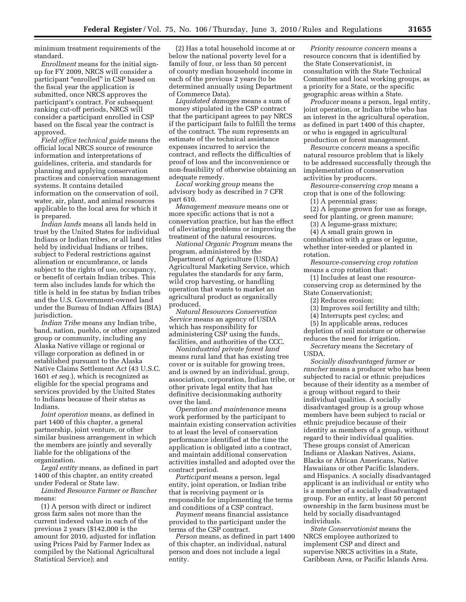minimum treatment requirements of the standard.

*Enrollment* means for the initial signup for FY 2009, NRCS will consider a participant "enrolled" in CSP based on the fiscal year the application is submitted, once NRCS approves the participant's contract. For subsequent ranking cut-off periods, NRCS will consider a participant enrolled in CSP based on the fiscal year the contract is approved.

*Field office technical guide* means the official local NRCS source of resource information and interpretations of guidelines, criteria, and standards for planning and applying conservation practices and conservation management systems. It contains detailed information on the conservation of soil, water, air, plant, and animal resources applicable to the local area for which it is prepared.

*Indian lands* means all lands held in trust by the United States for individual Indians or Indian tribes, or all land titles held by individual Indians or tribes, subject to Federal restrictions against alienation or encumbrance, or lands subject to the rights of use, occupancy, or benefit of certain Indian tribes. This term also includes lands for which the title is held in fee status by Indian tribes and the U.S. Government-owned land under the Bureau of Indian Affairs (BIA) jurisdiction.

*Indian Tribe* means any Indian tribe, band, nation, pueblo, or other organized group or community, including any Alaska Native village or regional or village corporation as defined in or established pursuant to the Alaska Native Claims Settlement Act (43 U.S.C. 1601 *et seq.*), which is recognized as eligible for the special programs and services provided by the United States to Indians because of their status as Indians.

*Joint operation* means, as defined in part 1400 of this chapter, a general partnership, joint venture, or other similar business arrangement in which the members are jointly and severally liable for the obligations of the organization.

*Legal entity* means, as defined in part 1400 of this chapter, an entity created under Federal or State law.

*Limited Resource Farmer or Rancher*  means:

(1) A person with direct or indirect gross farm sales not more than the current indexed value in each of the previous 2 years (\$142,000 is the amount for 2010, adjusted for inflation using Prices Paid by Farmer Index as compiled by the National Agricultural Statistical Service); and

(2) Has a total household income at or below the national poverty level for a family of four, or less than 50 percent of county median household income in each of the previous 2 years (to be determined annually using Department of Commerce Data).

*Liquidated damages* means a sum of money stipulated in the CSP contract that the participant agrees to pay NRCS if the participant fails to fulfill the terms of the contract. The sum represents an estimate of the technical assistance expenses incurred to service the contract, and reflects the difficulties of proof of loss and the inconvenience or non-feasibility of otherwise obtaining an adequate remedy.

*Local working group* means the advisory body as described in 7 CFR part 610.

*Management measure* means one or more specific actions that is not a conservation practice, but has the effect of alleviating problems or improving the treatment of the natural resources.

*National Organic Program* means the program, administered by the Department of Agriculture (USDA) Agricultural Marketing Service, which regulates the standards for any farm, wild crop harvesting, or handling operation that wants to market an agricultural product as organically produced.

*Natural Resources Conservation Service* means an agency of USDA which has responsibility for administering CSP using the funds, facilities, and authorities of the CCC.

*Nonindustrial private forest land*  means rural land that has existing tree cover or is suitable for growing trees, and is owned by an individual, group, association, corporation, Indian tribe, or other private legal entity that has definitive decisionmaking authority over the land.

*Operation and maintenance* means work performed by the participant to maintain existing conservation activities to at least the level of conservation performance identified at the time the application is obligated into a contract, and maintain additional conservation activities installed and adopted over the contract period.

*Participant* means a person, legal entity, joint operation, or Indian tribe that is receiving payment or is responsible for implementing the terms and conditions of a CSP contract.

*Payment* means financial assistance provided to the participant under the terms of the CSP contract.

*Person* means, as defined in part 1400 of this chapter, an individual, natural person and does not include a legal entity.

*Priority resource concern* means a resource concern that is identified by the State Conservationist, in consultation with the State Technical Committee and local working groups, as a priority for a State, or the specific geographic areas within a State.

*Producer* means a person, legal entity, joint operation, or Indian tribe who has an interest in the agricultural operation, as defined in part 1400 of this chapter, or who is engaged in agricultural production or forest management.

*Resource concern* means a specific natural resource problem that is likely to be addressed successfully through the implementation of conservation activities by producers.

*Resource-conserving crop* means a crop that is one of the following:

(1) A perennial grass;

(2) A legume grown for use as forage, seed for planting, or green manure;

(3) A legume-grass mixture;

(4) A small grain grown in combination with a grass or legume, whether inter-seeded or planted in

rotation.

*Resource-conserving crop rotation*  means a crop rotation that:

(1) Includes at least one resourceconserving crop as determined by the State Conservationist;

(2) Reduces erosion;

(3) Improves soil fertility and tilth;

(4) Interrupts pest cycles; and

(5) In applicable areas, reduces depletion of soil moisture or otherwise

reduces the need for irrigation. *Secretary* means the Secretary of USDA.

*Socially disadvantaged farmer or rancher* means a producer who has been subjected to racial or ethnic prejudices because of their identity as a member of a group without regard to their individual qualities. A socially disadvantaged group is a group whose members have been subject to racial or ethnic prejudice because of their identity as members of a group, without regard to their individual qualities. These groups consist of American Indians or Alaskan Natives, Asians, Blacks or African Americans, Native Hawaiians or other Pacific Islanders, and Hispanics. A socially disadvantaged applicant is an individual or entity who is a member of a socially disadvantaged group. For an entity, at least 50 percent ownership in the farm business must be held by socially disadvantaged individuals.

*State Conservationist* means the NRCS employee authorized to implement CSP and direct and supervise NRCS activities in a State, Caribbean Area, or Pacific Islands Area.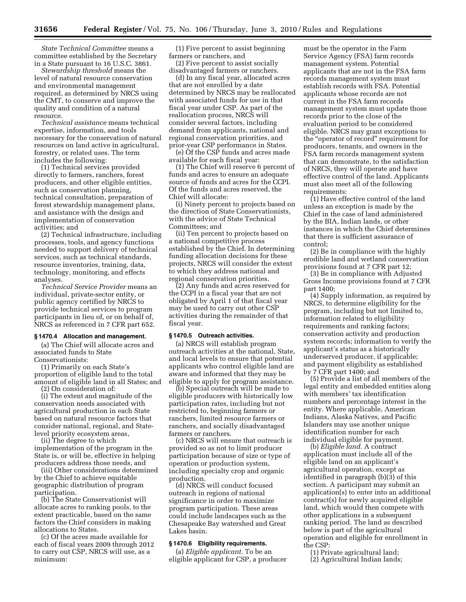*State Technical Committee* means a committee established by the Secretary in a State pursuant to 16 U.S.C. 3861.

*Stewardship threshold* means the level of natural resource conservation and environmental management required, as determined by NRCS using the CMT, to conserve and improve the quality and condition of a natural resource.

*Technical assistance* means technical expertise, information, and tools necessary for the conservation of natural resources on land active in agricultural, forestry, or related uses. The term includes the following:

(1) Technical services provided directly to farmers, ranchers, forest producers, and other eligible entities, such as conservation planning, technical consultation, preparation of forest stewardship management plans, and assistance with the design and implementation of conservation activities; and

(2) Technical infrastructure, including processes, tools, and agency functions needed to support delivery of technical services, such as technical standards, resource inventories, training, data, technology, monitoring, and effects analyses.

*Technical Service Provider* means an individual, private-sector entity, or public agency certified by NRCS to provide technical services to program participants in lieu of, or on behalf of, NRCS as referenced in 7 CFR part 652.

#### **§ 1470.4 Allocation and management.**

(a) The Chief will allocate acres and associated funds to State Conservationists:

(1) Primarily on each State's proportion of eligible land to the total amount of eligible land in all States; and

(2) On consideration of:

(i) The extent and magnitude of the conservation needs associated with agricultural production in each State based on natural resource factors that consider national, regional, and Statelevel priority ecosystem areas,

(ii) The degree to which

implementation of the program in the State is, or will be, effective in helping producers address those needs, and

(iii) Other considerations determined by the Chief to achieve equitable geographic distribution of program participation.

(b) The State Conservationist will allocate acres to ranking pools, to the extent practicable, based on the same factors the Chief considers in making allocations to States.

(c) Of the acres made available for each of fiscal years 2009 through 2012 to carry out CSP, NRCS will use, as a minimum:

(1) Five percent to assist beginning farmers or ranchers, and

(2) Five percent to assist socially disadvantaged farmers or ranchers.

(d) In any fiscal year, allocated acres that are not enrolled by a date determined by NRCS may be reallocated with associated funds for use in that fiscal year under CSP. As part of the reallocation process, NRCS will consider several factors, including demand from applicants, national and regional conservation priorities, and prior-year CSP performance in States.

(e) Of the CSP funds and acres made available for each fiscal year:

(1) The Chief will reserve 6 percent of funds and acres to ensure an adequate source of funds and acres for the CCPI. Of the funds and acres reserved, the Chief will allocate:

(i) Ninety percent to projects based on the direction of State Conservationists, with the advice of State Technical Committees; and

(ii) Ten percent to projects based on a national competitive process established by the Chief. In determining funding allocation decisions for these projects, NRCS will consider the extent to which they address national and regional conservation priorities.

(2) Any funds and acres reserved for the CCPI in a fiscal year that are not obligated by April 1 of that fiscal year may be used to carry out other CSP activities during the remainder of that fiscal year.

## **§ 1470.5 Outreach activities.**

(a) NRCS will establish program outreach activities at the national, State, and local levels to ensure that potential applicants who control eligible land are aware and informed that they may be eligible to apply for program assistance.

(b) Special outreach will be made to eligible producers with historically low participation rates, including but not restricted to, beginning farmers or ranchers, limited resource farmers or ranchers, and socially disadvantaged farmers or ranchers.

(c) NRCS will ensure that outreach is provided so as not to limit producer participation because of size or type of operation or production system, including specialty crop and organic production.

(d) NRCS will conduct focused outreach in regions of national significance in order to maximize program participation. These areas could include landscapes such as the Chesapeake Bay watershed and Great Lakes basin.

# **§ 1470.6 Eligibility requirements.**

(a) *Eligible applicant.* To be an eligible applicant for CSP, a producer must be the operator in the Farm Service Agency (FSA) farm records management system. Potential applicants that are not in the FSA farm records management system must establish records with FSA. Potential applicants whose records are not current in the FSA farm records management system must update those records prior to the close of the evaluation period to be considered eligible. NRCS may grant exceptions to the ''operator of record'' requirement for producers, tenants, and owners in the FSA farm records management system that can demonstrate, to the satisfaction of NRCS, they will operate and have effective control of the land. Applicants must also meet all of the following requirements:

(1) Have effective control of the land unless an exception is made by the Chief in the case of land administered by the BIA, Indian lands, or other instances in which the Chief determines that there is sufficient assurance of control;

(2) Be in compliance with the highly erodible land and wetland conservation provisions found at 7 CFR part 12;

(3) Be in compliance with Adjusted Gross Income provisions found at 7 CFR part 1400;

(4) Supply information, as required by NRCS, to determine eligibility for the program, including but not limited to, information related to eligibility requirements and ranking factors; conservation activity and production system records; information to verify the applicant's status as a historically underserved producer, if applicable; and payment eligibility as established by 7 CFR part 1400; and

(5) Provide a list of all members of the legal entity and embedded entities along with members' tax identification numbers and percentage interest in the entity. Where applicable, American Indians, Alaska Natives, and Pacific Islanders may use another unique identification number for each individual eligible for payment.

(b) *Eligible land.* A contract application must include all of the eligible land on an applicant's agricultural operation, except as identified in paragraph (b)(3) of this section. A participant may submit an application(s) to enter into an additional contract(s) for newly acquired eligible land, which would then compete with other applications in a subsequent ranking period. The land as described below is part of the agricultural operation and eligible for enrollment in the CSP:

(1) Private agricultural land;

(2) Agricultural Indian lands;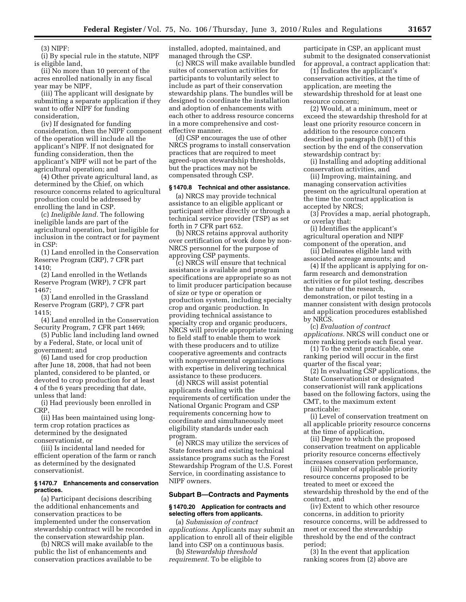(3) NIPF:

(i) By special rule in the statute, NIPF is eligible land,

(ii) No more than 10 percent of the acres enrolled nationally in any fiscal year may be NIPF,

(iii) The applicant will designate by submitting a separate application if they want to offer NIPF for funding consideration,

(iv) If designated for funding consideration, then the NIPF component of the operation will include all the applicant's NIPF. If not designated for funding consideration, then the applicant's NIPF will not be part of the agricultural operation; and

(4) Other private agricultural land, as determined by the Chief, on which resource concerns related to agricultural production could be addressed by enrolling the land in CSP.

(c) *Ineligible land.* The following ineligible lands are part of the agricultural operation, but ineligible for inclusion in the contract or for payment in CSP:

(1) Land enrolled in the Conservation Reserve Program (CRP), 7 CFR part 1410;

(2) Land enrolled in the Wetlands Reserve Program (WRP), 7 CFR part 1467;

(3) Land enrolled in the Grassland Reserve Program (GRP), 7 CFR part 1415;

(4) Land enrolled in the Conservation Security Program, 7 CFR part 1469;

(5) Public land including land owned by a Federal, State, or local unit of government; and

(6) Land used for crop production after June 18, 2008, that had not been planted, considered to be planted, or devoted to crop production for at least 4 of the 6 years preceding that date, unless that land:

(i) Had previously been enrolled in CRP,

(ii) Has been maintained using longterm crop rotation practices as determined by the designated conservationist, or

(iii) Is incidental land needed for efficient operation of the farm or ranch as determined by the designated conservationist.

# **§ 1470.7 Enhancements and conservation practices.**

(a) Participant decisions describing the additional enhancements and conservation practices to be implemented under the conservation stewardship contract will be recorded in the conservation stewardship plan.

(b) NRCS will make available to the public the list of enhancements and conservation practices available to be

installed, adopted, maintained, and managed through the CSP.

(c) NRCS will make available bundled suites of conservation activities for participants to voluntarily select to include as part of their conservation stewardship plans. The bundles will be designed to coordinate the installation and adoption of enhancements with each other to address resource concerns in a more comprehensive and costeffective manner.

(d) CSP encourages the use of other NRCS programs to install conservation practices that are required to meet agreed-upon stewardship thresholds, but the practices may not be compensated through CSP.

#### **§ 1470.8 Technical and other assistance.**

(a) NRCS may provide technical assistance to an eligible applicant or participant either directly or through a technical service provider (TSP) as set forth in 7 CFR part 652.

(b) NRCS retains approval authority over certification of work done by non-NRCS personnel for the purpose of approving CSP payments.

(c) NRCS will ensure that technical assistance is available and program specifications are appropriate so as not to limit producer participation because of size or type or operation or production system, including specialty crop and organic production. In providing technical assistance to specialty crop and organic producers, NRCS will provide appropriate training to field staff to enable them to work with these producers and to utilize cooperative agreements and contracts with nongovernmental organizations with expertise in delivering technical assistance to these producers.

(d) NRCS will assist potential applicants dealing with the requirements of certification under the National Organic Program and CSP requirements concerning how to coordinate and simultaneously meet eligibility standards under each program.

(e) NRCS may utilize the services of State foresters and existing technical assistance programs such as the Forest Stewardship Program of the U.S. Forest Service, in coordinating assistance to NIPF owners.

#### **Subpart B—Contracts and Payments**

#### **§ 1470.20 Application for contracts and selecting offers from applicants.**

(a) *Submission of contract applications.* Applicants may submit an application to enroll all of their eligible land into CSP on a continuous basis.

(b) *Stewardship threshold requirement.* To be eligible to

participate in CSP, an applicant must submit to the designated conservationist for approval, a contract application that:

(1) Indicates the applicant's conservation activities, at the time of application, are meeting the stewardship threshold for at least one resource concern;

(2) Would, at a minimum, meet or exceed the stewardship threshold for at least one priority resource concern in addition to the resource concern described in paragraph (b)(1) of this section by the end of the conservation stewardship contract by:

(i) Installing and adopting additional conservation activities, and

(ii) Improving, maintaining, and managing conservation activities present on the agricultural operation at the time the contract application is accepted by NRCS;

(3) Provides a map, aerial photograph, or overlay that:

(i) Identifies the applicant's agricultural operation and NIPF component of the operation, and

(ii) Delineates eligible land with associated acreage amounts; and

(4) If the applicant is applying for onfarm research and demonstration activities or for pilot testing, describes the nature of the research, demonstration, or pilot testing in a manner consistent with design protocols and application procedures established by NRCS.

(c) *Evaluation of contract applications.* NRCS will conduct one or more ranking periods each fiscal year.

(1) To the extent practicable, one ranking period will occur in the first quarter of the fiscal year;

(2) In evaluating CSP applications, the State Conservationist or designated conservationist will rank applications based on the following factors, using the CMT, to the maximum extent practicable:

(i) Level of conservation treatment on all applicable priority resource concerns at the time of application,

(ii) Degree to which the proposed conservation treatment on applicable priority resource concerns effectively increases conservation performance,

(iii) Number of applicable priority resource concerns proposed to be treated to meet or exceed the stewardship threshold by the end of the contract, and

(iv) Extent to which other resource concerns, in addition to priority resource concerns, will be addressed to meet or exceed the stewardship threshold by the end of the contract period;

(3) In the event that application ranking scores from (2) above are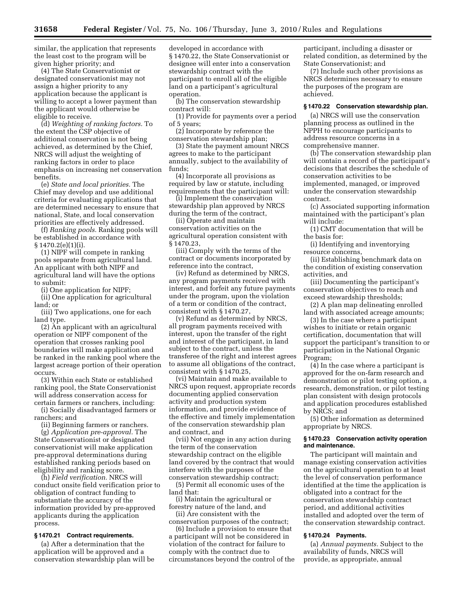similar, the application that represents the least cost to the program will be given higher priority; and

(4) The State Conservationist or designated conservationist may not assign a higher priority to any application because the applicant is willing to accept a lower payment than the applicant would otherwise be eligible to receive.

(d) *Weighting of ranking factors.* To the extent the CSP objective of additional conservation is not being achieved, as determined by the Chief, NRCS will adjust the weighting of ranking factors in order to place emphasis on increasing net conservation benefits.

(e) *State and local priorities.* The Chief may develop and use additional criteria for evaluating applications that are determined necessary to ensure that national, State, and local conservation priorities are effectively addressed.

(f) *Ranking pools.* Ranking pools will be established in accordance with § 1470.2(e)(1)(i).

(1) NIPF will compete in ranking pools separate from agricultural land. An applicant with both NIPF and agricultural land will have the options to submit:

(i) One application for NIPF;

(ii) One application for agricultural land; or

(iii) Two applications, one for each land type.

(2) An applicant with an agricultural operation or NIPF component of the operation that crosses ranking pool boundaries will make application and be ranked in the ranking pool where the largest acreage portion of their operation occurs.

(3) Within each State or established ranking pool, the State Conservationist will address conservation access for certain farmers or ranchers, including:

(i) Socially disadvantaged farmers or ranchers; and

(ii) Beginning farmers or ranchers. (g) *Application pre-approval.* The State Conservationist or designated conservationist will make application pre-approval determinations during established ranking periods based on eligibility and ranking score.

(h) *Field verification.* NRCS will conduct onsite field verification prior to obligation of contract funding to substantiate the accuracy of the information provided by pre-approved applicants during the application process.

# **§ 1470.21 Contract requirements.**

(a) After a determination that the application will be approved and a conservation stewardship plan will be developed in accordance with § 1470.22, the State Conservationist or designee will enter into a conservation stewardship contract with the participant to enroll all of the eligible land on a participant's agricultural operation.

(b) The conservation stewardship contract will:

(1) Provide for payments over a period of 5 years;

(2) Incorporate by reference the conservation stewardship plan;

(3) State the payment amount NRCS agrees to make to the participant annually, subject to the availability of funds;

(4) Incorporate all provisions as required by law or statute, including requirements that the participant will:

(i) Implement the conservation stewardship plan approved by NRCS during the term of the contract,

(ii) Operate and maintain conservation activities on the agricultural operation consistent with § 1470.23,

(iii) Comply with the terms of the contract or documents incorporated by reference into the contract,

(iv) Refund as determined by NRCS, any program payments received with interest, and forfeit any future payments under the program, upon the violation of a term or condition of the contract, consistent with § 1470.27,

(v) Refund as determined by NRCS, all program payments received with interest, upon the transfer of the right and interest of the participant, in land subject to the contract, unless the transferee of the right and interest agrees to assume all obligations of the contract, consistent with § 1470.25,

(vi) Maintain and make available to NRCS upon request, appropriate records documenting applied conservation activity and production system information, and provide evidence of the effective and timely implementation of the conservation stewardship plan and contract, and

(vii) Not engage in any action during the term of the conservation stewardship contract on the eligible land covered by the contract that would interfere with the purposes of the conservation stewardship contract;

(5) Permit all economic uses of the land that:

(i) Maintain the agricultural or forestry nature of the land, and

(ii) Are consistent with the conservation purposes of the contract;

(6) Include a provision to ensure that a participant will not be considered in violation of the contract for failure to comply with the contract due to circumstances beyond the control of the participant, including a disaster or related condition, as determined by the State Conservationist; and

(7) Include such other provisions as NRCS determines necessary to ensure the purposes of the program are achieved.

# **§ 1470.22 Conservation stewardship plan.**

(a) NRCS will use the conservation planning process as outlined in the NPPH to encourage participants to address resource concerns in a comprehensive manner.

(b) The conservation stewardship plan will contain a record of the participant's decisions that describes the schedule of conservation activities to be implemented, managed, or improved under the conservation stewardship contract.

(c) Associated supporting information maintained with the participant's plan will include:

(1) CMT documentation that will be the basis for:

(i) Identifying and inventorying resource concerns,

(ii) Establishing benchmark data on the condition of existing conservation activities, and

(iii) Documenting the participant's conservation objectives to reach and exceed stewardship thresholds;

(2) A plan map delineating enrolled land with associated acreage amounts;

(3) In the case where a participant wishes to initiate or retain organic certification, documentation that will support the participant's transition to or participation in the National Organic Program;

(4) In the case where a participant is approved for the on-farm research and demonstration or pilot testing option, a research, demonstration, or pilot testing plan consistent with design protocols and application procedures established by NRCS; and

(5) Other information as determined appropriate by NRCS.

# **§ 1470.23 Conservation activity operation and maintenance.**

The participant will maintain and manage existing conservation activities on the agricultural operation to at least the level of conservation performance identified at the time the application is obligated into a contract for the conservation stewardship contract period, and additional activities installed and adopted over the term of the conservation stewardship contract.

# **§ 1470.24 Payments.**

(a) *Annual payments.* Subject to the availability of funds, NRCS will provide, as appropriate, annual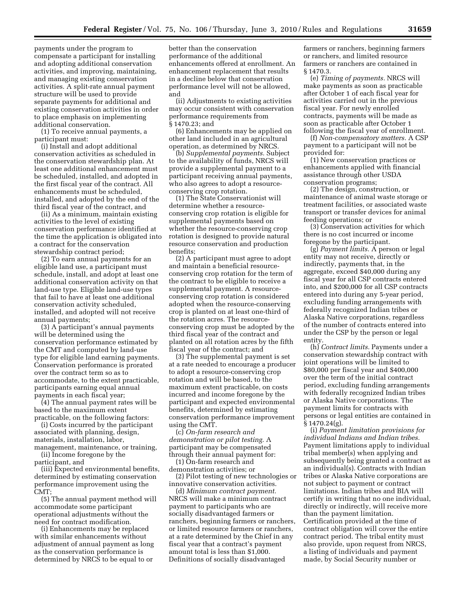payments under the program to compensate a participant for installing and adopting additional conservation activities, and improving, maintaining, and managing existing conservation activities. A split-rate annual payment structure will be used to provide separate payments for additional and existing conservation activities in order to place emphasis on implementing additional conservation.

(1) To receive annual payments, a participant must:

(i) Install and adopt additional conservation activities as scheduled in the conservation stewardship plan. At least one additional enhancement must be scheduled, installed, and adopted in the first fiscal year of the contract. All enhancements must be scheduled, installed, and adopted by the end of the third fiscal year of the contract, and

(ii) As a minimum, maintain existing activities to the level of existing conservation performance identified at the time the application is obligated into a contract for the conservation stewardship contract period;

(2) To earn annual payments for an eligible land use, a participant must schedule, install, and adopt at least one additional conservation activity on that land-use type. Eligible land-use types that fail to have at least one additional conservation activity scheduled, installed, and adopted will not receive annual payments;

(3) A participant's annual payments will be determined using the conservation performance estimated by the CMT and computed by land-use type for eligible land earning payments. Conservation performance is prorated over the contract term so as to accommodate, to the extent practicable, participants earning equal annual payments in each fiscal year;

(4) The annual payment rates will be based to the maximum extent practicable, on the following factors:

(i) Costs incurred by the participant associated with planning, design, materials, installation, labor, management, maintenance, or training,

(ii) Income foregone by the

participant, and

(iii) Expected environmental benefits, determined by estimating conservation performance improvement using the CMT;

(5) The annual payment method will accommodate some participant operational adjustments without the need for contract modification.

(i) Enhancements may be replaced with similar enhancements without adjustment of annual payment as long as the conservation performance is determined by NRCS to be equal to or

better than the conservation performance of the additional enhancements offered at enrollment. An enhancement replacement that results in a decline below that conservation performance level will not be allowed, and

(ii) Adjustments to existing activities may occur consistent with conservation performance requirements from § 1470.23; and

(6) Enhancements may be applied on other land included in an agricultural operation, as determined by NRCS.

(b) *Supplemental payments.* Subject to the availability of funds, NRCS will provide a supplemental payment to a participant receiving annual payments, who also agrees to adopt a resourceconserving crop rotation.

(1) The State Conservationist will determine whether a resourceconserving crop rotation is eligible for supplemental payments based on whether the resource-conserving crop rotation is designed to provide natural resource conservation and production benefits;

(2) A participant must agree to adopt and maintain a beneficial resourceconserving crop rotation for the term of the contract to be eligible to receive a supplemental payment. A resourceconserving crop rotation is considered adopted when the resource-conserving crop is planted on at least one-third of the rotation acres. The resourceconserving crop must be adopted by the third fiscal year of the contract and planted on all rotation acres by the fifth fiscal year of the contract; and

(3) The supplemental payment is set at a rate needed to encourage a producer to adopt a resource-conserving crop rotation and will be based, to the maximum extent practicable, on costs incurred and income foregone by the participant and expected environmental benefits, determined by estimating conservation performance improvement using the CMT.

(c) *On-farm research and demonstration or pilot testing.* A participant may be compensated through their annual payment for:

(1) On-farm research and demonstration activities; or

(2) Pilot testing of new technologies or innovative conservation activities.

(d) *Minimum contract payment.*  NRCS will make a minimum contract payment to participants who are socially disadvantaged farmers or ranchers, beginning farmers or ranchers, or limited resource farmers or ranchers, at a rate determined by the Chief in any fiscal year that a contract's payment amount total is less than \$1,000. Definitions of socially disadvantaged

farmers or ranchers, beginning farmers or ranchers, and limited resource farmers or ranchers are contained in § 1470.3.

(e) *Timing of payments.* NRCS will make payments as soon as practicable after October 1 of each fiscal year for activities carried out in the previous fiscal year. For newly enrolled contracts, payments will be made as soon as practicable after October 1 following the fiscal year of enrollment.

(f) *Non-compensatory matters.* A CSP payment to a participant will not be provided for:

(1) New conservation practices or enhancements applied with financial assistance through other USDA conservation programs;

(2) The design, construction, or maintenance of animal waste storage or treatment facilities, or associated waste transport or transfer devices for animal feeding operations; or

(3) Conservation activities for which there is no cost incurred or income foregone by the participant.

(g) *Payment limits.* A person or legal entity may not receive, directly or indirectly, payments that, in the aggregate, exceed \$40,000 during any fiscal year for all CSP contracts entered into, and \$200,000 for all CSP contracts entered into during any 5-year period, excluding funding arrangements with federally recognized Indian tribes or Alaska Native corporations, regardless of the number of contracts entered into under the CSP by the person or legal entity

(h) *Contract limits.* Payments under a conservation stewardship contract with joint operations will be limited to \$80,000 per fiscal year and \$400,000 over the term of the initial contract period, excluding funding arrangements with federally recognized Indian tribes or Alaska Native corporations. The payment limits for contracts with persons or legal entities are contained in § 1470.24(g).

(i) *Payment limitation provisions for individual Indians and Indian tribes.*  Payment limitations apply to individual tribal member(s) when applying and subsequently being granted a contract as an individual(s). Contracts with Indian tribes or Alaska Native corporations are not subject to payment or contract limitations. Indian tribes and BIA will certify in writing that no one individual, directly or indirectly, will receive more than the payment limitation. Certification provided at the time of contract obligation will cover the entire contract period. The tribal entity must also provide, upon request from NRCS, a listing of individuals and payment made, by Social Security number or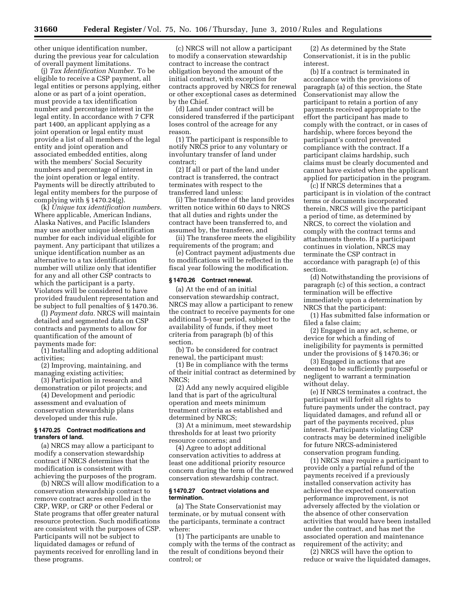other unique identification number, during the previous year for calculation of overall payment limitations.

(j) *Tax Identification Number.* To be eligible to receive a CSP payment, all legal entities or persons applying, either alone or as part of a joint operation, must provide a tax identification number and percentage interest in the legal entity. In accordance with 7 CFR part 1400, an applicant applying as a joint operation or legal entity must provide a list of all members of the legal entity and joint operation and associated embedded entities, along with the members' Social Security numbers and percentage of interest in the joint operation or legal entity. Payments will be directly attributed to legal entity members for the purpose of complying with § 1470.24(g).

(k) *Unique tax identification numbers.*  Where applicable, American Indians, Alaska Natives, and Pacific Islanders may use another unique identification number for each individual eligible for payment. Any participant that utilizes a unique identification number as an alternative to a tax identification number will utilize only that identifier for any and all other CSP contracts to which the participant is a party. Violators will be considered to have provided fraudulent representation and be subject to full penalties of § 1470.36.

(l) *Payment data.* NRCS will maintain detailed and segmented data on CSP contracts and payments to allow for quantification of the amount of payments made for:

(1) Installing and adopting additional activities;

(2) Improving, maintaining, and managing existing activities;

(3) Participation in research and demonstration or pilot projects; and

(4) Development and periodic assessment and evaluation of conservation stewardship plans developed under this rule.

# **§ 1470.25 Contract modifications and transfers of land.**

(a) NRCS may allow a participant to modify a conservation stewardship contract if NRCS determines that the modification is consistent with achieving the purposes of the program.

(b) NRCS will allow modification to a conservation stewardship contract to remove contract acres enrolled in the CRP, WRP, or GRP or other Federal or State programs that offer greater natural resource protection. Such modifications are consistent with the purposes of CSP. Participants will not be subject to liquidated damages or refund of payments received for enrolling land in these programs.

(c) NRCS will not allow a participant to modify a conservation stewardship contract to increase the contract obligation beyond the amount of the initial contract, with exception for contracts approved by NRCS for renewal or other exceptional cases as determined by the Chief.

(d) Land under contract will be considered transferred if the participant loses control of the acreage for any reason.

(1) The participant is responsible to notify NRCS prior to any voluntary or involuntary transfer of land under contract;

(2) If all or part of the land under contract is transferred, the contract terminates with respect to the transferred land unless:

(i) The transferee of the land provides written notice within 60 days to NRCS that all duties and rights under the contract have been transferred to, and assumed by, the transferee, and

(ii) The transferee meets the eligibility requirements of the program; and

(e) Contract payment adjustments due to modifications will be reflected in the fiscal year following the modification.

## **§ 1470.26 Contract renewal.**

(a) At the end of an initial conservation stewardship contract, NRCS may allow a participant to renew the contract to receive payments for one additional 5-year period, subject to the availability of funds, if they meet criteria from paragraph (b) of this section.

(b) To be considered for contract renewal, the participant must:

(1) Be in compliance with the terms of their initial contract as determined by NRCS;

(2) Add any newly acquired eligible land that is part of the agricultural operation and meets minimum treatment criteria as established and determined by NRCS;

(3) At a minimum, meet stewardship thresholds for at least two priority resource concerns; and

(4) Agree to adopt additional conservation activities to address at least one additional priority resource concern during the term of the renewed conservation stewardship contract.

#### **§ 1470.27 Contract violations and termination.**

(a) The State Conservationist may terminate, or by mutual consent with the participants, terminate a contract where:

(1) The participants are unable to comply with the terms of the contract as the result of conditions beyond their control; or

(2) As determined by the State Conservationist, it is in the public interest.

(b) If a contract is terminated in accordance with the provisions of paragraph (a) of this section, the State Conservationist may allow the participant to retain a portion of any payments received appropriate to the effort the participant has made to comply with the contract, or in cases of hardship, where forces beyond the participant's control prevented compliance with the contract. If a participant claims hardship, such claims must be clearly documented and cannot have existed when the applicant applied for participation in the program.

(c) If NRCS determines that a participant is in violation of the contract terms or documents incorporated therein, NRCS will give the participant a period of time, as determined by NRCS, to correct the violation and comply with the contract terms and attachments thereto. If a participant continues in violation, NRCS may terminate the CSP contract in accordance with paragraph (e) of this section.

(d) Notwithstanding the provisions of paragraph (c) of this section, a contract termination will be effective immediately upon a determination by NRCS that the participant:

(1) Has submitted false information or filed a false claim;

(2) Engaged in any act, scheme, or device for which a finding of ineligibility for payments is permitted under the provisions of § 1470.36; or

(3) Engaged in actions that are deemed to be sufficiently purposeful or negligent to warrant a termination without delay.

(e) If NRCS terminates a contract, the participant will forfeit all rights to future payments under the contract, pay liquidated damages, and refund all or part of the payments received, plus interest. Participants violating CSP contracts may be determined ineligible for future NRCS-administered conservation program funding.

(1) NRCS may require a participant to provide only a partial refund of the payments received if a previously installed conservation activity has achieved the expected conservation performance improvement, is not adversely affected by the violation or the absence of other conservation activities that would have been installed under the contract, and has met the associated operation and maintenance requirement of the activity; and

(2) NRCS will have the option to reduce or waive the liquidated damages,